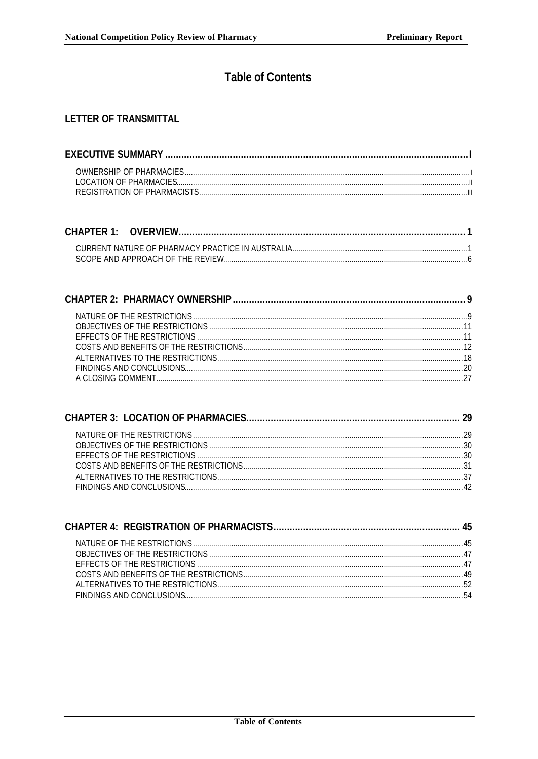## **Table of Contents**

## **LETTER OF TRANSMITTAL**

##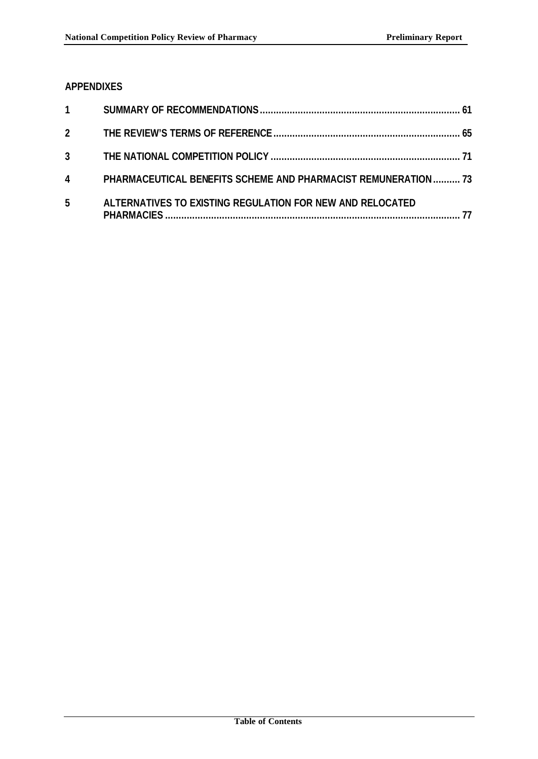## **APPENDIXES**

| $1 \quad \blacksquare$ |                                                                       |  |
|------------------------|-----------------------------------------------------------------------|--|
| $\overline{2}$         |                                                                       |  |
| $3^{\circ}$            |                                                                       |  |
| $\overline{4}$         | <b>PHARMACEUTICAL BENEFITS SCHEME AND PHARMACIST REMUNERATION  73</b> |  |
| 5                      | ALTERNATIVES TO EXISTING REGULATION FOR NEW AND RELOCATED             |  |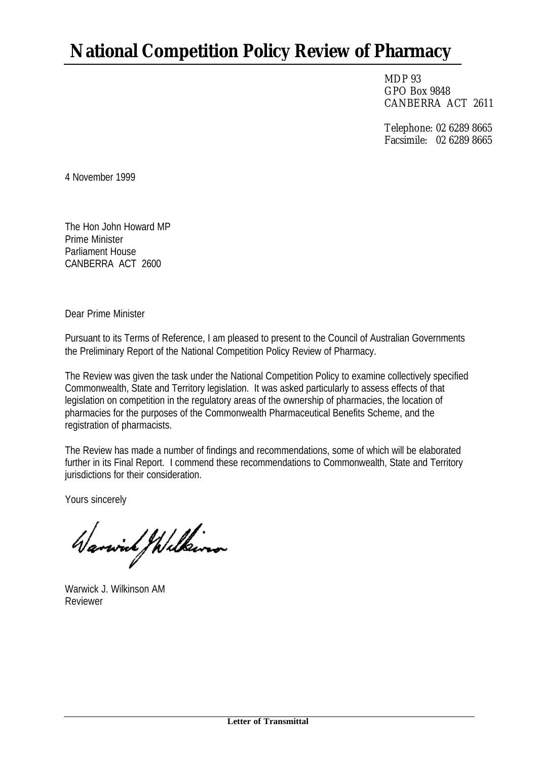# **National Competition Policy Review of Pharmacy**

MDP 93 GPO Box 9848 CANBERRA ACT 2611

Telephone: 02 6289 8665 Facsimile: 02 6289 8665

4 November 1999

The Hon John Howard MP Prime Minister Parliament House CANBERRA ACT 2600

Dear Prime Minister

Pursuant to its Terms of Reference, I am pleased to present to the Council of Australian Governments the Preliminary Report of the National Competition Policy Review of Pharmacy.

The Review was given the task under the National Competition Policy to examine collectively specified Commonwealth, State and Territory legislation. It was asked particularly to assess effects of that legislation on competition in the regulatory areas of the ownership of pharmacies, the location of pharmacies for the purposes of the Commonwealth Pharmaceutical Benefits Scheme, and the registration of pharmacists.

The Review has made a number of findings and recommendations, some of which will be elaborated further in its Final Report. I commend these recommendations to Commonwealth, State and Territory jurisdictions for their consideration.

Yours sincerely

Warwich / Wilkins

Warwick J. Wilkinson AM Reviewer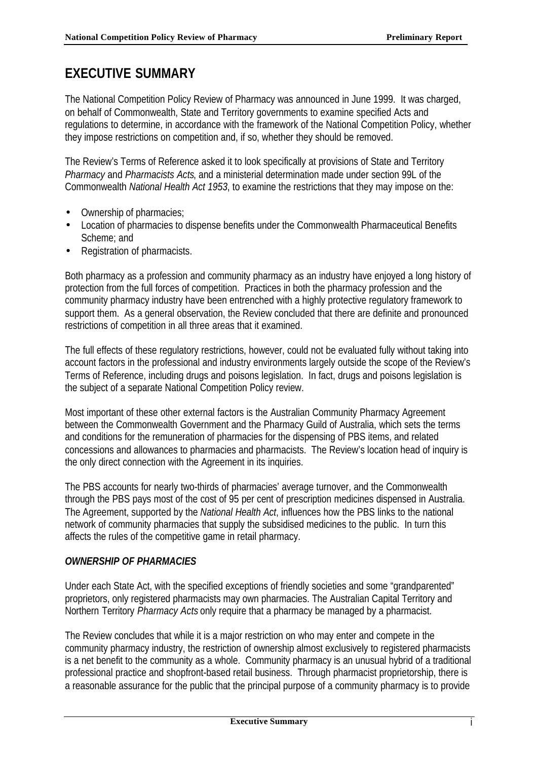## **EXECUTIVE SUMMARY**

The National Competition Policy Review of Pharmacy was announced in June 1999. It was charged, on behalf of Commonwealth, State and Territory governments to examine specified Acts and regulations to determine, in accordance with the framework of the National Competition Policy, whether they impose restrictions on competition and, if so, whether they should be removed.

The Review's Terms of Reference asked it to look specifically at provisions of State and Territory *Pharmacy* and *Pharmacists Acts*, and a ministerial determination made under section 99L of the Commonwealth *National Health Act 1953*, to examine the restrictions that they may impose on the:

- Ownership of pharmacies;
- Location of pharmacies to dispense benefits under the Commonwealth Pharmaceutical Benefits Scheme; and
- Registration of pharmacists.

Both pharmacy as a profession and community pharmacy as an industry have enjoyed a long history of protection from the full forces of competition. Practices in both the pharmacy profession and the community pharmacy industry have been entrenched with a highly protective regulatory framework to support them. As a general observation, the Review concluded that there are definite and pronounced restrictions of competition in all three areas that it examined.

The full effects of these regulatory restrictions, however, could not be evaluated fully without taking into account factors in the professional and industry environments largely outside the scope of the Review's Terms of Reference, including drugs and poisons legislation. In fact, drugs and poisons legislation is the subject of a separate National Competition Policy review.

Most important of these other external factors is the Australian Community Pharmacy Agreement between the Commonwealth Government and the Pharmacy Guild of Australia, which sets the terms and conditions for the remuneration of pharmacies for the dispensing of PBS items, and related concessions and allowances to pharmacies and pharmacists. The Review's location head of inquiry is the only direct connection with the Agreement in its inquiries.

The PBS accounts for nearly two-thirds of pharmacies' average turnover, and the Commonwealth through the PBS pays most of the cost of 95 per cent of prescription medicines dispensed in Australia. The Agreement, supported by the *National Health Act*, influences how the PBS links to the national network of community pharmacies that supply the subsidised medicines to the public. In turn this affects the rules of the competitive game in retail pharmacy.

## *OWNERSHIP OF PHARMACIES*

Under each State Act, with the specified exceptions of friendly societies and some "grandparented" proprietors, only registered pharmacists may own pharmacies. The Australian Capital Territory and Northern Territory *Pharmacy Acts* only require that a pharmacy be managed by a pharmacist.

The Review concludes that while it is a major restriction on who may enter and compete in the community pharmacy industry, the restriction of ownership almost exclusively to registered pharmacists is a net benefit to the community as a whole. Community pharmacy is an unusual hybrid of a traditional professional practice and shopfront-based retail business. Through pharmacist proprietorship, there is a reasonable assurance for the public that the principal purpose of a community pharmacy is to provide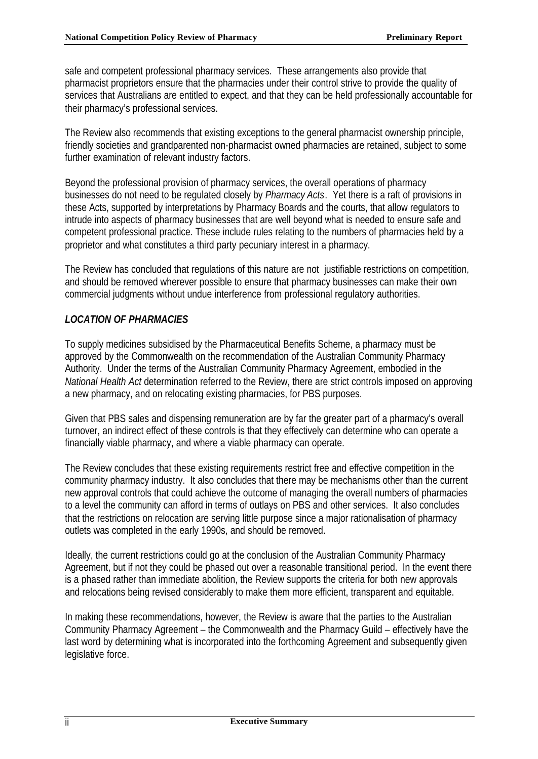safe and competent professional pharmacy services. These arrangements also provide that pharmacist proprietors ensure that the pharmacies under their control strive to provide the quality of services that Australians are entitled to expect, and that they can be held professionally accountable for their pharmacy's professional services.

The Review also recommends that existing exceptions to the general pharmacist ownership principle, friendly societies and grandparented non-pharmacist owned pharmacies are retained, subject to some further examination of relevant industry factors.

Beyond the professional provision of pharmacy services, the overall operations of pharmacy businesses do not need to be regulated closely by *Pharmacy Acts*. Yet there is a raft of provisions in these Acts, supported by interpretations by Pharmacy Boards and the courts, that allow regulators to intrude into aspects of pharmacy businesses that are well beyond what is needed to ensure safe and competent professional practice. These include rules relating to the numbers of pharmacies held by a proprietor and what constitutes a third party pecuniary interest in a pharmacy.

The Review has concluded that regulations of this nature are not justifiable restrictions on competition, and should be removed wherever possible to ensure that pharmacy businesses can make their own commercial judgments without undue interference from professional regulatory authorities.

## *LOCATION OF PHARMACIES*

To supply medicines subsidised by the Pharmaceutical Benefits Scheme, a pharmacy must be approved by the Commonwealth on the recommendation of the Australian Community Pharmacy Authority. Under the terms of the Australian Community Pharmacy Agreement, embodied in the *National Health Act* determination referred to the Review, there are strict controls imposed on approving a new pharmacy, and on relocating existing pharmacies, for PBS purposes.

Given that PBS sales and dispensing remuneration are by far the greater part of a pharmacy's overall turnover, an indirect effect of these controls is that they effectively can determine who can operate a financially viable pharmacy, and where a viable pharmacy can operate.

The Review concludes that these existing requirements restrict free and effective competition in the community pharmacy industry. It also concludes that there may be mechanisms other than the current new approval controls that could achieve the outcome of managing the overall numbers of pharmacies to a level the community can afford in terms of outlays on PBS and other services. It also concludes that the restrictions on relocation are serving little purpose since a major rationalisation of pharmacy outlets was completed in the early 1990s, and should be removed.

Ideally, the current restrictions could go at the conclusion of the Australian Community Pharmacy Agreement, but if not they could be phased out over a reasonable transitional period. In the event there is a phased rather than immediate abolition, the Review supports the criteria for both new approvals and relocations being revised considerably to make them more efficient, transparent and equitable.

In making these recommendations, however, the Review is aware that the parties to the Australian Community Pharmacy Agreement – the Commonwealth and the Pharmacy Guild – effectively have the last word by determining what is incorporated into the forthcoming Agreement and subsequently given legislative force.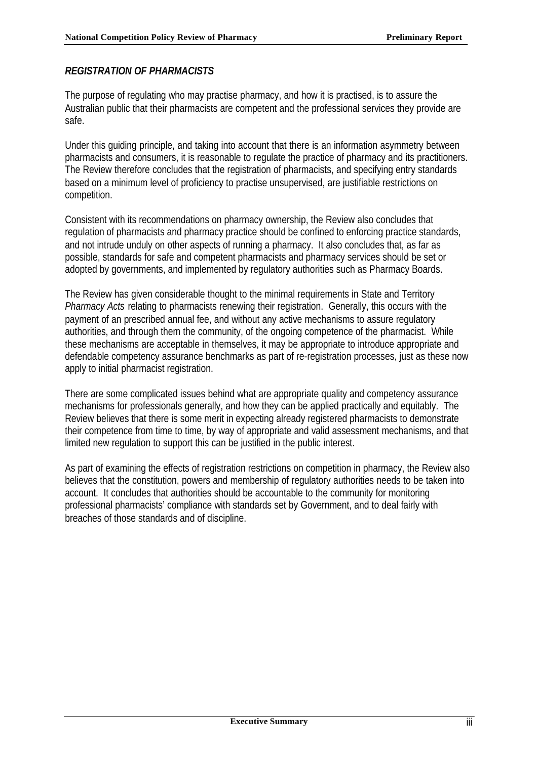### *REGISTRATION OF PHARMACISTS*

The purpose of regulating who may practise pharmacy, and how it is practised, is to assure the Australian public that their pharmacists are competent and the professional services they provide are safe.

Under this guiding principle, and taking into account that there is an information asymmetry between pharmacists and consumers, it is reasonable to regulate the practice of pharmacy and its practitioners. The Review therefore concludes that the registration of pharmacists, and specifying entry standards based on a minimum level of proficiency to practise unsupervised, are justifiable restrictions on competition.

Consistent with its recommendations on pharmacy ownership, the Review also concludes that regulation of pharmacists and pharmacy practice should be confined to enforcing practice standards, and not intrude unduly on other aspects of running a pharmacy. It also concludes that, as far as possible, standards for safe and competent pharmacists and pharmacy services should be set or adopted by governments, and implemented by regulatory authorities such as Pharmacy Boards.

The Review has given considerable thought to the minimal requirements in State and Territory *Pharmacy Acts* relating to pharmacists renewing their registration. Generally, this occurs with the payment of an prescribed annual fee, and without any active mechanisms to assure regulatory authorities, and through them the community, of the ongoing competence of the pharmacist. While these mechanisms are acceptable in themselves, it may be appropriate to introduce appropriate and defendable competency assurance benchmarks as part of re-registration processes, just as these now apply to initial pharmacist registration.

There are some complicated issues behind what are appropriate quality and competency assurance mechanisms for professionals generally, and how they can be applied practically and equitably. The Review believes that there is some merit in expecting already registered pharmacists to demonstrate their competence from time to time, by way of appropriate and valid assessment mechanisms, and that limited new regulation to support this can be justified in the public interest.

As part of examining the effects of registration restrictions on competition in pharmacy, the Review also believes that the constitution, powers and membership of regulatory authorities needs to be taken into account. It concludes that authorities should be accountable to the community for monitoring professional pharmacists' compliance with standards set by Government, and to deal fairly with breaches of those standards and of discipline.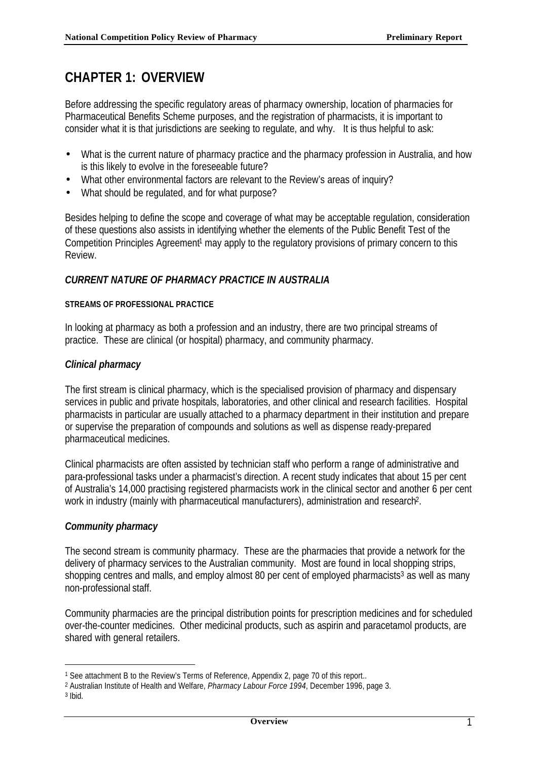## **CHAPTER 1: OVERVIEW**

Before addressing the specific regulatory areas of pharmacy ownership, location of pharmacies for Pharmaceutical Benefits Scheme purposes, and the registration of pharmacists, it is important to consider what it is that jurisdictions are seeking to regulate, and why. It is thus helpful to ask:

- What is the current nature of pharmacy practice and the pharmacy profession in Australia, and how is this likely to evolve in the foreseeable future?
- What other environmental factors are relevant to the Review's areas of inquiry?
- What should be regulated, and for what purpose?

Besides helping to define the scope and coverage of what may be acceptable regulation, consideration of these questions also assists in identifying whether the elements of the Public Benefit Test of the Competition Principles Agreement<sup>1</sup> may apply to the regulatory provisions of primary concern to this Review.

#### *CURRENT NATURE OF PHARMACY PRACTICE IN AUSTRALIA*

#### **STREAMS OF PROFESSIONAL PRACTICE**

In looking at pharmacy as both a profession and an industry, there are two principal streams of practice. These are clinical (or hospital) pharmacy, and community pharmacy.

#### *Clinical pharmacy*

The first stream is clinical pharmacy, which is the specialised provision of pharmacy and dispensary services in public and private hospitals, laboratories, and other clinical and research facilities. Hospital pharmacists in particular are usually attached to a pharmacy department in their institution and prepare or supervise the preparation of compounds and solutions as well as dispense ready-prepared pharmaceutical medicines.

Clinical pharmacists are often assisted by technician staff who perform a range of administrative and para-professional tasks under a pharmacist's direction. A recent study indicates that about 15 per cent of Australia's 14,000 practising registered pharmacists work in the clinical sector and another 6 per cent work in industry (mainly with pharmaceutical manufacturers), administration and research<sup>2</sup>.

#### *Community pharmacy*

The second stream is community pharmacy. These are the pharmacies that provide a network for the delivery of pharmacy services to the Australian community. Most are found in local shopping strips, shopping centres and malls, and employ almost 80 per cent of employed pharmacists<sup>3</sup> as well as many non-professional staff.

Community pharmacies are the principal distribution points for prescription medicines and for scheduled over-the-counter medicines. Other medicinal products, such as aspirin and paracetamol products, are shared with general retailers.

<sup>1</sup> See attachment B to the Review's Terms of Reference, Appendix 2, page 70 of this report..

<sup>2</sup> Australian Institute of Health and Welfare, *Pharmacy Labour Force 1994*, December 1996, page 3.

<sup>3</sup> Ibid.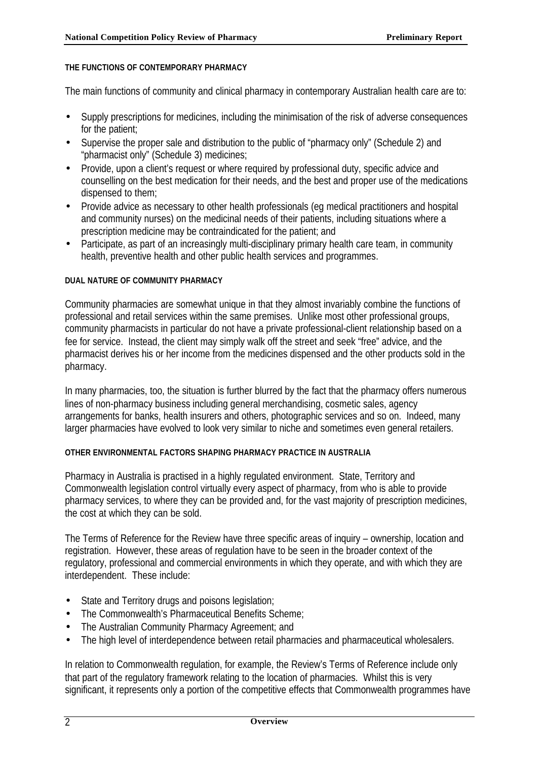#### **THE FUNCTIONS OF CONTEMPORARY PHARMACY**

The main functions of community and clinical pharmacy in contemporary Australian health care are to:

- Supply prescriptions for medicines, including the minimisation of the risk of adverse consequences for the patient;
- Supervise the proper sale and distribution to the public of "pharmacy only" (Schedule 2) and "pharmacist only" (Schedule 3) medicines;
- Provide, upon a client's request or where required by professional duty, specific advice and counselling on the best medication for their needs, and the best and proper use of the medications dispensed to them;
- Provide advice as necessary to other health professionals (eq medical practitioners and hospital and community nurses) on the medicinal needs of their patients, including situations where a prescription medicine may be contraindicated for the patient; and
- Participate, as part of an increasingly multi-disciplinary primary health care team, in community health, preventive health and other public health services and programmes.

#### **DUAL NATURE OF COMMUNITY PHARMACY**

Community pharmacies are somewhat unique in that they almost invariably combine the functions of professional and retail services within the same premises. Unlike most other professional groups, community pharmacists in particular do not have a private professional-client relationship based on a fee for service. Instead, the client may simply walk off the street and seek "free" advice, and the pharmacist derives his or her income from the medicines dispensed and the other products sold in the pharmacy.

In many pharmacies, too, the situation is further blurred by the fact that the pharmacy offers numerous lines of non-pharmacy business including general merchandising, cosmetic sales, agency arrangements for banks, health insurers and others, photographic services and so on. Indeed, many larger pharmacies have evolved to look very similar to niche and sometimes even general retailers.

#### **OTHER ENVIRONMENTAL FACTORS SHAPING PHARMACY PRACTICE IN AUSTRALIA**

Pharmacy in Australia is practised in a highly regulated environment. State, Territory and Commonwealth legislation control virtually every aspect of pharmacy, from who is able to provide pharmacy services, to where they can be provided and, for the vast majority of prescription medicines, the cost at which they can be sold.

The Terms of Reference for the Review have three specific areas of inquiry – ownership, location and registration. However, these areas of regulation have to be seen in the broader context of the regulatory, professional and commercial environments in which they operate, and with which they are interdependent. These include:

- State and Territory drugs and poisons legislation;
- The Commonwealth's Pharmaceutical Benefits Scheme;
- The Australian Community Pharmacy Agreement; and
- The high level of interdependence between retail pharmacies and pharmaceutical wholesalers.

In relation to Commonwealth regulation, for example, the Review's Terms of Reference include only that part of the regulatory framework relating to the location of pharmacies. Whilst this is very significant, it represents only a portion of the competitive effects that Commonwealth programmes have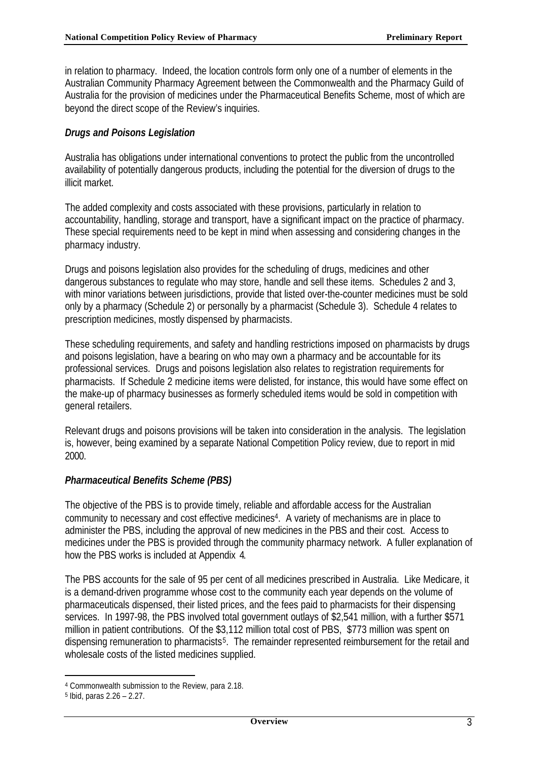in relation to pharmacy. Indeed, the location controls form only one of a number of elements in the Australian Community Pharmacy Agreement between the Commonwealth and the Pharmacy Guild of Australia for the provision of medicines under the Pharmaceutical Benefits Scheme, most of which are beyond the direct scope of the Review's inquiries.

#### *Drugs and Poisons Legislation*

Australia has obligations under international conventions to protect the public from the uncontrolled availability of potentially dangerous products, including the potential for the diversion of drugs to the illicit market.

The added complexity and costs associated with these provisions, particularly in relation to accountability, handling, storage and transport, have a significant impact on the practice of pharmacy. These special requirements need to be kept in mind when assessing and considering changes in the pharmacy industry.

Drugs and poisons legislation also provides for the scheduling of drugs, medicines and other dangerous substances to regulate who may store, handle and sell these items. Schedules 2 and 3, with minor variations between jurisdictions, provide that listed over-the-counter medicines must be sold only by a pharmacy (Schedule 2) or personally by a pharmacist (Schedule 3). Schedule 4 relates to prescription medicines, mostly dispensed by pharmacists.

These scheduling requirements, and safety and handling restrictions imposed on pharmacists by drugs and poisons legislation, have a bearing on who may own a pharmacy and be accountable for its professional services. Drugs and poisons legislation also relates to registration requirements for pharmacists. If Schedule 2 medicine items were delisted, for instance, this would have some effect on the make-up of pharmacy businesses as formerly scheduled items would be sold in competition with general retailers.

Relevant drugs and poisons provisions will be taken into consideration in the analysis. The legislation is, however, being examined by a separate National Competition Policy review, due to report in mid 2000.

#### *Pharmaceutical Benefits Scheme (PBS)*

The objective of the PBS is to provide timely, reliable and affordable access for the Australian community to necessary and cost effective medicines<sup>4</sup>. A variety of mechanisms are in place to administer the PBS, including the approval of new medicines in the PBS and their cost. Access to medicines under the PBS is provided through the community pharmacy network. A fuller explanation of how the PBS works is included at Appendix 4.

The PBS accounts for the sale of 95 per cent of all medicines prescribed in Australia. Like Medicare, it is a demand-driven programme whose cost to the community each year depends on the volume of pharmaceuticals dispensed, their listed prices, and the fees paid to pharmacists for their dispensing services. In 1997-98, the PBS involved total government outlays of \$2,541 million, with a further \$571 million in patient contributions. Of the \$3,112 million total cost of PBS, \$773 million was spent on dispensing remuneration to pharmacists<sup>5</sup>. The remainder represented reimbursement for the retail and wholesale costs of the listed medicines supplied.

<sup>4</sup> Commonwealth submission to the Review, para 2.18.

<sup>5</sup> Ibid, paras 2.26 – 2.27.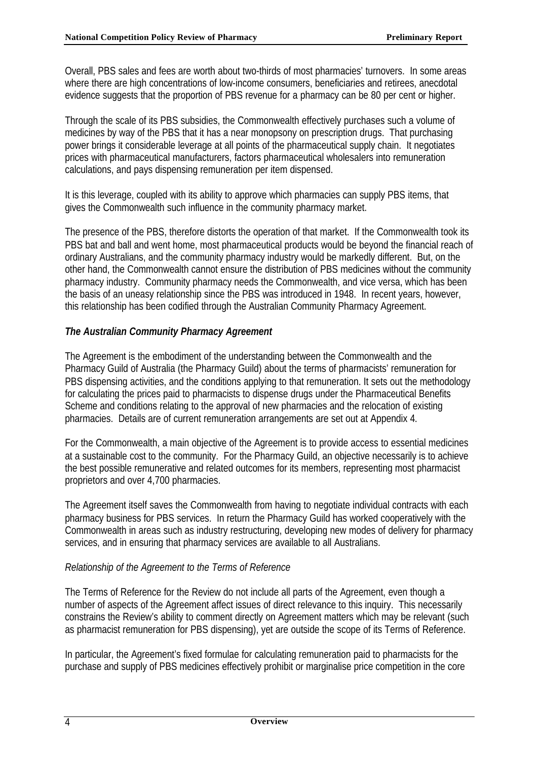Overall, PBS sales and fees are worth about two-thirds of most pharmacies' turnovers. In some areas where there are high concentrations of low-income consumers, beneficiaries and retirees, anecdotal evidence suggests that the proportion of PBS revenue for a pharmacy can be 80 per cent or higher.

Through the scale of its PBS subsidies, the Commonwealth effectively purchases such a volume of medicines by way of the PBS that it has a near monopsony on prescription drugs. That purchasing power brings it considerable leverage at all points of the pharmaceutical supply chain. It negotiates prices with pharmaceutical manufacturers, factors pharmaceutical wholesalers into remuneration calculations, and pays dispensing remuneration per item dispensed.

It is this leverage, coupled with its ability to approve which pharmacies can supply PBS items, that gives the Commonwealth such influence in the community pharmacy market.

The presence of the PBS, therefore distorts the operation of that market. If the Commonwealth took its PBS bat and ball and went home, most pharmaceutical products would be beyond the financial reach of ordinary Australians, and the community pharmacy industry would be markedly different. But, on the other hand, the Commonwealth cannot ensure the distribution of PBS medicines without the community pharmacy industry. Community pharmacy needs the Commonwealth, and vice versa, which has been the basis of an uneasy relationship since the PBS was introduced in 1948. In recent years, however, this relationship has been codified through the Australian Community Pharmacy Agreement.

## *The Australian Community Pharmacy Agreement*

The Agreement is the embodiment of the understanding between the Commonwealth and the Pharmacy Guild of Australia (the Pharmacy Guild) about the terms of pharmacists' remuneration for PBS dispensing activities, and the conditions applying to that remuneration. It sets out the methodology for calculating the prices paid to pharmacists to dispense drugs under the Pharmaceutical Benefits Scheme and conditions relating to the approval of new pharmacies and the relocation of existing pharmacies. Details are of current remuneration arrangements are set out at Appendix 4.

For the Commonwealth, a main objective of the Agreement is to provide access to essential medicines at a sustainable cost to the community. For the Pharmacy Guild, an objective necessarily is to achieve the best possible remunerative and related outcomes for its members, representing most pharmacist proprietors and over 4,700 pharmacies.

The Agreement itself saves the Commonwealth from having to negotiate individual contracts with each pharmacy business for PBS services. In return the Pharmacy Guild has worked cooperatively with the Commonwealth in areas such as industry restructuring, developing new modes of delivery for pharmacy services, and in ensuring that pharmacy services are available to all Australians.

#### *Relationship of the Agreement to the Terms of Reference*

The Terms of Reference for the Review do not include all parts of the Agreement, even though a number of aspects of the Agreement affect issues of direct relevance to this inquiry. This necessarily constrains the Review's ability to comment directly on Agreement matters which may be relevant (such as pharmacist remuneration for PBS dispensing), yet are outside the scope of its Terms of Reference.

In particular, the Agreement's fixed formulae for calculating remuneration paid to pharmacists for the purchase and supply of PBS medicines effectively prohibit or marginalise price competition in the core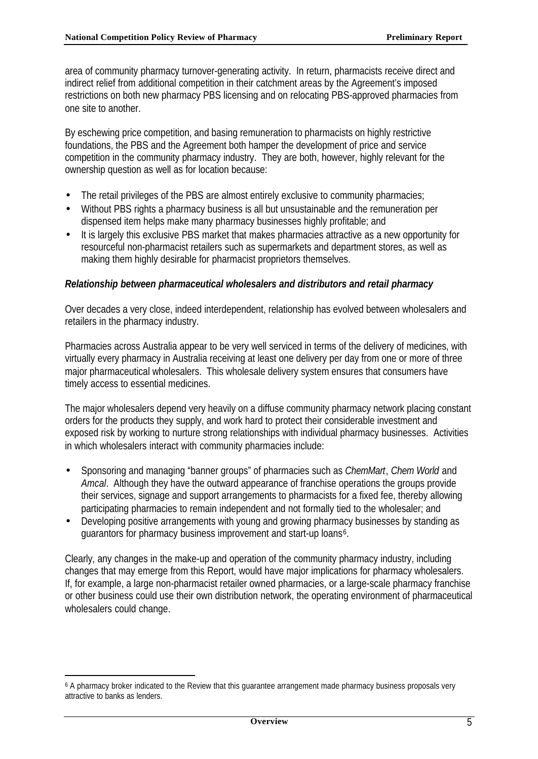area of community pharmacy turnover-generating activity. In return, pharmacists receive direct and indirect relief from additional competition in their catchment areas by the Agreement's imposed restrictions on both new pharmacy PBS licensing and on relocating PBS-approved pharmacies from one site to another.

By eschewing price competition, and basing remuneration to pharmacists on highly restrictive foundations, the PBS and the Agreement both hamper the development of price and service competition in the community pharmacy industry. They are both, however, highly relevant for the ownership question as well as for location because:

- The retail privileges of the PBS are almost entirely exclusive to community pharmacies;
- Without PBS rights a pharmacy business is all but unsustainable and the remuneration per dispensed item helps make many pharmacy businesses highly profitable; and
- It is largely this exclusive PBS market that makes pharmacies attractive as a new opportunity for resourceful non-pharmacist retailers such as supermarkets and department stores, as well as making them highly desirable for pharmacist proprietors themselves.

#### *Relationship between pharmaceutical wholesalers and distributors and retail pharmacy*

Over decades a very close, indeed interdependent, relationship has evolved between wholesalers and retailers in the pharmacy industry.

Pharmacies across Australia appear to be very well serviced in terms of the delivery of medicines, with virtually every pharmacy in Australia receiving at least one delivery per day from one or more of three major pharmaceutical wholesalers. This wholesale delivery system ensures that consumers have timely access to essential medicines.

The major wholesalers depend very heavily on a diffuse community pharmacy network placing constant orders for the products they supply, and work hard to protect their considerable investment and exposed risk by working to nurture strong relationships with individual pharmacy businesses. Activities in which wholesalers interact with community pharmacies include:

- Sponsoring and managing "banner groups" of pharmacies such as *ChemMart*, *Chem World* and *Amcal*. Although they have the outward appearance of franchise operations the groups provide their services, signage and support arrangements to pharmacists for a fixed fee, thereby allowing participating pharmacies to remain independent and not formally tied to the wholesaler; and
- Developing positive arrangements with young and growing pharmacy businesses by standing as guarantors for pharmacy business improvement and start-up loans<sup>6</sup>.

Clearly, any changes in the make-up and operation of the community pharmacy industry, including changes that may emerge from this Report, would have major implications for pharmacy wholesalers. If, for example, a large non-pharmacist retailer owned pharmacies, or a large-scale pharmacy franchise or other business could use their own distribution network, the operating environment of pharmaceutical wholesalers could change.

<sup>6</sup> A pharmacy broker indicated to the Review that this guarantee arrangement made pharmacy business proposals very attractive to banks as lenders.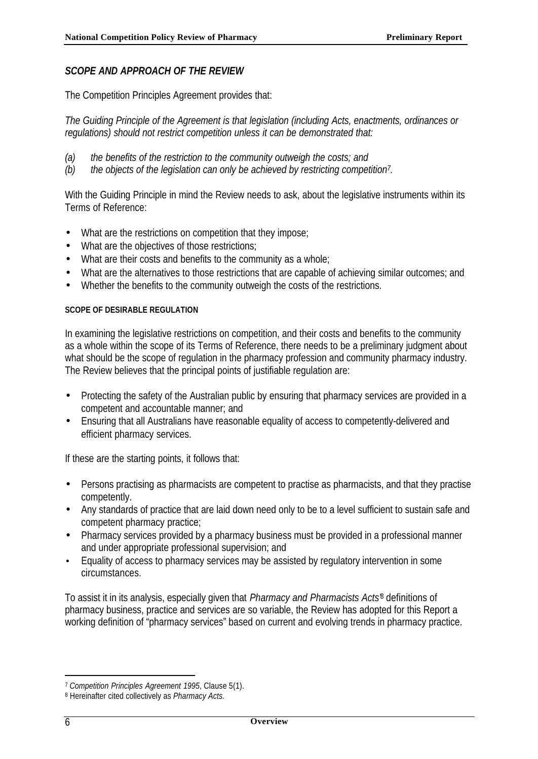### *SCOPE AND APPROACH OF THE REVIEW*

The Competition Principles Agreement provides that:

*The Guiding Principle of the Agreement is that legislation (including Acts, enactments, ordinances or regulations) should not restrict competition unless it can be demonstrated that:*

- *(a) the benefits of the restriction to the community outweigh the costs; and*
- *(b) the objects of the legislation can only be achieved by restricting competition<sup>7</sup> .*

With the Guiding Principle in mind the Review needs to ask, about the legislative instruments within its Terms of Reference:

- What are the restrictions on competition that they impose;
- What are the objectives of those restrictions;
- What are their costs and benefits to the community as a whole;
- What are the alternatives to those restrictions that are capable of achieving similar outcomes; and
- Whether the benefits to the community outweigh the costs of the restrictions.

#### **SCOPE OF DESIRABLE REGULATION**

In examining the legislative restrictions on competition, and their costs and benefits to the community as a whole within the scope of its Terms of Reference, there needs to be a preliminary judgment about what should be the scope of regulation in the pharmacy profession and community pharmacy industry. The Review believes that the principal points of justifiable regulation are:

- Protecting the safety of the Australian public by ensuring that pharmacy services are provided in a competent and accountable manner; and
- Ensuring that all Australians have reasonable equality of access to competently-delivered and efficient pharmacy services.

If these are the starting points, it follows that:

- Persons practising as pharmacists are competent to practise as pharmacists, and that they practise competently.
- Any standards of practice that are laid down need only to be to a level sufficient to sustain safe and competent pharmacy practice;
- Pharmacy services provided by a pharmacy business must be provided in a professional manner and under appropriate professional supervision; and
- Equality of access to pharmacy services may be assisted by regulatory intervention in some circumstances.

To assist it in its analysis, especially given that *Pharmacy and Pharmacists Acts'*<sup>8</sup> definitions of pharmacy business, practice and services are so variable, the Review has adopted for this Report a working definition of "pharmacy services" based on current and evolving trends in pharmacy practice.

<sup>7</sup> *Competition Principles Agreement 1995*, Clause 5(1).

<sup>8</sup> Hereinafter cited collectively as *Pharmacy Acts.*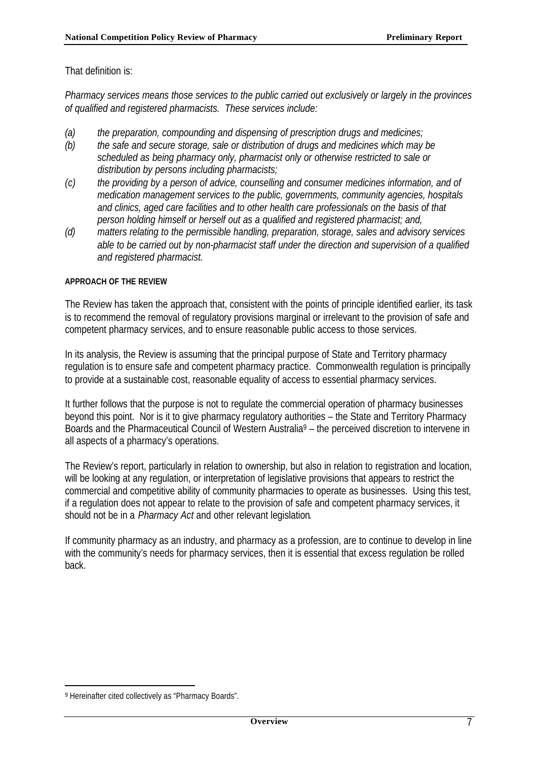That definition is:

*Pharmacy services means those services to the public carried out exclusively or largely in the provinces of qualified and registered pharmacists. These services include:*

- *(a) the preparation, compounding and dispensing of prescription drugs and medicines;*
- *(b) the safe and secure storage, sale or distribution of drugs and medicines which may be scheduled as being pharmacy only, pharmacist only or otherwise restricted to sale or distribution by persons including pharmacists;*
- *(c) the providing by a person of advice, counselling and consumer medicines information, and of medication management services to the public, governments, community agencies, hospitals and clinics, aged care facilities and to other health care professionals on the basis of that person holding himself or herself out as a qualified and registered pharmacist; and,*
- *(d) matters relating to the permissible handling, preparation, storage, sales and advisory services able to be carried out by non-pharmacist staff under the direction and supervision of a qualified and registered pharmacist.*

#### **APPROACH OF THE REVIEW**

The Review has taken the approach that, consistent with the points of principle identified earlier, its task is to recommend the removal of regulatory provisions marginal or irrelevant to the provision of safe and competent pharmacy services, and to ensure reasonable public access to those services.

In its analysis, the Review is assuming that the principal purpose of State and Territory pharmacy regulation is to ensure safe and competent pharmacy practice. Commonwealth regulation is principally to provide at a sustainable cost, reasonable equality of access to essential pharmacy services.

It further follows that the purpose is not to regulate the commercial operation of pharmacy businesses beyond this point. Nor is it to give pharmacy regulatory authorities – the State and Territory Pharmacy Boards and the Pharmaceutical Council of Western Australia<sup>9</sup> – the perceived discretion to intervene in all aspects of a pharmacy's operations.

The Review's report, particularly in relation to ownership, but also in relation to registration and location, will be looking at any regulation, or interpretation of legislative provisions that appears to restrict the commercial and competitive ability of community pharmacies to operate as businesses. Using this test, if a regulation does not appear to relate to the provision of safe and competent pharmacy services, it should not be in a *Pharmacy Act* and other relevant legislation*.*

If community pharmacy as an industry, and pharmacy as a profession, are to continue to develop in line with the community's needs for pharmacy services, then it is essential that excess regulation be rolled back.

<sup>9</sup> Hereinafter cited collectively as "Pharmacy Boards".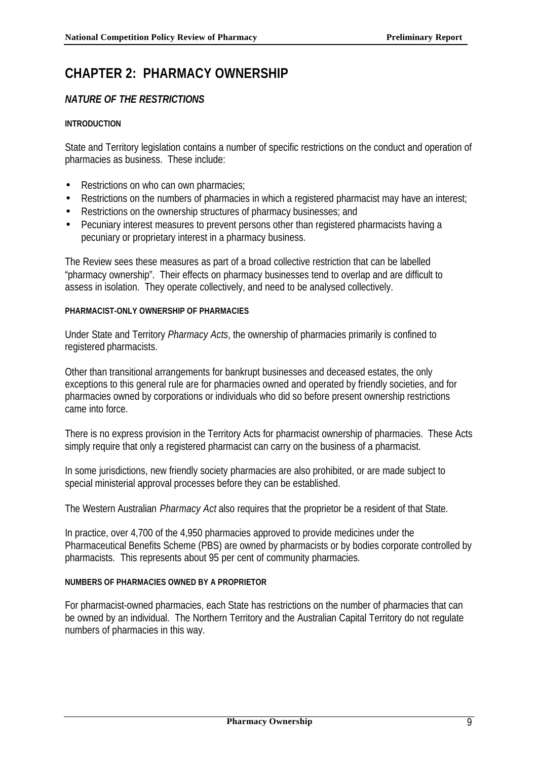## **CHAPTER 2: PHARMACY OWNERSHIP**

## *NATURE OF THE RESTRICTIONS*

#### **INTRODUCTION**

State and Territory legislation contains a number of specific restrictions on the conduct and operation of pharmacies as business. These include:

- Restrictions on who can own pharmacies;
- Restrictions on the numbers of pharmacies in which a registered pharmacist may have an interest;
- Restrictions on the ownership structures of pharmacy businesses; and
- Pecuniary interest measures to prevent persons other than registered pharmacists having a pecuniary or proprietary interest in a pharmacy business.

The Review sees these measures as part of a broad collective restriction that can be labelled "pharmacy ownership". Their effects on pharmacy businesses tend to overlap and are difficult to assess in isolation. They operate collectively, and need to be analysed collectively.

#### **PHARMACIST-ONLY OWNERSHIP OF PHARMACIES**

Under State and Territory *Pharmacy Acts*, the ownership of pharmacies primarily is confined to registered pharmacists.

Other than transitional arrangements for bankrupt businesses and deceased estates, the only exceptions to this general rule are for pharmacies owned and operated by friendly societies, and for pharmacies owned by corporations or individuals who did so before present ownership restrictions came into force.

There is no express provision in the Territory Acts for pharmacist ownership of pharmacies. These Acts simply require that only a registered pharmacist can carry on the business of a pharmacist.

In some jurisdictions, new friendly society pharmacies are also prohibited, or are made subject to special ministerial approval processes before they can be established.

The Western Australian *Pharmacy Act* also requires that the proprietor be a resident of that State.

In practice, over 4,700 of the 4,950 pharmacies approved to provide medicines under the Pharmaceutical Benefits Scheme (PBS) are owned by pharmacists or by bodies corporate controlled by pharmacists. This represents about 95 per cent of community pharmacies.

#### **NUMBERS OF PHARMACIES OWNED BY A PROPRIETOR**

For pharmacist-owned pharmacies, each State has restrictions on the number of pharmacies that can be owned by an individual. The Northern Territory and the Australian Capital Territory do not regulate numbers of pharmacies in this way.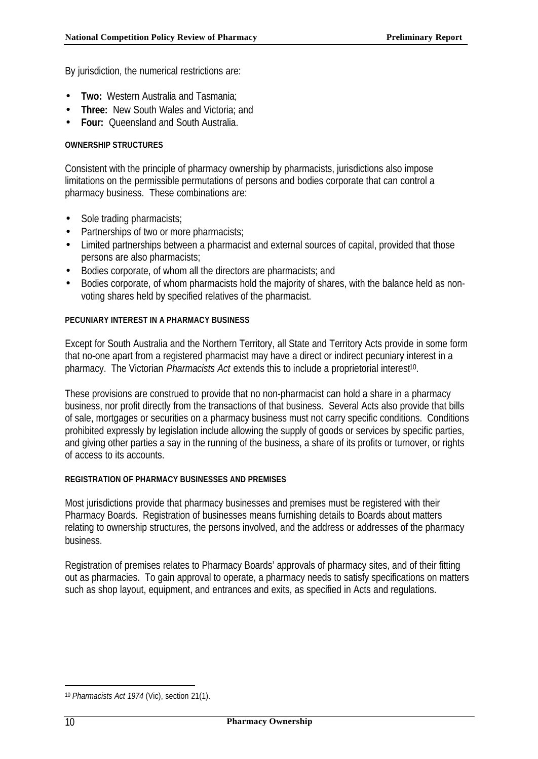By jurisdiction, the numerical restrictions are:

- **Two:** Western Australia and Tasmania;
- **Three:** New South Wales and Victoria; and
- **Four:** Queensland and South Australia.

#### **OWNERSHIP STRUCTURES**

Consistent with the principle of pharmacy ownership by pharmacists, jurisdictions also impose limitations on the permissible permutations of persons and bodies corporate that can control a pharmacy business. These combinations are:

- Sole trading pharmacists;
- Partnerships of two or more pharmacists;
- Limited partnerships between a pharmacist and external sources of capital, provided that those persons are also pharmacists;
- Bodies corporate, of whom all the directors are pharmacists; and
- Bodies corporate, of whom pharmacists hold the majority of shares, with the balance held as nonvoting shares held by specified relatives of the pharmacist.

#### **PECUNIARY INTEREST IN A PHARMACY BUSINESS**

Except for South Australia and the Northern Territory, all State and Territory Acts provide in some form that no-one apart from a registered pharmacist may have a direct or indirect pecuniary interest in a pharmacy. The Victorian *Pharmacists Act* extends this to include a proprietorial interest<sup>10</sup>.

These provisions are construed to provide that no non-pharmacist can hold a share in a pharmacy business, nor profit directly from the transactions of that business. Several Acts also provide that bills of sale, mortgages or securities on a pharmacy business must not carry specific conditions. Conditions prohibited expressly by legislation include allowing the supply of goods or services by specific parties, and giving other parties a say in the running of the business, a share of its profits or turnover, or rights of access to its accounts.

#### **REGISTRATION OF PHARMACY BUSINESSES AND PREMISES**

Most jurisdictions provide that pharmacy businesses and premises must be registered with their Pharmacy Boards. Registration of businesses means furnishing details to Boards about matters relating to ownership structures, the persons involved, and the address or addresses of the pharmacy business.

Registration of premises relates to Pharmacy Boards' approvals of pharmacy sites, and of their fitting out as pharmacies. To gain approval to operate, a pharmacy needs to satisfy specifications on matters such as shop layout, equipment, and entrances and exits, as specified in Acts and regulations.

<sup>10</sup> *Pharmacists Act 1974* (Vic), section 21(1).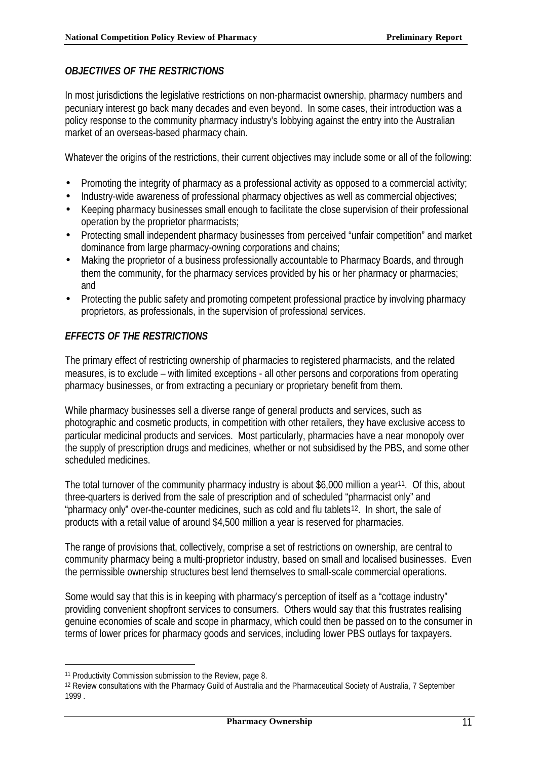## *OBJECTIVES OF THE RESTRICTIONS*

In most jurisdictions the legislative restrictions on non-pharmacist ownership, pharmacy numbers and pecuniary interest go back many decades and even beyond. In some cases, their introduction was a policy response to the community pharmacy industry's lobbying against the entry into the Australian market of an overseas-based pharmacy chain.

Whatever the origins of the restrictions, their current objectives may include some or all of the following:

- Promoting the integrity of pharmacy as a professional activity as opposed to a commercial activity;
- Industry-wide awareness of professional pharmacy objectives as well as commercial objectives;
- Keeping pharmacy businesses small enough to facilitate the close supervision of their professional operation by the proprietor pharmacists;
- Protecting small independent pharmacy businesses from perceived "unfair competition" and market dominance from large pharmacy-owning corporations and chains;
- Making the proprietor of a business professionally accountable to Pharmacy Boards, and through them the community, for the pharmacy services provided by his or her pharmacy or pharmacies; and
- Protecting the public safety and promoting competent professional practice by involving pharmacy proprietors, as professionals, in the supervision of professional services.

## *EFFECTS OF THE RESTRICTIONS*

The primary effect of restricting ownership of pharmacies to registered pharmacists, and the related measures, is to exclude – with limited exceptions - all other persons and corporations from operating pharmacy businesses, or from extracting a pecuniary or proprietary benefit from them.

While pharmacy businesses sell a diverse range of general products and services, such as photographic and cosmetic products, in competition with other retailers, they have exclusive access to particular medicinal products and services. Most particularly, pharmacies have a near monopoly over the supply of prescription drugs and medicines, whether or not subsidised by the PBS, and some other scheduled medicines.

The total turnover of the community pharmacy industry is about \$6,000 million a year<sup>11</sup>. Of this, about three-quarters is derived from the sale of prescription and of scheduled "pharmacist only" and "pharmacy only" over-the-counter medicines, such as cold and flu tablets12. In short, the sale of products with a retail value of around \$4,500 million a year is reserved for pharmacies.

The range of provisions that, collectively, comprise a set of restrictions on ownership, are central to community pharmacy being a multi-proprietor industry, based on small and localised businesses. Even the permissible ownership structures best lend themselves to small-scale commercial operations.

Some would say that this is in keeping with pharmacy's perception of itself as a "cottage industry" providing convenient shopfront services to consumers. Others would say that this frustrates realising genuine economies of scale and scope in pharmacy, which could then be passed on to the consumer in terms of lower prices for pharmacy goods and services, including lower PBS outlays for taxpayers.

<sup>11</sup> Productivity Commission submission to the Review, page 8.

<sup>12</sup> Review consultations with the Pharmacy Guild of Australia and the Pharmaceutical Society of Australia, 7 September 1999 .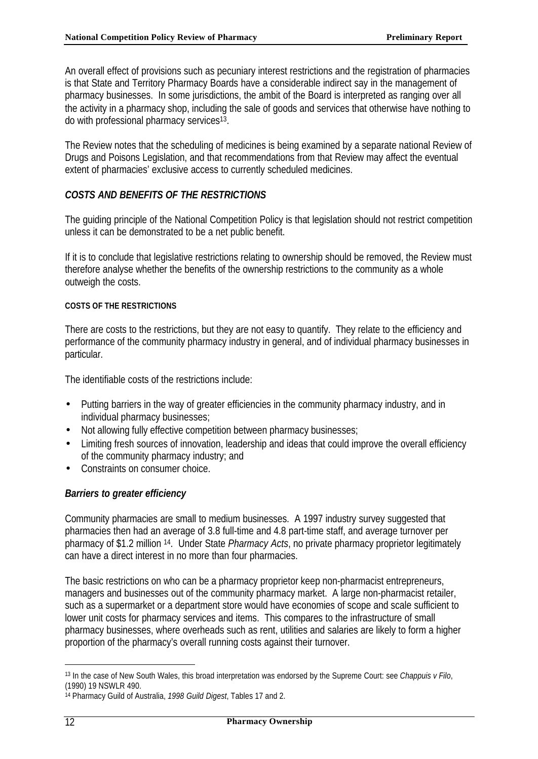An overall effect of provisions such as pecuniary interest restrictions and the registration of pharmacies is that State and Territory Pharmacy Boards have a considerable indirect say in the management of pharmacy businesses. In some jurisdictions, the ambit of the Board is interpreted as ranging over all the activity in a pharmacy shop, including the sale of goods and services that otherwise have nothing to do with professional pharmacy services<sup>13</sup>.

The Review notes that the scheduling of medicines is being examined by a separate national Review of Drugs and Poisons Legislation, and that recommendations from that Review may affect the eventual extent of pharmacies' exclusive access to currently scheduled medicines.

## *COSTS AND BENEFITS OF THE RESTRICTIONS*

The guiding principle of the National Competition Policy is that legislation should not restrict competition unless it can be demonstrated to be a net public benefit.

If it is to conclude that legislative restrictions relating to ownership should be removed, the Review must therefore analyse whether the benefits of the ownership restrictions to the community as a whole outweigh the costs.

#### **COSTS OF THE RESTRICTIONS**

There are costs to the restrictions, but they are not easy to quantify. They relate to the efficiency and performance of the community pharmacy industry in general, and of individual pharmacy businesses in particular.

The identifiable costs of the restrictions include:

- Putting barriers in the way of greater efficiencies in the community pharmacy industry, and in individual pharmacy businesses;
- Not allowing fully effective competition between pharmacy businesses;
- Limiting fresh sources of innovation, leadership and ideas that could improve the overall efficiency of the community pharmacy industry; and
- Constraints on consumer choice.

## *Barriers to greater efficiency*

Community pharmacies are small to medium businesses. A 1997 industry survey suggested that pharmacies then had an average of 3.8 full-time and 4.8 part-time staff, and average turnover per pharmacy of \$1.2 million 14. Under State *Pharmacy Acts*, no private pharmacy proprietor legitimately can have a direct interest in no more than four pharmacies.

The basic restrictions on who can be a pharmacy proprietor keep non-pharmacist entrepreneurs, managers and businesses out of the community pharmacy market. A large non-pharmacist retailer, such as a supermarket or a department store would have economies of scope and scale sufficient to lower unit costs for pharmacy services and items. This compares to the infrastructure of small pharmacy businesses, where overheads such as rent, utilities and salaries are likely to form a higher proportion of the pharmacy's overall running costs against their turnover.

<sup>13</sup> In the case of New South Wales, this broad interpretation was endorsed by the Supreme Court: see *Chappuis v Filo*, (1990) 19 NSWLR 490.

<sup>14</sup> Pharmacy Guild of Australia, *1998 Guild Digest*, Tables 17 and 2.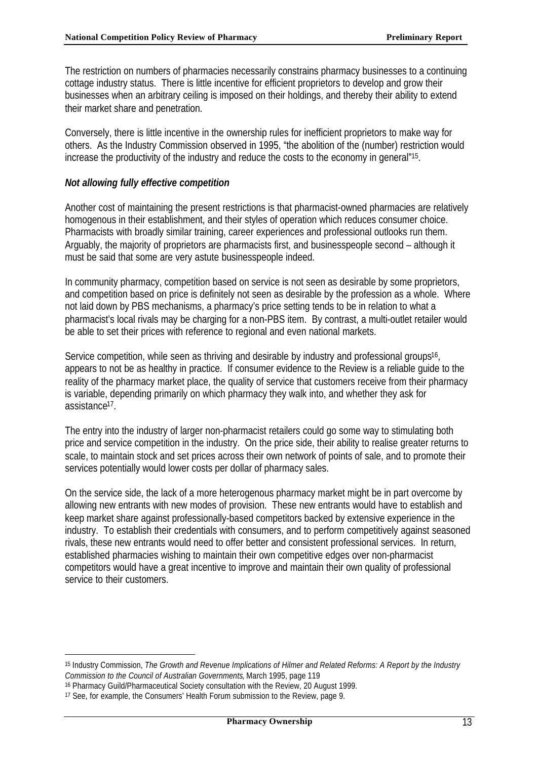The restriction on numbers of pharmacies necessarily constrains pharmacy businesses to a continuing cottage industry status. There is little incentive for efficient proprietors to develop and grow their businesses when an arbitrary ceiling is imposed on their holdings, and thereby their ability to extend their market share and penetration.

Conversely, there is little incentive in the ownership rules for inefficient proprietors to make way for others. As the Industry Commission observed in 1995, "the abolition of the (number) restriction would increase the productivity of the industry and reduce the costs to the economy in general"<sup>15</sup>.

#### *Not allowing fully effective competition*

Another cost of maintaining the present restrictions is that pharmacist-owned pharmacies are relatively homogenous in their establishment, and their styles of operation which reduces consumer choice. Pharmacists with broadly similar training, career experiences and professional outlooks run them. Arguably, the majority of proprietors are pharmacists first, and businesspeople second – although it must be said that some are very astute businesspeople indeed.

In community pharmacy, competition based on service is not seen as desirable by some proprietors, and competition based on price is definitely not seen as desirable by the profession as a whole. Where not laid down by PBS mechanisms, a pharmacy's price setting tends to be in relation to what a pharmacist's local rivals may be charging for a non-PBS item. By contrast, a multi-outlet retailer would be able to set their prices with reference to regional and even national markets.

Service competition, while seen as thriving and desirable by industry and professional groups<sup>16</sup>, appears to not be as healthy in practice. If consumer evidence to the Review is a reliable guide to the reality of the pharmacy market place, the quality of service that customers receive from their pharmacy is variable, depending primarily on which pharmacy they walk into, and whether they ask for assistance<sup>17</sup> .

The entry into the industry of larger non-pharmacist retailers could go some way to stimulating both price and service competition in the industry. On the price side, their ability to realise greater returns to scale, to maintain stock and set prices across their own network of points of sale, and to promote their services potentially would lower costs per dollar of pharmacy sales.

On the service side, the lack of a more heterogenous pharmacy market might be in part overcome by allowing new entrants with new modes of provision. These new entrants would have to establish and keep market share against professionally-based competitors backed by extensive experience in the industry. To establish their credentials with consumers, and to perform competitively against seasoned rivals, these new entrants would need to offer better and consistent professional services. In return, established pharmacies wishing to maintain their own competitive edges over non-pharmacist competitors would have a great incentive to improve and maintain their own quality of professional service to their customers.

<sup>15</sup> Industry Commission, *The Growth and Revenue Implications of Hilmer and Related Reforms: A Report by the Industry Commission to the Council of Australian Governments*, March 1995, page 119

<sup>16</sup> Pharmacy Guild/Pharmaceutical Society consultation with the Review, 20 August 1999.

<sup>17</sup> See, for example, the Consumers' Health Forum submission to the Review, page 9.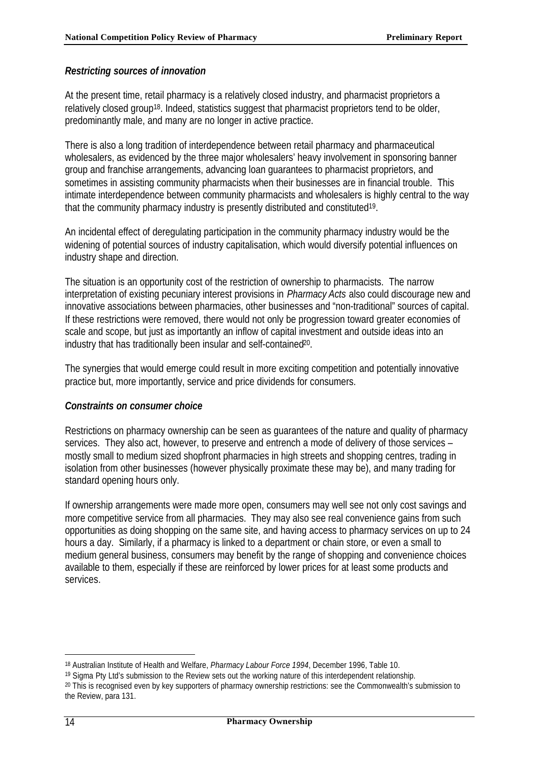### *Restricting sources of innovation*

At the present time, retail pharmacy is a relatively closed industry, and pharmacist proprietors a relatively closed group<sup>18</sup>. Indeed, statistics suggest that pharmacist proprietors tend to be older, predominantly male, and many are no longer in active practice.

There is also a long tradition of interdependence between retail pharmacy and pharmaceutical wholesalers, as evidenced by the three major wholesalers' heavy involvement in sponsoring banner group and franchise arrangements, advancing loan guarantees to pharmacist proprietors, and sometimes in assisting community pharmacists when their businesses are in financial trouble. This intimate interdependence between community pharmacists and wholesalers is highly central to the way that the community pharmacy industry is presently distributed and constituted<sup>19</sup>.

An incidental effect of deregulating participation in the community pharmacy industry would be the widening of potential sources of industry capitalisation, which would diversify potential influences on industry shape and direction.

The situation is an opportunity cost of the restriction of ownership to pharmacists. The narrow interpretation of existing pecuniary interest provisions in *Pharmacy Acts* also could discourage new and innovative associations between pharmacies, other businesses and "non-traditional" sources of capital. If these restrictions were removed, there would not only be progression toward greater economies of scale and scope, but just as importantly an inflow of capital investment and outside ideas into an industry that has traditionally been insular and self-contained<sup>20</sup>.

The synergies that would emerge could result in more exciting competition and potentially innovative practice but, more importantly, service and price dividends for consumers.

#### *Constraints on consumer choice*

Restrictions on pharmacy ownership can be seen as guarantees of the nature and quality of pharmacy services. They also act, however, to preserve and entrench a mode of delivery of those services – mostly small to medium sized shopfront pharmacies in high streets and shopping centres, trading in isolation from other businesses (however physically proximate these may be), and many trading for standard opening hours only.

If ownership arrangements were made more open, consumers may well see not only cost savings and more competitive service from all pharmacies. They may also see real convenience gains from such opportunities as doing shopping on the same site, and having access to pharmacy services on up to 24 hours a day. Similarly, if a pharmacy is linked to a department or chain store, or even a small to medium general business, consumers may benefit by the range of shopping and convenience choices available to them, especially if these are reinforced by lower prices for at least some products and services.

<sup>18</sup> Australian Institute of Health and Welfare, *Pharmacy Labour Force 1994*, December 1996, Table 10.

<sup>19</sup> Sigma Pty Ltd's submission to the Review sets out the working nature of this interdependent relationship.

<sup>20</sup> This is recognised even by key supporters of pharmacy ownership restrictions: see the Commonwealth's submission to the Review, para 131.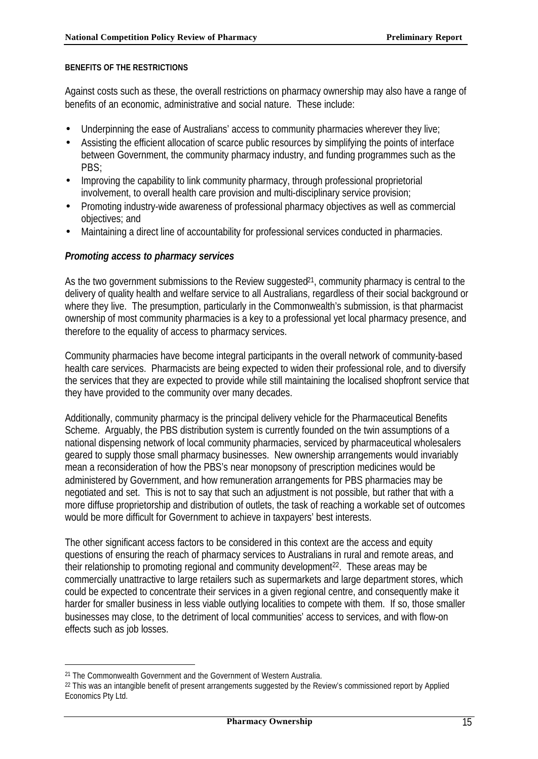#### **BENEFITS OF THE RESTRICTIONS**

Against costs such as these, the overall restrictions on pharmacy ownership may also have a range of benefits of an economic, administrative and social nature. These include:

- Underpinning the ease of Australians' access to community pharmacies wherever they live;
- Assisting the efficient allocation of scarce public resources by simplifying the points of interface between Government, the community pharmacy industry, and funding programmes such as the PBS;
- Improving the capability to link community pharmacy, through professional proprietorial involvement, to overall health care provision and multi-disciplinary service provision;
- Promoting industry-wide awareness of professional pharmacy objectives as well as commercial objectives; and
- Maintaining a direct line of accountability for professional services conducted in pharmacies.

### *Promoting access to pharmacy services*

As the two government submissions to the Review suggested<sup>21</sup>, community pharmacy is central to the delivery of quality health and welfare service to all Australians, regardless of their social background or where they live. The presumption, particularly in the Commonwealth's submission, is that pharmacist ownership of most community pharmacies is a key to a professional yet local pharmacy presence, and therefore to the equality of access to pharmacy services.

Community pharmacies have become integral participants in the overall network of community-based health care services. Pharmacists are being expected to widen their professional role, and to diversify the services that they are expected to provide while still maintaining the localised shopfront service that they have provided to the community over many decades.

Additionally, community pharmacy is the principal delivery vehicle for the Pharmaceutical Benefits Scheme. Arguably, the PBS distribution system is currently founded on the twin assumptions of a national dispensing network of local community pharmacies, serviced by pharmaceutical wholesalers geared to supply those small pharmacy businesses. New ownership arrangements would invariably mean a reconsideration of how the PBS's near monopsony of prescription medicines would be administered by Government, and how remuneration arrangements for PBS pharmacies may be negotiated and set. This is not to say that such an adjustment is not possible, but rather that with a more diffuse proprietorship and distribution of outlets, the task of reaching a workable set of outcomes would be more difficult for Government to achieve in taxpayers' best interests.

The other significant access factors to be considered in this context are the access and equity questions of ensuring the reach of pharmacy services to Australians in rural and remote areas, and their relationship to promoting regional and community development<sup>22</sup>. These areas may be commercially unattractive to large retailers such as supermarkets and large department stores, which could be expected to concentrate their services in a given regional centre, and consequently make it harder for smaller business in less viable outlying localities to compete with them. If so, those smaller businesses may close, to the detriment of local communities' access to services, and with flow-on effects such as job losses.

<sup>21</sup> The Commonwealth Government and the Government of Western Australia.

<sup>&</sup>lt;sup>22</sup> This was an intangible benefit of present arrangements suggested by the Review's commissioned report by Applied Economics Pty Ltd.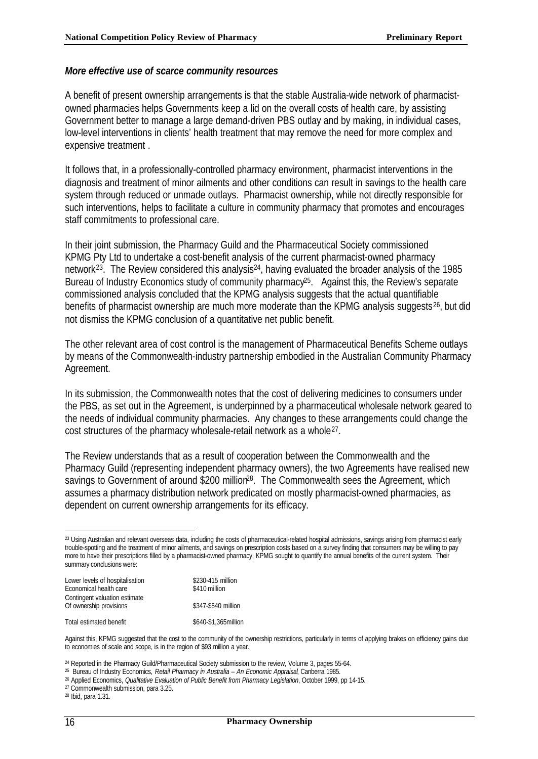#### *More effective use of scarce community resources*

A benefit of present ownership arrangements is that the stable Australia-wide network of pharmacistowned pharmacies helps Governments keep a lid on the overall costs of health care, by assisting Government better to manage a large demand-driven PBS outlay and by making, in individual cases, low-level interventions in clients' health treatment that may remove the need for more complex and expensive treatment .

It follows that, in a professionally-controlled pharmacy environment, pharmacist interventions in the diagnosis and treatment of minor ailments and other conditions can result in savings to the health care system through reduced or unmade outlays. Pharmacist ownership, while not directly responsible for such interventions, helps to facilitate a culture in community pharmacy that promotes and encourages staff commitments to professional care.

In their joint submission, the Pharmacy Guild and the Pharmaceutical Society commissioned KPMG Pty Ltd to undertake a cost-benefit analysis of the current pharmacist-owned pharmacy network<sup>23</sup>. The Review considered this analysis<sup>24</sup>, having evaluated the broader analysis of the 1985 Bureau of Industry Economics study of community pharmacy<sup>25</sup>. Against this, the Review's separate commissioned analysis concluded that the KPMG analysis suggests that the actual quantifiable benefits of pharmacist ownership are much more moderate than the KPMG analysis suggests<sup>26</sup>, but did not dismiss the KPMG conclusion of a quantitative net public benefit.

The other relevant area of cost control is the management of Pharmaceutical Benefits Scheme outlays by means of the Commonwealth-industry partnership embodied in the Australian Community Pharmacy Agreement.

In its submission, the Commonwealth notes that the cost of delivering medicines to consumers under the PBS, as set out in the Agreement, is underpinned by a pharmaceutical wholesale network geared to the needs of individual community pharmacies. Any changes to these arrangements could change the cost structures of the pharmacy wholesale-retail network as a whole<sup>27</sup>.

The Review understands that as a result of cooperation between the Commonwealth and the Pharmacy Guild (representing independent pharmacy owners), the two Agreements have realised new savings to Government of around \$200 million<sup>28</sup>. The Commonwealth sees the Agreement, which assumes a pharmacy distribution network predicated on mostly pharmacist-owned pharmacies, as dependent on current ownership arrangements for its efficacy.

<sup>&</sup>lt;sup>23</sup> Using Australian and relevant overseas data, including the costs of pharmaceutical-related hospital admissions, savings arising from pharmacist early trouble-spotting and the treatment of minor ailments, and savings on prescription costs based on a survey finding that consumers may be willing to pay more to have their prescriptions filled by a pharmacist-owned pharmacy, KPMG sought to quantify the annual benefits of the current system. Their summary conclusions were:

| Lower levels of hospitalisation<br>Economical health care | \$230-415 million<br>\$410 million |
|-----------------------------------------------------------|------------------------------------|
| Contingent valuation estimate<br>Of ownership provisions  | \$347-\$540 million                |
| Total estimated benefit                                   | \$640-\$1,365 million              |

Against this, KPMG suggested that the cost to the community of the ownership restrictions, particularly in terms of applying brakes on efficiency gains due to economies of scale and scope, is in the region of \$93 million a year.

<sup>24</sup> Reported in the Pharmacy Guild/Pharmaceutical Society submission to the review, Volume 3, pages 55-64.

28 Ibid, para 1.31.

<sup>25</sup> Bureau of Industry Economics, *Retail Pharmacy in Australia – An Economic Appraisal*, Canberra 1985.

<sup>26</sup> Applied Economics, *Qualitative Evaluation of Public Benefit from Pharmacy Legislation*, October 1999, pp 14-15.

<sup>27</sup> Commonwealth submission, para 3.25.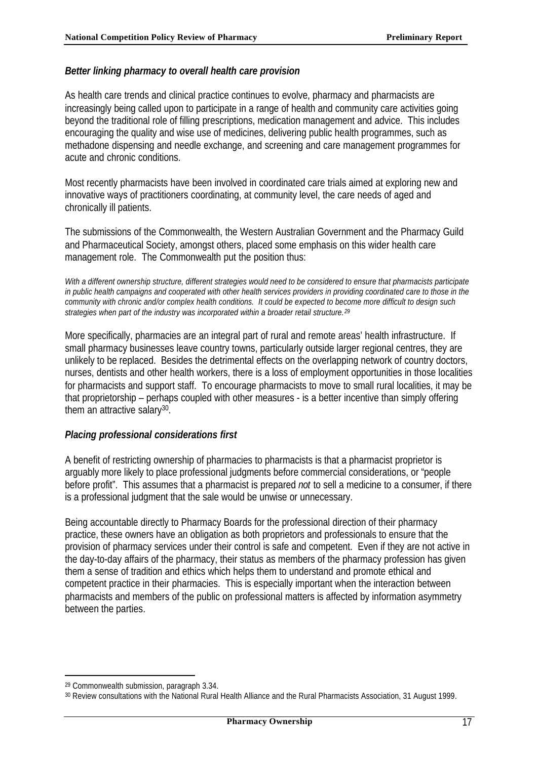#### *Better linking pharmacy to overall health care provision*

As health care trends and clinical practice continues to evolve, pharmacy and pharmacists are increasingly being called upon to participate in a range of health and community care activities going beyond the traditional role of filling prescriptions, medication management and advice. This includes encouraging the quality and wise use of medicines, delivering public health programmes, such as methadone dispensing and needle exchange, and screening and care management programmes for acute and chronic conditions.

Most recently pharmacists have been involved in coordinated care trials aimed at exploring new and innovative ways of practitioners coordinating, at community level, the care needs of aged and chronically ill patients.

The submissions of the Commonwealth, the Western Australian Government and the Pharmacy Guild and Pharmaceutical Society, amongst others, placed some emphasis on this wider health care management role. The Commonwealth put the position thus:

*With a different ownership structure, different strategies would need to be considered to ensure that pharmacists participate in public health campaigns and cooperated with other health services providers in providing coordinated care to those in the community with chronic and/or complex health conditions. It could be expected to become more difficult to design such strategies when part of the industry was incorporated within a broader retail structure. <sup>29</sup>*

More specifically, pharmacies are an integral part of rural and remote areas' health infrastructure. If small pharmacy businesses leave country towns, particularly outside larger regional centres, they are unlikely to be replaced. Besides the detrimental effects on the overlapping network of country doctors, nurses, dentists and other health workers, there is a loss of employment opportunities in those localities for pharmacists and support staff. To encourage pharmacists to move to small rural localities, it may be that proprietorship – perhaps coupled with other measures - is a better incentive than simply offering them an attractive salary<sup>30</sup>.

#### *Placing professional considerations first*

A benefit of restricting ownership of pharmacies to pharmacists is that a pharmacist proprietor is arguably more likely to place professional judgments before commercial considerations, or "people before profit". This assumes that a pharmacist is prepared *not* to sell a medicine to a consumer, if there is a professional judgment that the sale would be unwise or unnecessary.

Being accountable directly to Pharmacy Boards for the professional direction of their pharmacy practice, these owners have an obligation as both proprietors and professionals to ensure that the provision of pharmacy services under their control is safe and competent. Even if they are not active in the day-to-day affairs of the pharmacy, their status as members of the pharmacy profession has given them a sense of tradition and ethics which helps them to understand and promote ethical and competent practice in their pharmacies. This is especially important when the interaction between pharmacists and members of the public on professional matters is affected by information asymmetry between the parties.

<sup>29</sup> Commonwealth submission, paragraph 3.34.

<sup>30</sup> Review consultations with the National Rural Health Alliance and the Rural Pharmacists Association, 31 August 1999.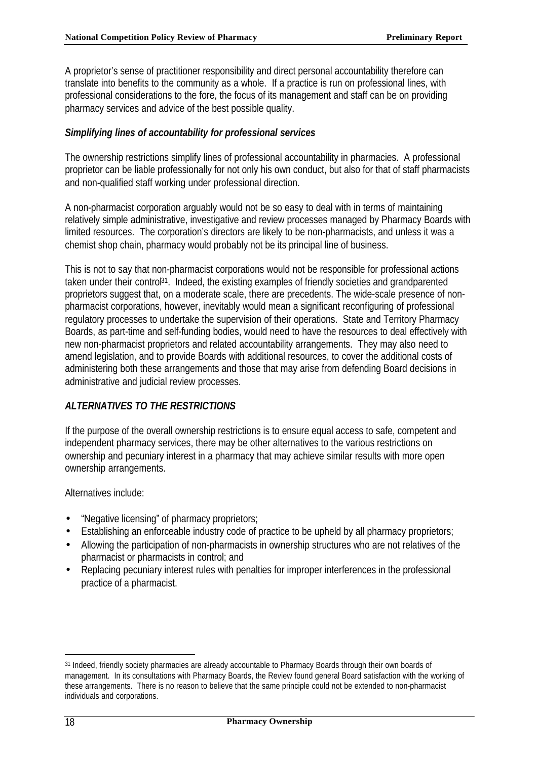A proprietor's sense of practitioner responsibility and direct personal accountability therefore can translate into benefits to the community as a whole. If a practice is run on professional lines, with professional considerations to the fore, the focus of its management and staff can be on providing pharmacy services and advice of the best possible quality.

## *Simplifying lines of accountability for professional services*

The ownership restrictions simplify lines of professional accountability in pharmacies. A professional proprietor can be liable professionally for not only his own conduct, but also for that of staff pharmacists and non-qualified staff working under professional direction.

A non-pharmacist corporation arguably would not be so easy to deal with in terms of maintaining relatively simple administrative, investigative and review processes managed by Pharmacy Boards with limited resources. The corporation's directors are likely to be non-pharmacists, and unless it was a chemist shop chain, pharmacy would probably not be its principal line of business.

This is not to say that non-pharmacist corporations would not be responsible for professional actions taken under their control<sup>31</sup>. Indeed, the existing examples of friendly societies and grandparented proprietors suggest that, on a moderate scale, there are precedents. The wide-scale presence of nonpharmacist corporations, however, inevitably would mean a significant reconfiguring of professional regulatory processes to undertake the supervision of their operations. State and Territory Pharmacy Boards, as part-time and self-funding bodies, would need to have the resources to deal effectively with new non-pharmacist proprietors and related accountability arrangements. They may also need to amend legislation, and to provide Boards with additional resources, to cover the additional costs of administering both these arrangements and those that may arise from defending Board decisions in administrative and judicial review processes.

## *ALTERNATIVES TO THE RESTRICTIONS*

If the purpose of the overall ownership restrictions is to ensure equal access to safe, competent and independent pharmacy services, there may be other alternatives to the various restrictions on ownership and pecuniary interest in a pharmacy that may achieve similar results with more open ownership arrangements.

Alternatives include:

- "Negative licensing" of pharmacy proprietors;
- Establishing an enforceable industry code of practice to be upheld by all pharmacy proprietors;
- Allowing the participation of non-pharmacists in ownership structures who are not relatives of the pharmacist or pharmacists in control; and
- Replacing pecuniary interest rules with penalties for improper interferences in the professional practice of a pharmacist.

<sup>31</sup> Indeed, friendly society pharmacies are already accountable to Pharmacy Boards through their own boards of management. In its consultations with Pharmacy Boards, the Review found general Board satisfaction with the working of these arrangements. There is no reason to believe that the same principle could not be extended to non-pharmacist individuals and corporations.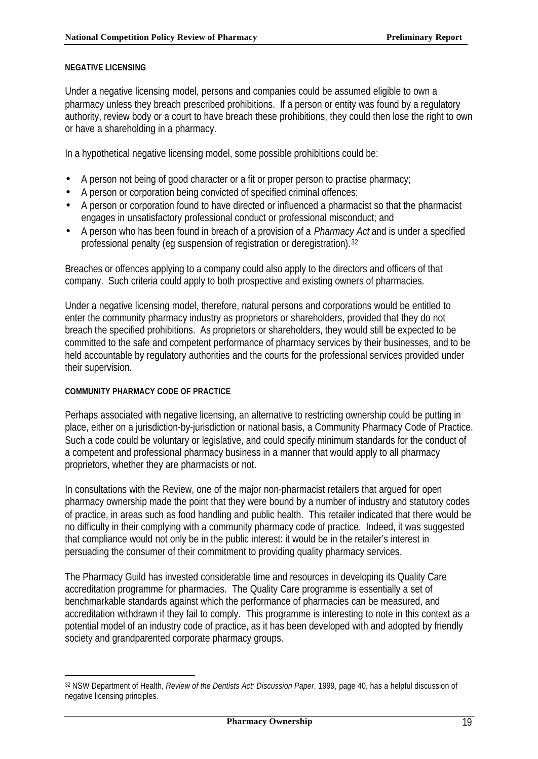#### **NEGATIVE LICENSING**

Under a negative licensing model, persons and companies could be assumed eligible to own a pharmacy unless they breach prescribed prohibitions. If a person or entity was found by a regulatory authority, review body or a court to have breach these prohibitions, they could then lose the right to own or have a shareholding in a pharmacy.

In a hypothetical negative licensing model, some possible prohibitions could be:

- A person not being of good character or a fit or proper person to practise pharmacy;
- A person or corporation being convicted of specified criminal offences;
- A person or corporation found to have directed or influenced a pharmacist so that the pharmacist engages in unsatisfactory professional conduct or professional misconduct; and
- A person who has been found in breach of a provision of a *Pharmacy Act* and is under a specified professional penalty (eq suspension of registration or deregistration).<sup>32</sup>

Breaches or offences applying to a company could also apply to the directors and officers of that company. Such criteria could apply to both prospective and existing owners of pharmacies.

Under a negative licensing model, therefore, natural persons and corporations would be entitled to enter the community pharmacy industry as proprietors or shareholders, provided that they do not breach the specified prohibitions. As proprietors or shareholders, they would still be expected to be committed to the safe and competent performance of pharmacy services by their businesses, and to be held accountable by regulatory authorities and the courts for the professional services provided under their supervision.

#### **COMMUNITY PHARMACY CODE OF PRACTICE**

l

Perhaps associated with negative licensing, an alternative to restricting ownership could be putting in place, either on a jurisdiction-by-jurisdiction or national basis, a Community Pharmacy Code of Practice. Such a code could be voluntary or legislative, and could specify minimum standards for the conduct of a competent and professional pharmacy business in a manner that would apply to all pharmacy proprietors, whether they are pharmacists or not.

In consultations with the Review, one of the major non-pharmacist retailers that argued for open pharmacy ownership made the point that they were bound by a number of industry and statutory codes of practice, in areas such as food handling and public health. This retailer indicated that there would be no difficulty in their complying with a community pharmacy code of practice. Indeed, it was suggested that compliance would not only be in the public interest: it would be in the retailer's interest in persuading the consumer of their commitment to providing quality pharmacy services.

The Pharmacy Guild has invested considerable time and resources in developing its Quality Care accreditation programme for pharmacies. The Quality Care programme is essentially a set of benchmarkable standards against which the performance of pharmacies can be measured, and accreditation withdrawn if they fail to comply. This programme is interesting to note in this context as a potential model of an industry code of practice, as it has been developed with and adopted by friendly society and grandparented corporate pharmacy groups.

<sup>32</sup> NSW Department of Health, *Review of the Dentists Act: Discussion Paper*, 1999, page 40, has a helpful discussion of negative licensing principles.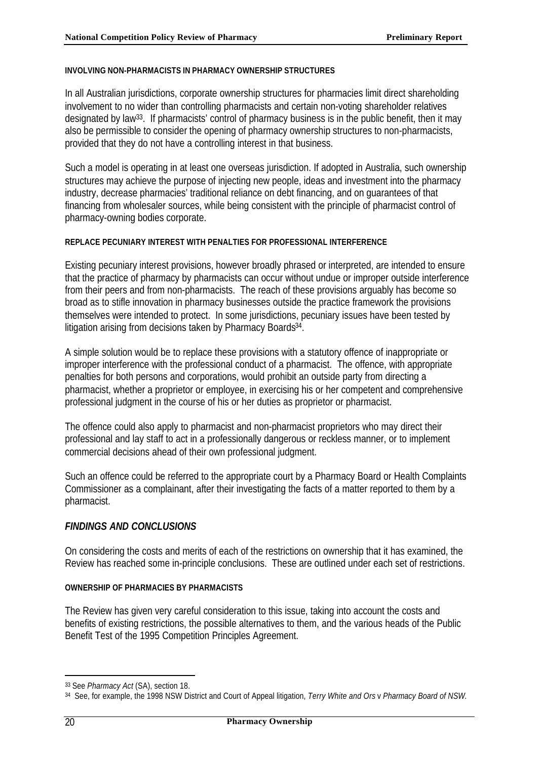#### **INVOLVING NON-PHARMACISTS IN PHARMACY OWNERSHIP STRUCTURES**

In all Australian jurisdictions, corporate ownership structures for pharmacies limit direct shareholding involvement to no wider than controlling pharmacists and certain non-voting shareholder relatives designated by law33. If pharmacists' control of pharmacy business is in the public benefit, then it may also be permissible to consider the opening of pharmacy ownership structures to non-pharmacists, provided that they do not have a controlling interest in that business.

Such a model is operating in at least one overseas jurisdiction. If adopted in Australia, such ownership structures may achieve the purpose of injecting new people, ideas and investment into the pharmacy industry, decrease pharmacies' traditional reliance on debt financing, and on guarantees of that financing from wholesaler sources, while being consistent with the principle of pharmacist control of pharmacy-owning bodies corporate.

#### **REPLACE PECUNIARY INTEREST WITH PENALTIES FOR PROFESSIONAL INTERFERENCE**

Existing pecuniary interest provisions, however broadly phrased or interpreted, are intended to ensure that the practice of pharmacy by pharmacists can occur without undue or improper outside interference from their peers and from non-pharmacists. The reach of these provisions arguably has become so broad as to stifle innovation in pharmacy businesses outside the practice framework the provisions themselves were intended to protect. In some jurisdictions, pecuniary issues have been tested by litigation arising from decisions taken by Pharmacy Boards<sup>34</sup>.

A simple solution would be to replace these provisions with a statutory offence of inappropriate or improper interference with the professional conduct of a pharmacist. The offence, with appropriate penalties for both persons and corporations, would prohibit an outside party from directing a pharmacist, whether a proprietor or employee, in exercising his or her competent and comprehensive professional judgment in the course of his or her duties as proprietor or pharmacist.

The offence could also apply to pharmacist and non-pharmacist proprietors who may direct their professional and lay staff to act in a professionally dangerous or reckless manner, or to implement commercial decisions ahead of their own professional judgment.

Such an offence could be referred to the appropriate court by a Pharmacy Board or Health Complaints Commissioner as a complainant, after their investigating the facts of a matter reported to them by a pharmacist.

#### *FINDINGS AND CONCLUSIONS*

On considering the costs and merits of each of the restrictions on ownership that it has examined, the Review has reached some in-principle conclusions. These are outlined under each set of restrictions.

#### **OWNERSHIP OF PHARMACIES BY PHARMACISTS**

The Review has given very careful consideration to this issue, taking into account the costs and benefits of existing restrictions, the possible alternatives to them, and the various heads of the Public Benefit Test of the 1995 Competition Principles Agreement.

<sup>33</sup> See *Pharmacy Act* (SA), section 18.

<sup>34</sup> See, for example, the 1998 NSW District and Court of Appeal litigation, *Terry White and Ors* v *Pharmacy Board of NSW.*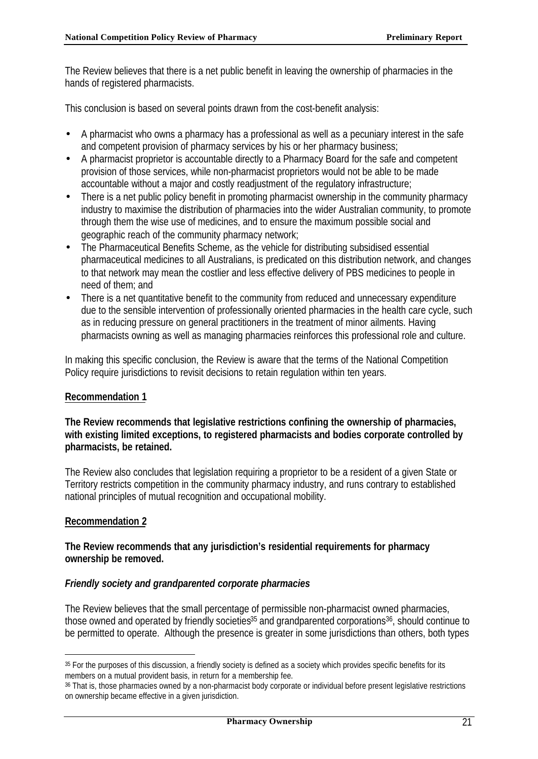The Review believes that there is a net public benefit in leaving the ownership of pharmacies in the hands of registered pharmacists.

This conclusion is based on several points drawn from the cost-benefit analysis:

- A pharmacist who owns a pharmacy has a professional as well as a pecuniary interest in the safe and competent provision of pharmacy services by his or her pharmacy business;
- A pharmacist proprietor is accountable directly to a Pharmacy Board for the safe and competent provision of those services, while non-pharmacist proprietors would not be able to be made accountable without a major and costly readjustment of the regulatory infrastructure;
- There is a net public policy benefit in promoting pharmacist ownership in the community pharmacy industry to maximise the distribution of pharmacies into the wider Australian community, to promote through them the wise use of medicines, and to ensure the maximum possible social and geographic reach of the community pharmacy network;
- The Pharmaceutical Benefits Scheme, as the vehicle for distributing subsidised essential pharmaceutical medicines to all Australians, is predicated on this distribution network, and changes to that network may mean the costlier and less effective delivery of PBS medicines to people in need of them; and
- There is a net quantitative benefit to the community from reduced and unnecessary expenditure due to the sensible intervention of professionally oriented pharmacies in the health care cycle, such as in reducing pressure on general practitioners in the treatment of minor ailments. Having pharmacists owning as well as managing pharmacies reinforces this professional role and culture.

In making this specific conclusion, the Review is aware that the terms of the National Competition Policy require jurisdictions to revisit decisions to retain regulation within ten years.

#### **Recommendation 1**

### **The Review recommends that legislative restrictions confining the ownership of pharmacies, with existing limited exceptions, to registered pharmacists and bodies corporate controlled by pharmacists, be retained.**

The Review also concludes that legislation requiring a proprietor to be a resident of a given State or Territory restricts competition in the community pharmacy industry, and runs contrary to established national principles of mutual recognition and occupational mobility.

## **Recommendation 2**

l

#### **The Review recommends that any jurisdiction's residential requirements for pharmacy ownership be removed.**

#### *Friendly society and grandparented corporate pharmacies*

The Review believes that the small percentage of permissible non-pharmacist owned pharmacies, those owned and operated by friendly societies<sup>35</sup> and grandparented corporations<sup>36</sup>, should continue to be permitted to operate. Although the presence is greater in some jurisdictions than others, both types

<sup>35</sup> For the purposes of this discussion, a friendly society is defined as a society which provides specific benefits for its members on a mutual provident basis, in return for a membership fee.

<sup>36</sup> That is, those pharmacies owned by a non-pharmacist body corporate or individual before present legislative restrictions on ownership became effective in a given jurisdiction.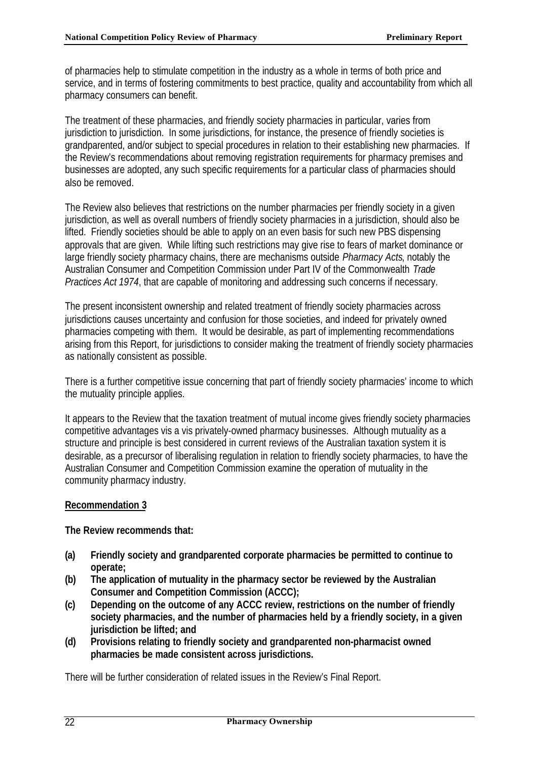of pharmacies help to stimulate competition in the industry as a whole in terms of both price and service, and in terms of fostering commitments to best practice, quality and accountability from which all pharmacy consumers can benefit.

The treatment of these pharmacies, and friendly society pharmacies in particular, varies from jurisdiction to jurisdiction. In some jurisdictions, for instance, the presence of friendly societies is grandparented, and/or subject to special procedures in relation to their establishing new pharmacies. If the Review's recommendations about removing registration requirements for pharmacy premises and businesses are adopted, any such specific requirements for a particular class of pharmacies should also be removed.

The Review also believes that restrictions on the number pharmacies per friendly society in a given jurisdiction, as well as overall numbers of friendly society pharmacies in a jurisdiction, should also be lifted. Friendly societies should be able to apply on an even basis for such new PBS dispensing approvals that are given. While lifting such restrictions may give rise to fears of market dominance or large friendly society pharmacy chains, there are mechanisms outside *Pharmacy Acts*, notably the Australian Consumer and Competition Commission under Part IV of the Commonwealth *Trade Practices Act 1974*, that are capable of monitoring and addressing such concerns if necessary.

The present inconsistent ownership and related treatment of friendly society pharmacies across jurisdictions causes uncertainty and confusion for those societies, and indeed for privately owned pharmacies competing with them. It would be desirable, as part of implementing recommendations arising from this Report, for jurisdictions to consider making the treatment of friendly society pharmacies as nationally consistent as possible.

There is a further competitive issue concerning that part of friendly society pharmacies' income to which the mutuality principle applies.

It appears to the Review that the taxation treatment of mutual income gives friendly society pharmacies competitive advantages vis a vis privately-owned pharmacy businesses. Although mutuality as a structure and principle is best considered in current reviews of the Australian taxation system it is desirable, as a precursor of liberalising regulation in relation to friendly society pharmacies, to have the Australian Consumer and Competition Commission examine the operation of mutuality in the community pharmacy industry.

## **Recommendation 3**

**The Review recommends that:**

- **(a) Friendly society and grandparented corporate pharmacies be permitted to continue to operate;**
- **(b) The application of mutuality in the pharmacy sector be reviewed by the Australian Consumer and Competition Commission (ACCC);**
- **(c) Depending on the outcome of any ACCC review, restrictions on the number of friendly society pharmacies, and the number of pharmacies held by a friendly society, in a given jurisdiction be lifted; and**
- **(d) Provisions relating to friendly society and grandparented non-pharmacist owned pharmacies be made consistent across jurisdictions.**

There will be further consideration of related issues in the Review's Final Report.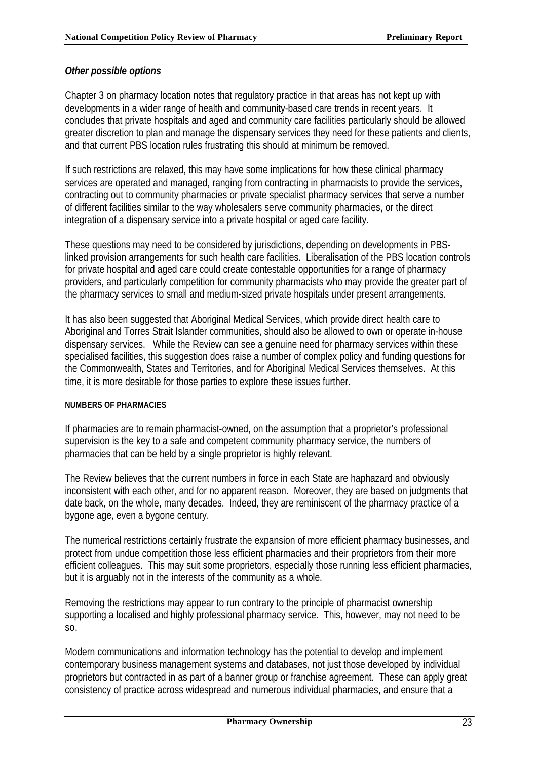## *Other possible options*

Chapter 3 on pharmacy location notes that regulatory practice in that areas has not kept up with developments in a wider range of health and community-based care trends in recent years. It concludes that private hospitals and aged and community care facilities particularly should be allowed greater discretion to plan and manage the dispensary services they need for these patients and clients, and that current PBS location rules frustrating this should at minimum be removed.

If such restrictions are relaxed, this may have some implications for how these clinical pharmacy services are operated and managed, ranging from contracting in pharmacists to provide the services, contracting out to community pharmacies or private specialist pharmacy services that serve a number of different facilities similar to the way wholesalers serve community pharmacies, or the direct integration of a dispensary service into a private hospital or aged care facility.

These questions may need to be considered by jurisdictions, depending on developments in PBSlinked provision arrangements for such health care facilities. Liberalisation of the PBS location controls for private hospital and aged care could create contestable opportunities for a range of pharmacy providers, and particularly competition for community pharmacists who may provide the greater part of the pharmacy services to small and medium-sized private hospitals under present arrangements.

It has also been suggested that Aboriginal Medical Services, which provide direct health care to Aboriginal and Torres Strait Islander communities, should also be allowed to own or operate in-house dispensary services. While the Review can see a genuine need for pharmacy services within these specialised facilities, this suggestion does raise a number of complex policy and funding questions for the Commonwealth, States and Territories, and for Aboriginal Medical Services themselves. At this time, it is more desirable for those parties to explore these issues further.

#### **NUMBERS OF PHARMACIES**

If pharmacies are to remain pharmacist-owned, on the assumption that a proprietor's professional supervision is the key to a safe and competent community pharmacy service, the numbers of pharmacies that can be held by a single proprietor is highly relevant.

The Review believes that the current numbers in force in each State are haphazard and obviously inconsistent with each other, and for no apparent reason. Moreover, they are based on judgments that date back, on the whole, many decades. Indeed, they are reminiscent of the pharmacy practice of a bygone age, even a bygone century.

The numerical restrictions certainly frustrate the expansion of more efficient pharmacy businesses, and protect from undue competition those less efficient pharmacies and their proprietors from their more efficient colleagues. This may suit some proprietors, especially those running less efficient pharmacies, but it is arguably not in the interests of the community as a whole.

Removing the restrictions may appear to run contrary to the principle of pharmacist ownership supporting a localised and highly professional pharmacy service. This, however, may not need to be so.

Modern communications and information technology has the potential to develop and implement contemporary business management systems and databases, not just those developed by individual proprietors but contracted in as part of a banner group or franchise agreement. These can apply great consistency of practice across widespread and numerous individual pharmacies, and ensure that a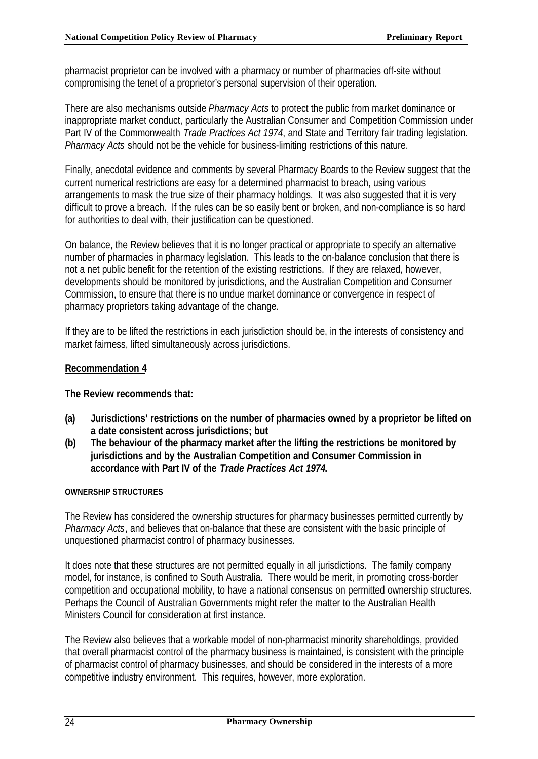pharmacist proprietor can be involved with a pharmacy or number of pharmacies off-site without compromising the tenet of a proprietor's personal supervision of their operation.

There are also mechanisms outside *Pharmacy Acts* to protect the public from market dominance or inappropriate market conduct, particularly the Australian Consumer and Competition Commission under Part IV of the Commonwealth *Trade Practices Act 1974*, and State and Territory fair trading legislation. *Pharmacy Acts* should not be the vehicle for business-limiting restrictions of this nature.

Finally, anecdotal evidence and comments by several Pharmacy Boards to the Review suggest that the current numerical restrictions are easy for a determined pharmacist to breach, using various arrangements to mask the true size of their pharmacy holdings. It was also suggested that it is very difficult to prove a breach. If the rules can be so easily bent or broken, and non-compliance is so hard for authorities to deal with, their justification can be questioned.

On balance, the Review believes that it is no longer practical or appropriate to specify an alternative number of pharmacies in pharmacy legislation. This leads to the on-balance conclusion that there is not a net public benefit for the retention of the existing restrictions. If they are relaxed, however, developments should be monitored by jurisdictions, and the Australian Competition and Consumer Commission, to ensure that there is no undue market dominance or convergence in respect of pharmacy proprietors taking advantage of the change.

If they are to be lifted the restrictions in each jurisdiction should be, in the interests of consistency and market fairness, lifted simultaneously across jurisdictions.

## **Recommendation 4**

**The Review recommends that:**

- **(a) Jurisdictions' restrictions on the number of pharmacies owned by a proprietor be lifted on a date consistent across jurisdictions; but**
- **(b) The behaviour of the pharmacy market after the lifting the restrictions be monitored by jurisdictions and by the Australian Competition and Consumer Commission in accordance with Part IV of the** *Trade Practices Act 1974***.**

#### **OWNERSHIP STRUCTURES**

The Review has considered the ownership structures for pharmacy businesses permitted currently by *Pharmacy Acts*, and believes that on-balance that these are consistent with the basic principle of unquestioned pharmacist control of pharmacy businesses.

It does note that these structures are not permitted equally in all jurisdictions. The family company model, for instance, is confined to South Australia. There would be merit, in promoting cross-border competition and occupational mobility, to have a national consensus on permitted ownership structures. Perhaps the Council of Australian Governments might refer the matter to the Australian Health Ministers Council for consideration at first instance.

The Review also believes that a workable model of non-pharmacist minority shareholdings, provided that overall pharmacist control of the pharmacy business is maintained, is consistent with the principle of pharmacist control of pharmacy businesses, and should be considered in the interests of a more competitive industry environment. This requires, however, more exploration.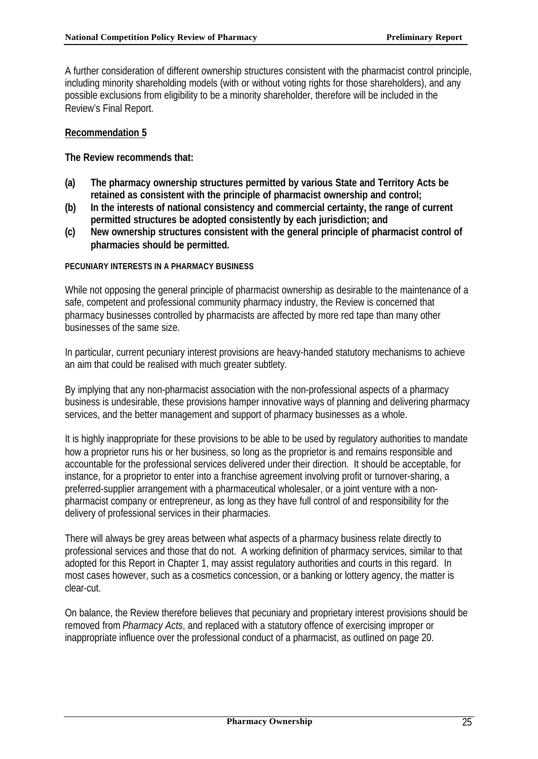A further consideration of different ownership structures consistent with the pharmacist control principle, including minority shareholding models (with or without voting rights for those shareholders), and any possible exclusions from eligibility to be a minority shareholder, therefore will be included in the Review's Final Report.

#### **Recommendation 5**

**The Review recommends that:**

- **(a) The pharmacy ownership structures permitted by various State and Territory Acts be retained as consistent with the principle of pharmacist ownership and control;**
- **(b) In the interests of national consistency and commercial certainty, the range of current permitted structures be adopted consistently by each jurisdiction; and**
- **(c) New ownership structures consistent with the general principle of pharmacist control of pharmacies should be permitted.**

#### **PECUNIARY INTERESTS IN A PHARMACY BUSINESS**

While not opposing the general principle of pharmacist ownership as desirable to the maintenance of a safe, competent and professional community pharmacy industry, the Review is concerned that pharmacy businesses controlled by pharmacists are affected by more red tape than many other businesses of the same size.

In particular, current pecuniary interest provisions are heavy-handed statutory mechanisms to achieve an aim that could be realised with much greater subtlety.

By implying that any non-pharmacist association with the non-professional aspects of a pharmacy business is undesirable, these provisions hamper innovative ways of planning and delivering pharmacy services, and the better management and support of pharmacy businesses as a whole.

It is highly inappropriate for these provisions to be able to be used by regulatory authorities to mandate how a proprietor runs his or her business, so long as the proprietor is and remains responsible and accountable for the professional services delivered under their direction. It should be acceptable, for instance, for a proprietor to enter into a franchise agreement involving profit or turnover-sharing, a preferred-supplier arrangement with a pharmaceutical wholesaler, or a joint venture with a nonpharmacist company or entrepreneur, as long as they have full control of and responsibility for the delivery of professional services in their pharmacies.

There will always be grey areas between what aspects of a pharmacy business relate directly to professional services and those that do not. A working definition of pharmacy services, similar to that adopted for this Report in Chapter 1, may assist regulatory authorities and courts in this regard. In most cases however, such as a cosmetics concession, or a banking or lottery agency, the matter is clear-cut.

On balance, the Review therefore believes that pecuniary and proprietary interest provisions should be removed from *Pharmacy Acts*, and replaced with a statutory offence of exercising improper or inappropriate influence over the professional conduct of a pharmacist, as outlined on page 20.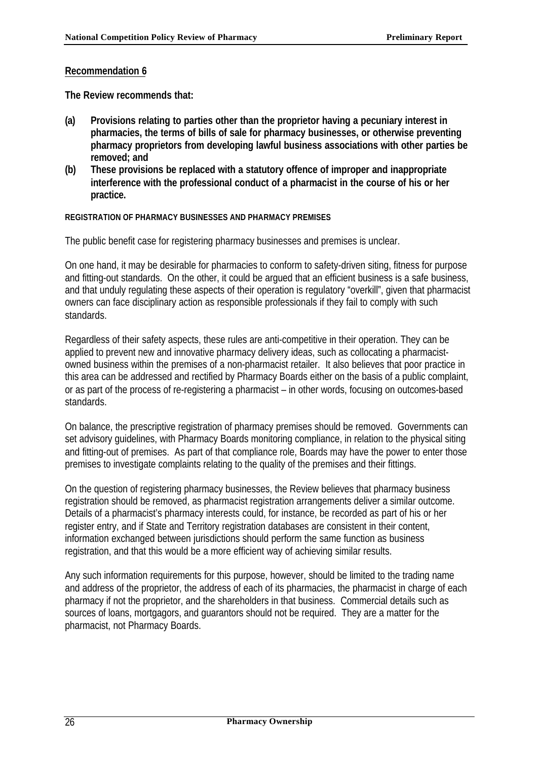#### **Recommendation 6**

**The Review recommends that:**

- **(a) Provisions relating to parties other than the proprietor having a pecuniary interest in pharmacies, the terms of bills of sale for pharmacy businesses, or otherwise preventing pharmacy proprietors from developing lawful business associations with other parties be removed; and**
- **(b) These provisions be replaced with a statutory offence of improper and inappropriate interference with the professional conduct of a pharmacist in the course of his or her practice.**

#### **REGISTRATION OF PHARMACY BUSINESSES AND PHARMACY PREMISES**

The public benefit case for registering pharmacy businesses and premises is unclear.

On one hand, it may be desirable for pharmacies to conform to safety-driven siting, fitness for purpose and fitting-out standards. On the other, it could be argued that an efficient business is a safe business, and that unduly regulating these aspects of their operation is regulatory "overkill", given that pharmacist owners can face disciplinary action as responsible professionals if they fail to comply with such standards.

Regardless of their safety aspects, these rules are anti-competitive in their operation. They can be applied to prevent new and innovative pharmacy delivery ideas, such as collocating a pharmacistowned business within the premises of a non-pharmacist retailer. It also believes that poor practice in this area can be addressed and rectified by Pharmacy Boards either on the basis of a public complaint, or as part of the process of re-registering a pharmacist – in other words, focusing on outcomes-based standards.

On balance, the prescriptive registration of pharmacy premises should be removed. Governments can set advisory guidelines, with Pharmacy Boards monitoring compliance, in relation to the physical siting and fitting-out of premises. As part of that compliance role, Boards may have the power to enter those premises to investigate complaints relating to the quality of the premises and their fittings.

On the question of registering pharmacy businesses, the Review believes that pharmacy business registration should be removed, as pharmacist registration arrangements deliver a similar outcome. Details of a pharmacist's pharmacy interests could, for instance, be recorded as part of his or her register entry, and if State and Territory registration databases are consistent in their content, information exchanged between jurisdictions should perform the same function as business registration, and that this would be a more efficient way of achieving similar results.

Any such information requirements for this purpose, however, should be limited to the trading name and address of the proprietor, the address of each of its pharmacies, the pharmacist in charge of each pharmacy if not the proprietor, and the shareholders in that business. Commercial details such as sources of loans, mortgagors, and guarantors should not be required. They are a matter for the pharmacist, not Pharmacy Boards.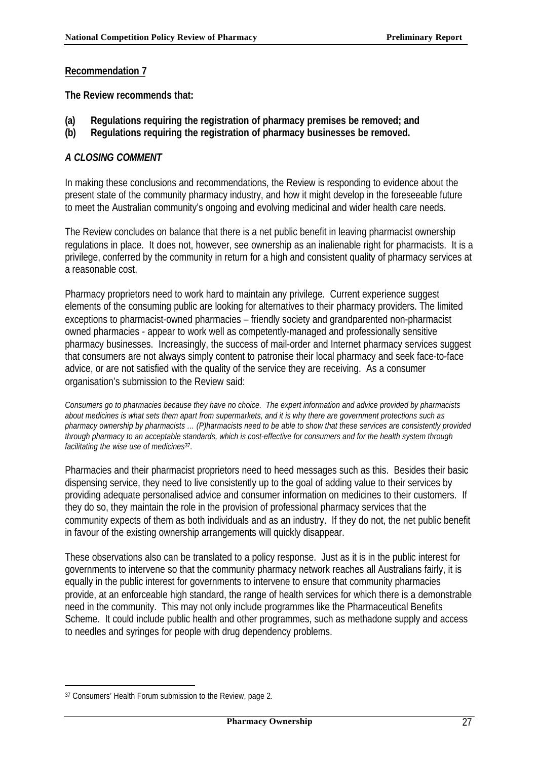#### **Recommendation 7**

**The Review recommends that:**

- **(a) Regulations requiring the registration of pharmacy premises be removed; and**
- **(b) Regulations requiring the registration of pharmacy businesses be removed.**

#### *A CLOSING COMMENT*

In making these conclusions and recommendations, the Review is responding to evidence about the present state of the community pharmacy industry, and how it might develop in the foreseeable future to meet the Australian community's ongoing and evolving medicinal and wider health care needs.

The Review concludes on balance that there is a net public benefit in leaving pharmacist ownership regulations in place. It does not, however, see ownership as an inalienable right for pharmacists. It is a privilege, conferred by the community in return for a high and consistent quality of pharmacy services at a reasonable cost.

Pharmacy proprietors need to work hard to maintain any privilege. Current experience suggest elements of the consuming public are looking for alternatives to their pharmacy providers. The limited exceptions to pharmacist-owned pharmacies – friendly society and grandparented non-pharmacist owned pharmacies - appear to work well as competently-managed and professionally sensitive pharmacy businesses. Increasingly, the success of mail-order and Internet pharmacy services suggest that consumers are not always simply content to patronise their local pharmacy and seek face-to-face advice, or are not satisfied with the quality of the service they are receiving. As a consumer organisation's submission to the Review said:

*Consumers go to pharmacies because they have no choice. The expert information and advice provided by pharmacists about medicines is what sets them apart from supermarkets, and it is why there are government protections such as pharmacy ownership by pharmacists … (P)harmacists need to be able to show that these services are consistently provided through pharmacy to an acceptable standards, which is cost-effective for consumers and for the health system through facilitating the wise use of medicines*37.

Pharmacies and their pharmacist proprietors need to heed messages such as this. Besides their basic dispensing service, they need to live consistently up to the goal of adding value to their services by providing adequate personalised advice and consumer information on medicines to their customers. If they do so, they maintain the role in the provision of professional pharmacy services that the community expects of them as both individuals and as an industry. If they do not, the net public benefit in favour of the existing ownership arrangements will quickly disappear.

These observations also can be translated to a policy response. Just as it is in the public interest for governments to intervene so that the community pharmacy network reaches all Australians fairly, it is equally in the public interest for governments to intervene to ensure that community pharmacies provide, at an enforceable high standard, the range of health services for which there is a demonstrable need in the community. This may not only include programmes like the Pharmaceutical Benefits Scheme. It could include public health and other programmes, such as methadone supply and access to needles and syringes for people with drug dependency problems.

<sup>37</sup> Consumers' Health Forum submission to the Review, page 2.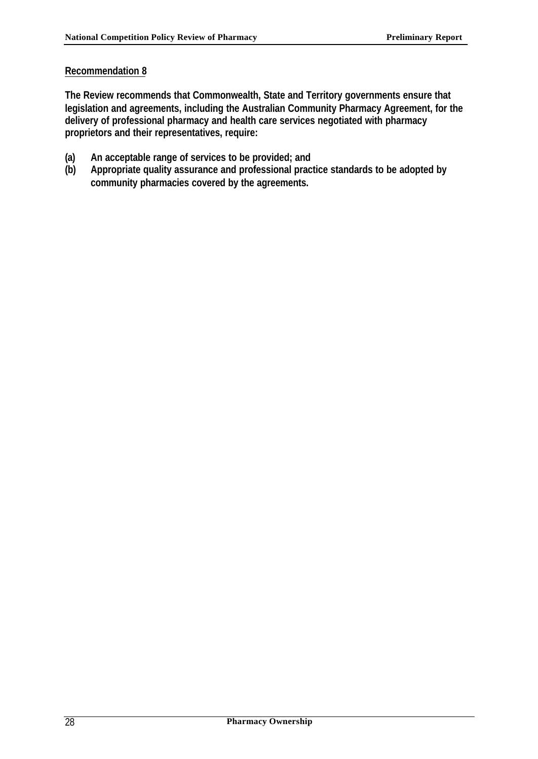## **Recommendation 8**

**The Review recommends that Commonwealth, State and Territory governments ensure that legislation and agreements, including the Australian Community Pharmacy Agreement, for the delivery of professional pharmacy and health care services negotiated with pharmacy proprietors and their representatives, require:**

- **(a) An acceptable range of services to be provided; and**
- **(b) Appropriate quality assurance and professional practice standards to be adopted by community pharmacies covered by the agreements.**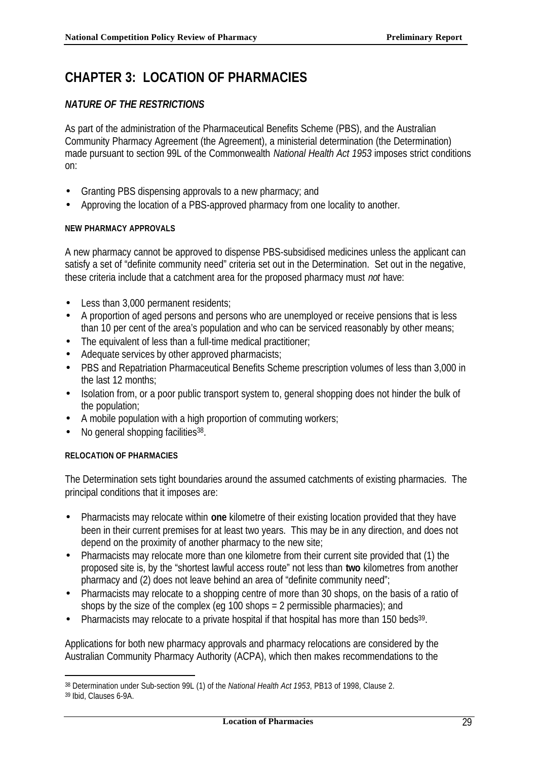## **CHAPTER 3: LOCATION OF PHARMACIES**

## *NATURE OF THE RESTRICTIONS*

As part of the administration of the Pharmaceutical Benefits Scheme (PBS), and the Australian Community Pharmacy Agreement (the Agreement), a ministerial determination (the Determination) made pursuant to section 99L of the Commonwealth *National Health Act 1953* imposes strict conditions on:

- Granting PBS dispensing approvals to a new pharmacy; and
- Approving the location of a PBS-approved pharmacy from one locality to another.

#### **NEW PHARMACY APPROVALS**

A new pharmacy cannot be approved to dispense PBS-subsidised medicines unless the applicant can satisfy a set of "definite community need" criteria set out in the Determination. Set out in the negative, these criteria include that a catchment area for the proposed pharmacy must *not* have:

- Less than 3,000 permanent residents;
- A proportion of aged persons and persons who are unemployed or receive pensions that is less than 10 per cent of the area's population and who can be serviced reasonably by other means;
- The equivalent of less than a full-time medical practitioner;
- Adequate services by other approved pharmacists;
- PBS and Repatriation Pharmaceutical Benefits Scheme prescription volumes of less than 3,000 in the last 12 months;
- Isolation from, or a poor public transport system to, general shopping does not hinder the bulk of the population;
- A mobile population with a high proportion of commuting workers;
- No general shopping facilities<sup>38</sup>.

#### **RELOCATION OF PHARMACIES**

The Determination sets tight boundaries around the assumed catchments of existing pharmacies. The principal conditions that it imposes are:

- Pharmacists may relocate within **one** kilometre of their existing location provided that they have been in their current premises for at least two years. This may be in any direction, and does not depend on the proximity of another pharmacy to the new site;
- Pharmacists may relocate more than one kilometre from their current site provided that (1) the proposed site is, by the "shortest lawful access route" not less than **two** kilometres from another pharmacy and (2) does not leave behind an area of "definite community need";
- Pharmacists may relocate to a shopping centre of more than 30 shops, on the basis of a ratio of shops by the size of the complex (eg 100 shops = 2 permissible pharmacies); and
- Pharmacists may relocate to a private hospital if that hospital has more than 150 beds<sup>39</sup>.

Applications for both new pharmacy approvals and pharmacy relocations are considered by the Australian Community Pharmacy Authority (ACPA), which then makes recommendations to the

<sup>38</sup> Determination under Sub-section 99L (1) of the *National Health Act 1953*, PB13 of 1998, Clause 2.

<sup>39</sup> Ibid, Clauses 6-9A.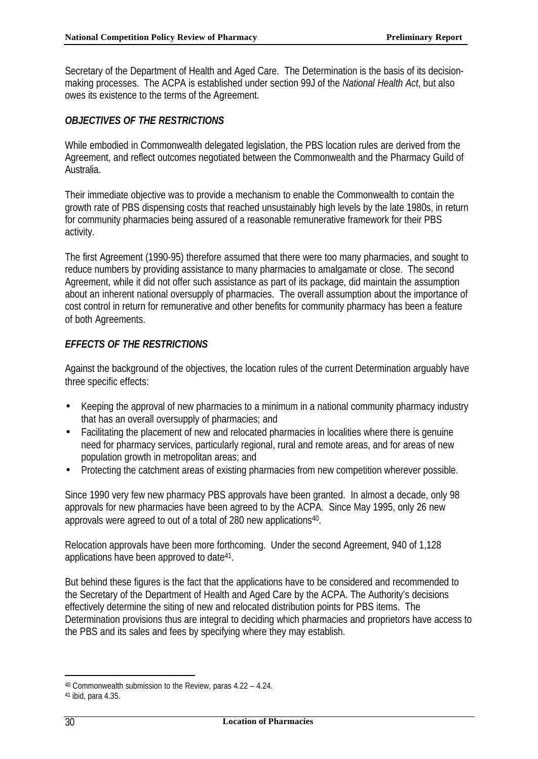Secretary of the Department of Health and Aged Care. The Determination is the basis of its decisionmaking processes. The ACPA is established under section 99J of the *National Health Act*, but also owes its existence to the terms of the Agreement.

# *OBJECTIVES OF THE RESTRICTIONS*

While embodied in Commonwealth delegated legislation, the PBS location rules are derived from the Agreement, and reflect outcomes negotiated between the Commonwealth and the Pharmacy Guild of Australia.

Their immediate objective was to provide a mechanism to enable the Commonwealth to contain the growth rate of PBS dispensing costs that reached unsustainably high levels by the late 1980s, in return for community pharmacies being assured of a reasonable remunerative framework for their PBS activity.

The first Agreement (1990-95) therefore assumed that there were too many pharmacies, and sought to reduce numbers by providing assistance to many pharmacies to amalgamate or close. The second Agreement, while it did not offer such assistance as part of its package, did maintain the assumption about an inherent national oversupply of pharmacies. The overall assumption about the importance of cost control in return for remunerative and other benefits for community pharmacy has been a feature of both Agreements.

# *EFFECTS OF THE RESTRICTIONS*

Against the background of the objectives, the location rules of the current Determination arguably have three specific effects:

- Keeping the approval of new pharmacies to a minimum in a national community pharmacy industry that has an overall oversupply of pharmacies; and
- Facilitating the placement of new and relocated pharmacies in localities where there is genuine need for pharmacy services, particularly regional, rural and remote areas, and for areas of new population growth in metropolitan areas; and
- Protecting the catchment areas of existing pharmacies from new competition wherever possible.

Since 1990 very few new pharmacy PBS approvals have been granted. In almost a decade, only 98 approvals for new pharmacies have been agreed to by the ACPA. Since May 1995, only 26 new approvals were agreed to out of a total of 280 new applications<sup>40</sup>.

Relocation approvals have been more forthcoming. Under the second Agreement, 940 of 1,128 applications have been approved to date<sup>41</sup>.

But behind these figures is the fact that the applications have to be considered and recommended to the Secretary of the Department of Health and Aged Care by the ACPA. The Authority's decisions effectively determine the siting of new and relocated distribution points for PBS items. The Determination provisions thus are integral to deciding which pharmacies and proprietors have access to the PBS and its sales and fees by specifying where they may establish.

<sup>40</sup> Commonwealth submission to the Review, paras 4.22 – 4.24.

<sup>41</sup> ibid, para 4.35.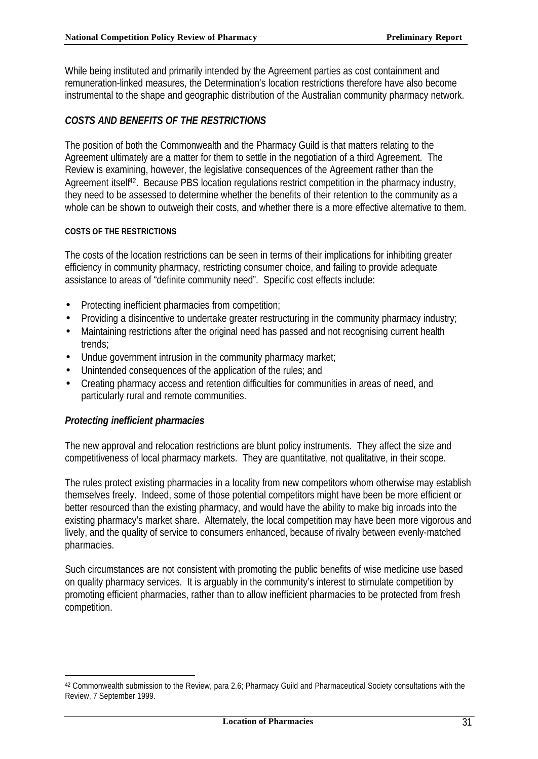While being instituted and primarily intended by the Agreement parties as cost containment and remuneration-linked measures, the Determination's location restrictions therefore have also become instrumental to the shape and geographic distribution of the Australian community pharmacy network.

# *COSTS AND BENEFITS OF THE RESTRICTIONS*

The position of both the Commonwealth and the Pharmacy Guild is that matters relating to the Agreement ultimately are a matter for them to settle in the negotiation of a third Agreement. The Review is examining, however, the legislative consequences of the Agreement rather than the Agreement itself<sup>42</sup>. Because PBS location regulations restrict competition in the pharmacy industry, they need to be assessed to determine whether the benefits of their retention to the community as a whole can be shown to outweigh their costs, and whether there is a more effective alternative to them.

## **COSTS OF THE RESTRICTIONS**

The costs of the location restrictions can be seen in terms of their implications for inhibiting greater efficiency in community pharmacy, restricting consumer choice, and failing to provide adequate assistance to areas of "definite community need". Specific cost effects include:

- Protecting inefficient pharmacies from competition;
- Providing a disincentive to undertake greater restructuring in the community pharmacy industry;
- Maintaining restrictions after the original need has passed and not recognising current health trends;
- Undue government intrusion in the community pharmacy market;
- Unintended consequences of the application of the rules; and
- Creating pharmacy access and retention difficulties for communities in areas of need, and particularly rural and remote communities.

# *Protecting inefficient pharmacies*

l

The new approval and relocation restrictions are blunt policy instruments. They affect the size and competitiveness of local pharmacy markets. They are quantitative, not qualitative, in their scope.

The rules protect existing pharmacies in a locality from new competitors whom otherwise may establish themselves freely. Indeed, some of those potential competitors might have been be more efficient or better resourced than the existing pharmacy, and would have the ability to make big inroads into the existing pharmacy's market share. Alternately, the local competition may have been more vigorous and lively, and the quality of service to consumers enhanced, because of rivalry between evenly-matched pharmacies.

Such circumstances are not consistent with promoting the public benefits of wise medicine use based on quality pharmacy services. It is arguably in the community's interest to stimulate competition by promoting efficient pharmacies, rather than to allow inefficient pharmacies to be protected from fresh competition.

<sup>42</sup> Commonwealth submission to the Review, para 2.6; Pharmacy Guild and Pharmaceutical Society consultations with the Review, 7 September 1999.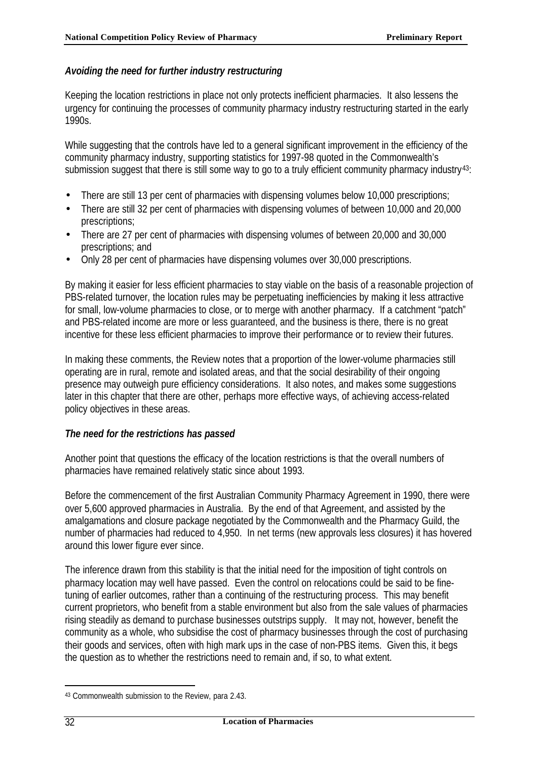# *Avoiding the need for further industry restructuring*

Keeping the location restrictions in place not only protects inefficient pharmacies. It also lessens the urgency for continuing the processes of community pharmacy industry restructuring started in the early 1990s.

While suggesting that the controls have led to a general significant improvement in the efficiency of the community pharmacy industry, supporting statistics for 1997-98 quoted in the Commonwealth's submission suggest that there is still some way to go to a truly efficient community pharmacy industry<sup>43</sup>:

- There are still 13 per cent of pharmacies with dispensing volumes below 10,000 prescriptions;
- There are still 32 per cent of pharmacies with dispensing volumes of between 10,000 and 20,000 prescriptions;
- There are 27 per cent of pharmacies with dispensing volumes of between 20,000 and 30,000 prescriptions; and
- Only 28 per cent of pharmacies have dispensing volumes over 30,000 prescriptions.

By making it easier for less efficient pharmacies to stay viable on the basis of a reasonable projection of PBS-related turnover, the location rules may be perpetuating inefficiencies by making it less attractive for small, low-volume pharmacies to close, or to merge with another pharmacy. If a catchment "patch" and PBS-related income are more or less guaranteed, and the business is there, there is no great incentive for these less efficient pharmacies to improve their performance or to review their futures.

In making these comments, the Review notes that a proportion of the lower-volume pharmacies still operating are in rural, remote and isolated areas, and that the social desirability of their ongoing presence may outweigh pure efficiency considerations. It also notes, and makes some suggestions later in this chapter that there are other, perhaps more effective ways, of achieving access-related policy objectives in these areas.

# *The need for the restrictions has passed*

Another point that questions the efficacy of the location restrictions is that the overall numbers of pharmacies have remained relatively static since about 1993.

Before the commencement of the first Australian Community Pharmacy Agreement in 1990, there were over 5,600 approved pharmacies in Australia. By the end of that Agreement, and assisted by the amalgamations and closure package negotiated by the Commonwealth and the Pharmacy Guild, the number of pharmacies had reduced to 4,950. In net terms (new approvals less closures) it has hovered around this lower figure ever since.

The inference drawn from this stability is that the initial need for the imposition of tight controls on pharmacy location may well have passed. Even the control on relocations could be said to be finetuning of earlier outcomes, rather than a continuing of the restructuring process. This may benefit current proprietors, who benefit from a stable environment but also from the sale values of pharmacies rising steadily as demand to purchase businesses outstrips supply. It may not, however, benefit the community as a whole, who subsidise the cost of pharmacy businesses through the cost of purchasing their goods and services, often with high mark ups in the case of non-PBS items. Given this, it begs the question as to whether the restrictions need to remain and, if so, to what extent.

<sup>43</sup> Commonwealth submission to the Review, para 2.43.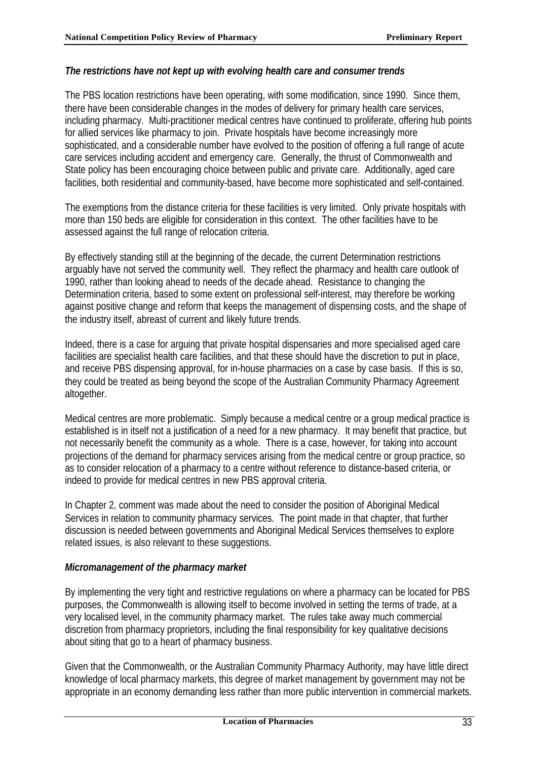## *The restrictions have not kept up with evolving health care and consumer trends*

The PBS location restrictions have been operating, with some modification, since 1990. Since them, there have been considerable changes in the modes of delivery for primary health care services, including pharmacy. Multi-practitioner medical centres have continued to proliferate, offering hub points for allied services like pharmacy to join. Private hospitals have become increasingly more sophisticated, and a considerable number have evolved to the position of offering a full range of acute care services including accident and emergency care. Generally, the thrust of Commonwealth and State policy has been encouraging choice between public and private care. Additionally, aged care facilities, both residential and community-based, have become more sophisticated and self-contained.

The exemptions from the distance criteria for these facilities is very limited. Only private hospitals with more than 150 beds are eligible for consideration in this context. The other facilities have to be assessed against the full range of relocation criteria.

By effectively standing still at the beginning of the decade, the current Determination restrictions arguably have not served the community well. They reflect the pharmacy and health care outlook of 1990, rather than looking ahead to needs of the decade ahead. Resistance to changing the Determination criteria, based to some extent on professional self-interest, may therefore be working against positive change and reform that keeps the management of dispensing costs, and the shape of the industry itself, abreast of current and likely future trends.

Indeed, there is a case for arguing that private hospital dispensaries and more specialised aged care facilities are specialist health care facilities, and that these should have the discretion to put in place, and receive PBS dispensing approval, for in-house pharmacies on a case by case basis. If this is so, they could be treated as being beyond the scope of the Australian Community Pharmacy Agreement altogether.

Medical centres are more problematic. Simply because a medical centre or a group medical practice is established is in itself not a justification of a need for a new pharmacy. It may benefit that practice, but not necessarily benefit the community as a whole. There is a case, however, for taking into account projections of the demand for pharmacy services arising from the medical centre or group practice, so as to consider relocation of a pharmacy to a centre without reference to distance-based criteria, or indeed to provide for medical centres in new PBS approval criteria.

In Chapter 2, comment was made about the need to consider the position of Aboriginal Medical Services in relation to community pharmacy services. The point made in that chapter, that further discussion is needed between governments and Aboriginal Medical Services themselves to explore related issues, is also relevant to these suggestions.

# *Micromanagement of the pharmacy market*

By implementing the very tight and restrictive regulations on where a pharmacy can be located for PBS purposes, the Commonwealth is allowing itself to become involved in setting the terms of trade, at a very localised level, in the community pharmacy market. The rules take away much commercial discretion from pharmacy proprietors, including the final responsibility for key qualitative decisions about siting that go to a heart of pharmacy business.

Given that the Commonwealth, or the Australian Community Pharmacy Authority, may have little direct knowledge of local pharmacy markets, this degree of market management by government may not be appropriate in an economy demanding less rather than more public intervention in commercial markets.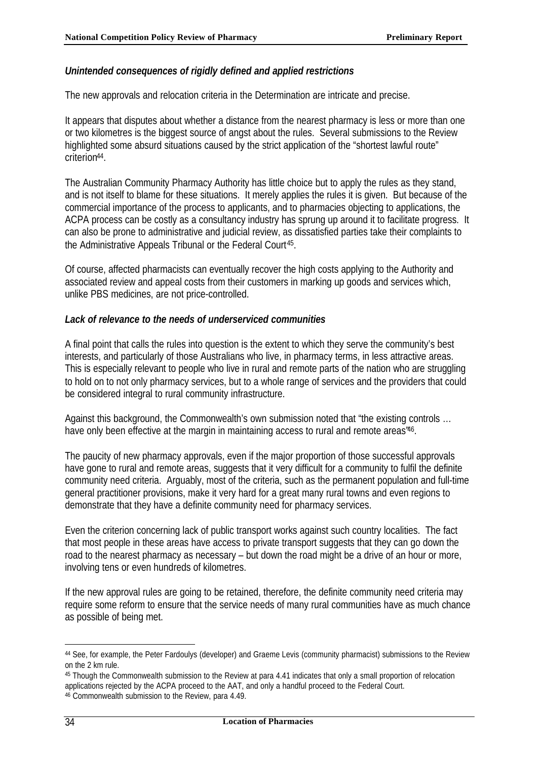## *Unintended consequences of rigidly defined and applied restrictions*

The new approvals and relocation criteria in the Determination are intricate and precise.

It appears that disputes about whether a distance from the nearest pharmacy is less or more than one or two kilometres is the biggest source of angst about the rules. Several submissions to the Review highlighted some absurd situations caused by the strict application of the "shortest lawful route" criterion<sup>44</sup> .

The Australian Community Pharmacy Authority has little choice but to apply the rules as they stand, and is not itself to blame for these situations. It merely applies the rules it is given. But because of the commercial importance of the process to applicants, and to pharmacies objecting to applications, the ACPA process can be costly as a consultancy industry has sprung up around it to facilitate progress. It can also be prone to administrative and judicial review, as dissatisfied parties take their complaints to the Administrative Appeals Tribunal or the Federal Court<sup>45</sup>.

Of course, affected pharmacists can eventually recover the high costs applying to the Authority and associated review and appeal costs from their customers in marking up goods and services which, unlike PBS medicines, are not price-controlled.

## *Lack of relevance to the needs of underserviced communities*

A final point that calls the rules into question is the extent to which they serve the community's best interests, and particularly of those Australians who live, in pharmacy terms, in less attractive areas. This is especially relevant to people who live in rural and remote parts of the nation who are struggling to hold on to not only pharmacy services, but to a whole range of services and the providers that could be considered integral to rural community infrastructure.

Against this background, the Commonwealth's own submission noted that "the existing controls … have only been effective at the margin in maintaining access to rural and remote areas<sup>46</sup>.

The paucity of new pharmacy approvals, even if the major proportion of those successful approvals have gone to rural and remote areas, suggests that it very difficult for a community to fulfil the definite community need criteria. Arguably, most of the criteria, such as the permanent population and full-time general practitioner provisions, make it very hard for a great many rural towns and even regions to demonstrate that they have a definite community need for pharmacy services.

Even the criterion concerning lack of public transport works against such country localities. The fact that most people in these areas have access to private transport suggests that they can go down the road to the nearest pharmacy as necessary – but down the road might be a drive of an hour or more, involving tens or even hundreds of kilometres.

If the new approval rules are going to be retained, therefore, the definite community need criteria may require some reform to ensure that the service needs of many rural communities have as much chance as possible of being met.

<sup>44</sup> See, for example, the Peter Fardoulys (developer) and Graeme Levis (community pharmacist) submissions to the Review on the 2 km rule.

<sup>45</sup> Though the Commonwealth submission to the Review at para 4.41 indicates that only a small proportion of relocation applications rejected by the ACPA proceed to the AAT, and only a handful proceed to the Federal Court. 46 Commonwealth submission to the Review, para 4.49.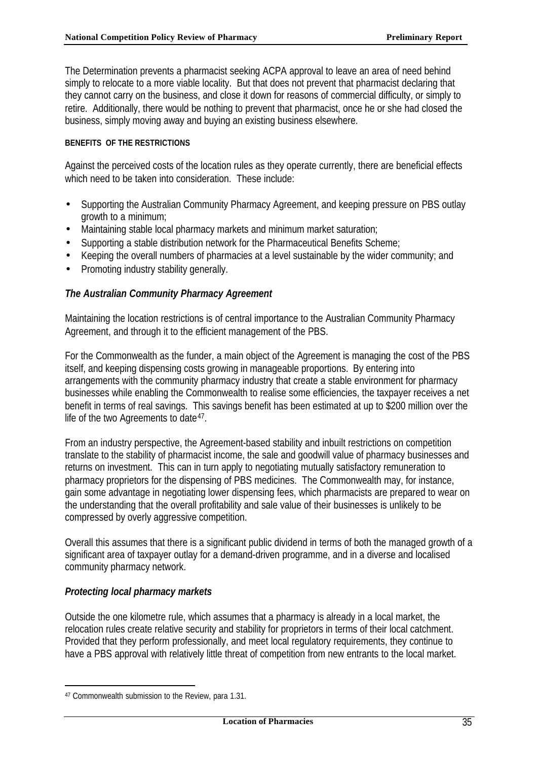The Determination prevents a pharmacist seeking ACPA approval to leave an area of need behind simply to relocate to a more viable locality. But that does not prevent that pharmacist declaring that they cannot carry on the business, and close it down for reasons of commercial difficulty, or simply to retire. Additionally, there would be nothing to prevent that pharmacist, once he or she had closed the business, simply moving away and buying an existing business elsewhere.

## **BENEFITS OF THE RESTRICTIONS**

Against the perceived costs of the location rules as they operate currently, there are beneficial effects which need to be taken into consideration. These include:

- Supporting the Australian Community Pharmacy Agreement, and keeping pressure on PBS outlay growth to a minimum;
- Maintaining stable local pharmacy markets and minimum market saturation;
- Supporting a stable distribution network for the Pharmaceutical Benefits Scheme;
- Keeping the overall numbers of pharmacies at a level sustainable by the wider community; and
- Promoting industry stability generally.

# *The Australian Community Pharmacy Agreement*

Maintaining the location restrictions is of central importance to the Australian Community Pharmacy Agreement, and through it to the efficient management of the PBS.

For the Commonwealth as the funder, a main object of the Agreement is managing the cost of the PBS itself, and keeping dispensing costs growing in manageable proportions. By entering into arrangements with the community pharmacy industry that create a stable environment for pharmacy businesses while enabling the Commonwealth to realise some efficiencies, the taxpayer receives a net benefit in terms of real savings. This savings benefit has been estimated at up to \$200 million over the life of the two Agreements to date<sup>47</sup>.

From an industry perspective, the Agreement-based stability and inbuilt restrictions on competition translate to the stability of pharmacist income, the sale and goodwill value of pharmacy businesses and returns on investment. This can in turn apply to negotiating mutually satisfactory remuneration to pharmacy proprietors for the dispensing of PBS medicines. The Commonwealth may, for instance, gain some advantage in negotiating lower dispensing fees, which pharmacists are prepared to wear on the understanding that the overall profitability and sale value of their businesses is unlikely to be compressed by overly aggressive competition.

Overall this assumes that there is a significant public dividend in terms of both the managed growth of a significant area of taxpayer outlay for a demand-driven programme, and in a diverse and localised community pharmacy network.

# *Protecting local pharmacy markets*

l

Outside the one kilometre rule, which assumes that a pharmacy is already in a local market, the relocation rules create relative security and stability for proprietors in terms of their local catchment. Provided that they perform professionally, and meet local regulatory requirements, they continue to have a PBS approval with relatively little threat of competition from new entrants to the local market.

<sup>47</sup> Commonwealth submission to the Review, para 1.31.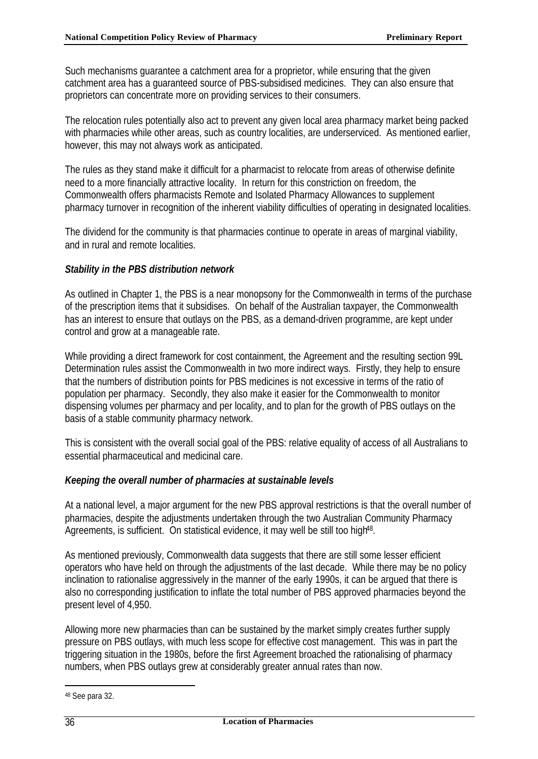Such mechanisms guarantee a catchment area for a proprietor, while ensuring that the given catchment area has a guaranteed source of PBS-subsidised medicines. They can also ensure that proprietors can concentrate more on providing services to their consumers.

The relocation rules potentially also act to prevent any given local area pharmacy market being packed with pharmacies while other areas, such as country localities, are underserviced. As mentioned earlier, however, this may not always work as anticipated.

The rules as they stand make it difficult for a pharmacist to relocate from areas of otherwise definite need to a more financially attractive locality. In return for this constriction on freedom, the Commonwealth offers pharmacists Remote and Isolated Pharmacy Allowances to supplement pharmacy turnover in recognition of the inherent viability difficulties of operating in designated localities.

The dividend for the community is that pharmacies continue to operate in areas of marginal viability, and in rural and remote localities.

## *Stability in the PBS distribution network*

As outlined in Chapter 1, the PBS is a near monopsony for the Commonwealth in terms of the purchase of the prescription items that it subsidises. On behalf of the Australian taxpayer, the Commonwealth has an interest to ensure that outlays on the PBS, as a demand-driven programme, are kept under control and grow at a manageable rate.

While providing a direct framework for cost containment, the Agreement and the resulting section 99L Determination rules assist the Commonwealth in two more indirect ways. Firstly, they help to ensure that the numbers of distribution points for PBS medicines is not excessive in terms of the ratio of population per pharmacy. Secondly, they also make it easier for the Commonwealth to monitor dispensing volumes per pharmacy and per locality, and to plan for the growth of PBS outlays on the basis of a stable community pharmacy network.

This is consistent with the overall social goal of the PBS: relative equality of access of all Australians to essential pharmaceutical and medicinal care.

# *Keeping the overall number of pharmacies at sustainable levels*

At a national level, a major argument for the new PBS approval restrictions is that the overall number of pharmacies, despite the adjustments undertaken through the two Australian Community Pharmacy Agreements, is sufficient. On statistical evidence, it may well be still too high<sup>48</sup>.

As mentioned previously, Commonwealth data suggests that there are still some lesser efficient operators who have held on through the adjustments of the last decade. While there may be no policy inclination to rationalise aggressively in the manner of the early 1990s, it can be argued that there is also no corresponding justification to inflate the total number of PBS approved pharmacies beyond the present level of 4,950.

Allowing more new pharmacies than can be sustained by the market simply creates further supply pressure on PBS outlays, with much less scope for effective cost management. This was in part the triggering situation in the 1980s, before the first Agreement broached the rationalising of pharmacy numbers, when PBS outlays grew at considerably greater annual rates than now.

<sup>48</sup> See para 32.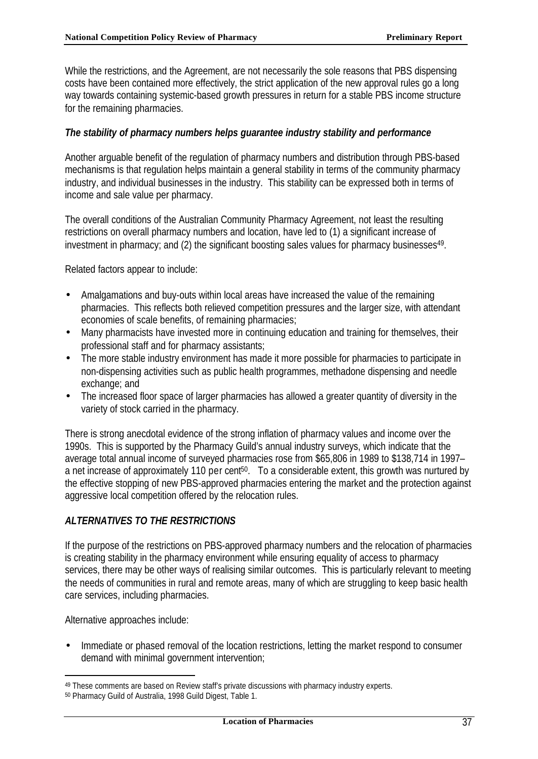While the restrictions, and the Agreement, are not necessarily the sole reasons that PBS dispensing costs have been contained more effectively, the strict application of the new approval rules go a long way towards containing systemic-based growth pressures in return for a stable PBS income structure for the remaining pharmacies.

## *The stability of pharmacy numbers helps guarantee industry stability and performance*

Another arguable benefit of the regulation of pharmacy numbers and distribution through PBS-based mechanisms is that regulation helps maintain a general stability in terms of the community pharmacy industry, and individual businesses in the industry. This stability can be expressed both in terms of income and sale value per pharmacy.

The overall conditions of the Australian Community Pharmacy Agreement, not least the resulting restrictions on overall pharmacy numbers and location, have led to (1) a significant increase of investment in pharmacy; and (2) the significant boosting sales values for pharmacy businesses<sup>49</sup>.

Related factors appear to include:

- Amalgamations and buy-outs within local areas have increased the value of the remaining pharmacies. This reflects both relieved competition pressures and the larger size, with attendant economies of scale benefits, of remaining pharmacies;
- Many pharmacists have invested more in continuing education and training for themselves, their professional staff and for pharmacy assistants;
- The more stable industry environment has made it more possible for pharmacies to participate in non-dispensing activities such as public health programmes, methadone dispensing and needle exchange; and
- The increased floor space of larger pharmacies has allowed a greater quantity of diversity in the variety of stock carried in the pharmacy.

There is strong anecdotal evidence of the strong inflation of pharmacy values and income over the 1990s. This is supported by the Pharmacy Guild's annual industry surveys, which indicate that the average total annual income of surveyed pharmacies rose from \$65,806 in 1989 to \$138,714 in 1997– a net increase of approximately 110 per cent<sup>50</sup>. To a considerable extent, this growth was nurtured by the effective stopping of new PBS-approved pharmacies entering the market and the protection against aggressive local competition offered by the relocation rules.

# *ALTERNATIVES TO THE RESTRICTIONS*

If the purpose of the restrictions on PBS-approved pharmacy numbers and the relocation of pharmacies is creating stability in the pharmacy environment while ensuring equality of access to pharmacy services, there may be other ways of realising similar outcomes. This is particularly relevant to meeting the needs of communities in rural and remote areas, many of which are struggling to keep basic health care services, including pharmacies.

Alternative approaches include:

l

• Immediate or phased removal of the location restrictions, letting the market respond to consumer demand with minimal government intervention;

<sup>49</sup> These comments are based on Review staff's private discussions with pharmacy industry experts.

<sup>50</sup> Pharmacy Guild of Australia, 1998 Guild Digest, Table 1.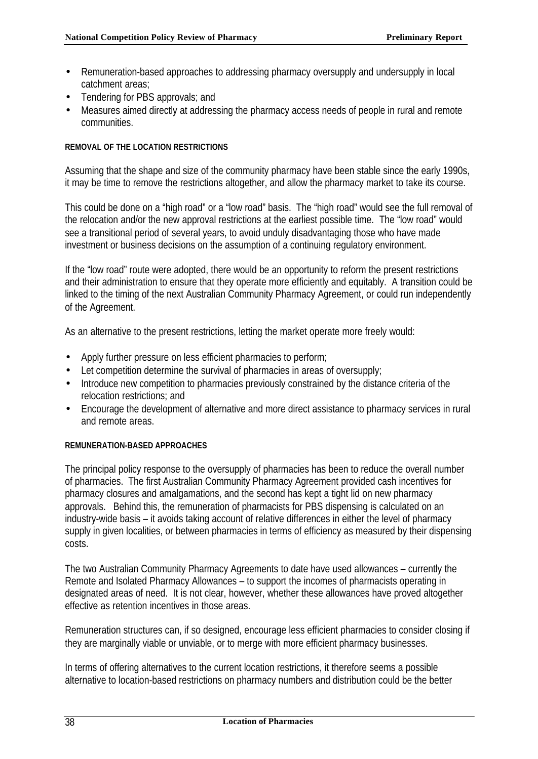- Remuneration-based approaches to addressing pharmacy oversupply and undersupply in local catchment areas;
- Tendering for PBS approvals; and
- Measures aimed directly at addressing the pharmacy access needs of people in rural and remote communities.

## **REMOVAL OF THE LOCATION RESTRICTIONS**

Assuming that the shape and size of the community pharmacy have been stable since the early 1990s, it may be time to remove the restrictions altogether, and allow the pharmacy market to take its course.

This could be done on a "high road" or a "low road" basis. The "high road" would see the full removal of the relocation and/or the new approval restrictions at the earliest possible time. The "low road" would see a transitional period of several years, to avoid unduly disadvantaging those who have made investment or business decisions on the assumption of a continuing regulatory environment.

If the "low road" route were adopted, there would be an opportunity to reform the present restrictions and their administration to ensure that they operate more efficiently and equitably. A transition could be linked to the timing of the next Australian Community Pharmacy Agreement, or could run independently of the Agreement.

As an alternative to the present restrictions, letting the market operate more freely would:

- Apply further pressure on less efficient pharmacies to perform;
- Let competition determine the survival of pharmacies in areas of oversupply;
- Introduce new competition to pharmacies previously constrained by the distance criteria of the relocation restrictions; and
- Encourage the development of alternative and more direct assistance to pharmacy services in rural and remote areas.

## **REMUNERATION-BASED APPROACHES**

The principal policy response to the oversupply of pharmacies has been to reduce the overall number of pharmacies. The first Australian Community Pharmacy Agreement provided cash incentives for pharmacy closures and amalgamations, and the second has kept a tight lid on new pharmacy approvals. Behind this, the remuneration of pharmacists for PBS dispensing is calculated on an industry-wide basis – it avoids taking account of relative differences in either the level of pharmacy supply in given localities, or between pharmacies in terms of efficiency as measured by their dispensing costs.

The two Australian Community Pharmacy Agreements to date have used allowances – currently the Remote and Isolated Pharmacy Allowances – to support the incomes of pharmacists operating in designated areas of need. It is not clear, however, whether these allowances have proved altogether effective as retention incentives in those areas.

Remuneration structures can, if so designed, encourage less efficient pharmacies to consider closing if they are marginally viable or unviable, or to merge with more efficient pharmacy businesses.

In terms of offering alternatives to the current location restrictions, it therefore seems a possible alternative to location-based restrictions on pharmacy numbers and distribution could be the better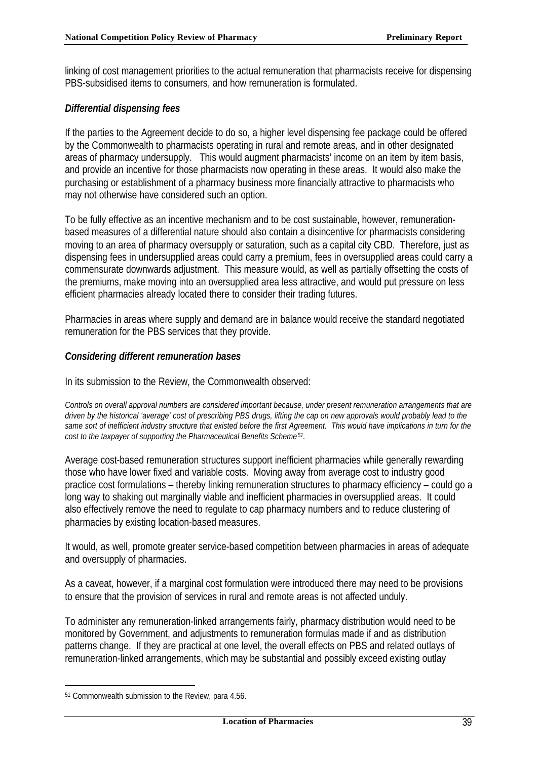linking of cost management priorities to the actual remuneration that pharmacists receive for dispensing PBS-subsidised items to consumers, and how remuneration is formulated.

## *Differential dispensing fees*

If the parties to the Agreement decide to do so, a higher level dispensing fee package could be offered by the Commonwealth to pharmacists operating in rural and remote areas, and in other designated areas of pharmacy undersupply. This would augment pharmacists' income on an item by item basis, and provide an incentive for those pharmacists now operating in these areas. It would also make the purchasing or establishment of a pharmacy business more financially attractive to pharmacists who may not otherwise have considered such an option.

To be fully effective as an incentive mechanism and to be cost sustainable, however, remunerationbased measures of a differential nature should also contain a disincentive for pharmacists considering moving to an area of pharmacy oversupply or saturation, such as a capital city CBD. Therefore, just as dispensing fees in undersupplied areas could carry a premium, fees in oversupplied areas could carry a commensurate downwards adjustment. This measure would, as well as partially offsetting the costs of the premiums, make moving into an oversupplied area less attractive, and would put pressure on less efficient pharmacies already located there to consider their trading futures.

Pharmacies in areas where supply and demand are in balance would receive the standard negotiated remuneration for the PBS services that they provide.

## *Considering different remuneration bases*

In its submission to the Review, the Commonwealth observed:

*Controls on overall approval numbers are considered important because, under present remuneration arrangements that are driven by the historical 'average' cost of prescribing PBS drugs, lifting the cap on new approvals would probably lead to the same sort of inefficient industry structure that existed before the first Agreement. This would have implications in turn for the cost to the taxpayer of supporting the Pharmaceutical Benefits Scheme51.*

Average cost-based remuneration structures support inefficient pharmacies while generally rewarding those who have lower fixed and variable costs. Moving away from average cost to industry good practice cost formulations – thereby linking remuneration structures to pharmacy efficiency – could go a long way to shaking out marginally viable and inefficient pharmacies in oversupplied areas. It could also effectively remove the need to regulate to cap pharmacy numbers and to reduce clustering of pharmacies by existing location-based measures.

It would, as well, promote greater service-based competition between pharmacies in areas of adequate and oversupply of pharmacies.

As a caveat, however, if a marginal cost formulation were introduced there may need to be provisions to ensure that the provision of services in rural and remote areas is not affected unduly.

To administer any remuneration-linked arrangements fairly, pharmacy distribution would need to be monitored by Government, and adjustments to remuneration formulas made if and as distribution patterns change. If they are practical at one level, the overall effects on PBS and related outlays of remuneration-linked arrangements, which may be substantial and possibly exceed existing outlay

<sup>51</sup> Commonwealth submission to the Review, para 4.56.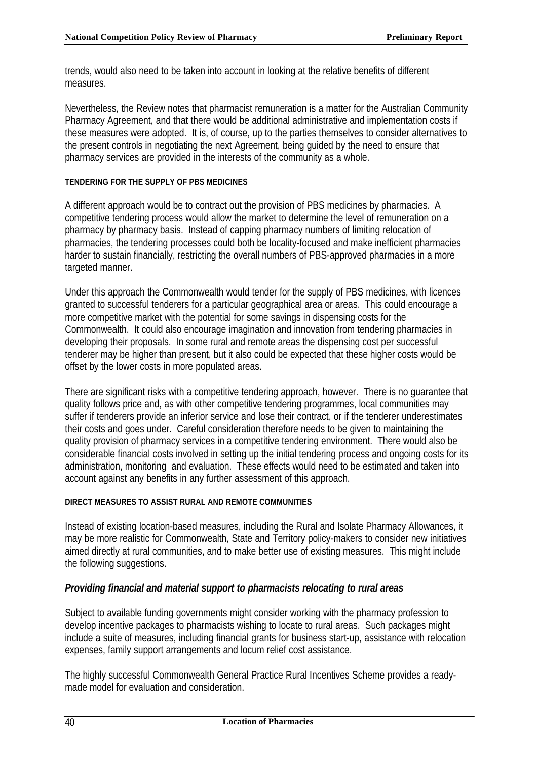trends, would also need to be taken into account in looking at the relative benefits of different measures.

Nevertheless, the Review notes that pharmacist remuneration is a matter for the Australian Community Pharmacy Agreement, and that there would be additional administrative and implementation costs if these measures were adopted. It is, of course, up to the parties themselves to consider alternatives to the present controls in negotiating the next Agreement, being guided by the need to ensure that pharmacy services are provided in the interests of the community as a whole.

## **TENDERING FOR THE SUPPLY OF PBS MEDICINES**

A different approach would be to contract out the provision of PBS medicines by pharmacies. A competitive tendering process would allow the market to determine the level of remuneration on a pharmacy by pharmacy basis. Instead of capping pharmacy numbers of limiting relocation of pharmacies, the tendering processes could both be locality-focused and make inefficient pharmacies harder to sustain financially, restricting the overall numbers of PBS-approved pharmacies in a more targeted manner.

Under this approach the Commonwealth would tender for the supply of PBS medicines, with licences granted to successful tenderers for a particular geographical area or areas. This could encourage a more competitive market with the potential for some savings in dispensing costs for the Commonwealth. It could also encourage imagination and innovation from tendering pharmacies in developing their proposals. In some rural and remote areas the dispensing cost per successful tenderer may be higher than present, but it also could be expected that these higher costs would be offset by the lower costs in more populated areas.

There are significant risks with a competitive tendering approach, however. There is no guarantee that quality follows price and, as with other competitive tendering programmes, local communities may suffer if tenderers provide an inferior service and lose their contract, or if the tenderer underestimates their costs and goes under. Careful consideration therefore needs to be given to maintaining the quality provision of pharmacy services in a competitive tendering environment. There would also be considerable financial costs involved in setting up the initial tendering process and ongoing costs for its administration, monitoring and evaluation. These effects would need to be estimated and taken into account against any benefits in any further assessment of this approach.

## **DIRECT MEASURES TO ASSIST RURAL AND REMOTE COMMUNITIES**

Instead of existing location-based measures, including the Rural and Isolate Pharmacy Allowances, it may be more realistic for Commonwealth, State and Territory policy-makers to consider new initiatives aimed directly at rural communities, and to make better use of existing measures. This might include the following suggestions.

# *Providing financial and material support to pharmacists relocating to rural areas*

Subject to available funding governments might consider working with the pharmacy profession to develop incentive packages to pharmacists wishing to locate to rural areas. Such packages might include a suite of measures, including financial grants for business start-up, assistance with relocation expenses, family support arrangements and locum relief cost assistance.

The highly successful Commonwealth General Practice Rural Incentives Scheme provides a readymade model for evaluation and consideration.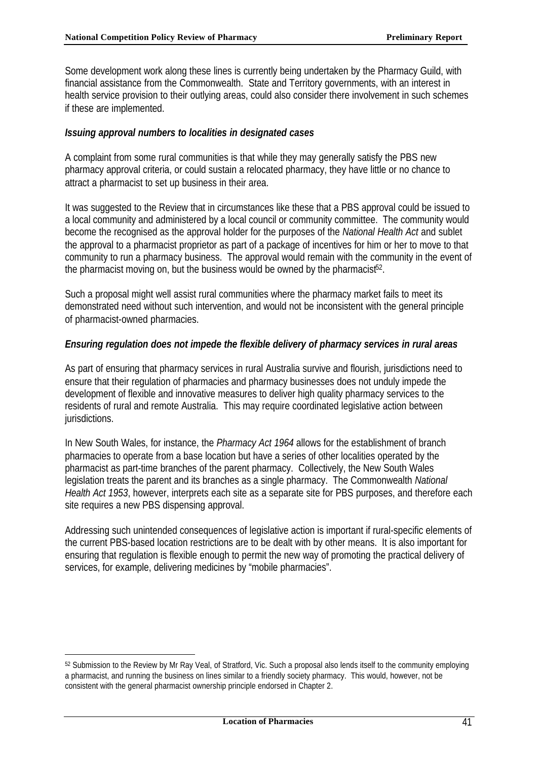Some development work along these lines is currently being undertaken by the Pharmacy Guild, with financial assistance from the Commonwealth. State and Territory governments, with an interest in health service provision to their outlying areas, could also consider there involvement in such schemes if these are implemented.

## *Issuing approval numbers to localities in designated cases*

A complaint from some rural communities is that while they may generally satisfy the PBS new pharmacy approval criteria, or could sustain a relocated pharmacy, they have little or no chance to attract a pharmacist to set up business in their area.

It was suggested to the Review that in circumstances like these that a PBS approval could be issued to a local community and administered by a local council or community committee. The community would become the recognised as the approval holder for the purposes of the *National Health Act* and sublet the approval to a pharmacist proprietor as part of a package of incentives for him or her to move to that community to run a pharmacy business. The approval would remain with the community in the event of the pharmacist moving on, but the business would be owned by the pharmacist<sup>52</sup>.

Such a proposal might well assist rural communities where the pharmacy market fails to meet its demonstrated need without such intervention, and would not be inconsistent with the general principle of pharmacist-owned pharmacies.

## *Ensuring regulation does not impede the flexible delivery of pharmacy services in rural areas*

As part of ensuring that pharmacy services in rural Australia survive and flourish, jurisdictions need to ensure that their regulation of pharmacies and pharmacy businesses does not unduly impede the development of flexible and innovative measures to deliver high quality pharmacy services to the residents of rural and remote Australia. This may require coordinated legislative action between jurisdictions.

In New South Wales, for instance, the *Pharmacy Act 1964* allows for the establishment of branch pharmacies to operate from a base location but have a series of other localities operated by the pharmacist as part-time branches of the parent pharmacy. Collectively, the New South Wales legislation treats the parent and its branches as a single pharmacy. The Commonwealth *National Health Act 1953*, however, interprets each site as a separate site for PBS purposes, and therefore each site requires a new PBS dispensing approval.

Addressing such unintended consequences of legislative action is important if rural-specific elements of the current PBS-based location restrictions are to be dealt with by other means. It is also important for ensuring that regulation is flexible enough to permit the new way of promoting the practical delivery of services, for example, delivering medicines by "mobile pharmacies".

<sup>52</sup> Submission to the Review by Mr Ray Veal, of Stratford, Vic. Such a proposal also lends itself to the community employing a pharmacist, and running the business on lines similar to a friendly society pharmacy. This would, however, not be consistent with the general pharmacist ownership principle endorsed in Chapter 2.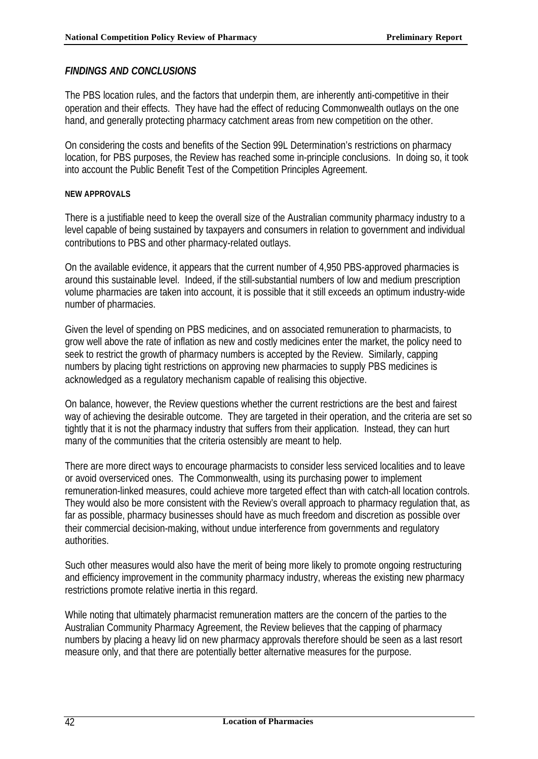## *FINDINGS AND CONCLUSIONS*

The PBS location rules, and the factors that underpin them, are inherently anti-competitive in their operation and their effects. They have had the effect of reducing Commonwealth outlays on the one hand, and generally protecting pharmacy catchment areas from new competition on the other.

On considering the costs and benefits of the Section 99L Determination's restrictions on pharmacy location, for PBS purposes, the Review has reached some in-principle conclusions. In doing so, it took into account the Public Benefit Test of the Competition Principles Agreement.

#### **NEW APPROVALS**

There is a justifiable need to keep the overall size of the Australian community pharmacy industry to a level capable of being sustained by taxpayers and consumers in relation to government and individual contributions to PBS and other pharmacy-related outlays.

On the available evidence, it appears that the current number of 4,950 PBS-approved pharmacies is around this sustainable level. Indeed, if the still-substantial numbers of low and medium prescription volume pharmacies are taken into account, it is possible that it still exceeds an optimum industry-wide number of pharmacies.

Given the level of spending on PBS medicines, and on associated remuneration to pharmacists, to grow well above the rate of inflation as new and costly medicines enter the market, the policy need to seek to restrict the growth of pharmacy numbers is accepted by the Review. Similarly, capping numbers by placing tight restrictions on approving new pharmacies to supply PBS medicines is acknowledged as a regulatory mechanism capable of realising this objective.

On balance, however, the Review questions whether the current restrictions are the best and fairest way of achieving the desirable outcome. They are targeted in their operation, and the criteria are set so tightly that it is not the pharmacy industry that suffers from their application. Instead, they can hurt many of the communities that the criteria ostensibly are meant to help.

There are more direct ways to encourage pharmacists to consider less serviced localities and to leave or avoid overserviced ones. The Commonwealth, using its purchasing power to implement remuneration-linked measures, could achieve more targeted effect than with catch-all location controls. They would also be more consistent with the Review's overall approach to pharmacy regulation that, as far as possible, pharmacy businesses should have as much freedom and discretion as possible over their commercial decision-making, without undue interference from governments and regulatory authorities.

Such other measures would also have the merit of being more likely to promote ongoing restructuring and efficiency improvement in the community pharmacy industry, whereas the existing new pharmacy restrictions promote relative inertia in this regard.

While noting that ultimately pharmacist remuneration matters are the concern of the parties to the Australian Community Pharmacy Agreement, the Review believes that the capping of pharmacy numbers by placing a heavy lid on new pharmacy approvals therefore should be seen as a last resort measure only, and that there are potentially better alternative measures for the purpose.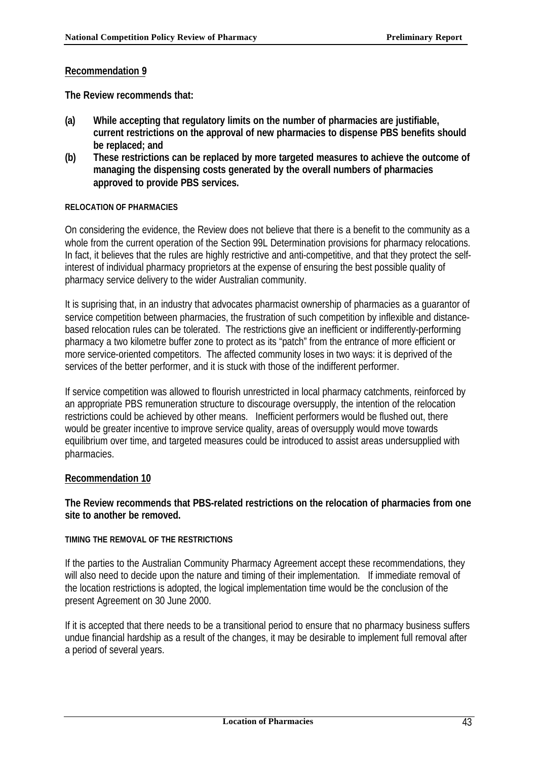**The Review recommends that:**

- **(a) While accepting that regulatory limits on the number of pharmacies are justifiable, current restrictions on the approval of new pharmacies to dispense PBS benefits should be replaced; and**
- **(b) These restrictions can be replaced by more targeted measures to achieve the outcome of managing the dispensing costs generated by the overall numbers of pharmacies approved to provide PBS services.**

## **RELOCATION OF PHARMACIES**

On considering the evidence, the Review does not believe that there is a benefit to the community as a whole from the current operation of the Section 99L Determination provisions for pharmacy relocations. In fact, it believes that the rules are highly restrictive and anti-competitive, and that they protect the selfinterest of individual pharmacy proprietors at the expense of ensuring the best possible quality of pharmacy service delivery to the wider Australian community.

It is suprising that, in an industry that advocates pharmacist ownership of pharmacies as a guarantor of service competition between pharmacies, the frustration of such competition by inflexible and distancebased relocation rules can be tolerated. The restrictions give an inefficient or indifferently-performing pharmacy a two kilometre buffer zone to protect as its "patch" from the entrance of more efficient or more service-oriented competitors. The affected community loses in two ways: it is deprived of the services of the better performer, and it is stuck with those of the indifferent performer.

If service competition was allowed to flourish unrestricted in local pharmacy catchments, reinforced by an appropriate PBS remuneration structure to discourage oversupply, the intention of the relocation restrictions could be achieved by other means. Inefficient performers would be flushed out, there would be greater incentive to improve service quality, areas of oversupply would move towards equilibrium over time, and targeted measures could be introduced to assist areas undersupplied with pharmacies.

# **Recommendation 10**

## **The Review recommends that PBS-related restrictions on the relocation of pharmacies from one site to another be removed.**

## **TIMING THE REMOVAL OF THE RESTRICTIONS**

If the parties to the Australian Community Pharmacy Agreement accept these recommendations, they will also need to decide upon the nature and timing of their implementation. If immediate removal of the location restrictions is adopted, the logical implementation time would be the conclusion of the present Agreement on 30 June 2000.

If it is accepted that there needs to be a transitional period to ensure that no pharmacy business suffers undue financial hardship as a result of the changes, it may be desirable to implement full removal after a period of several years.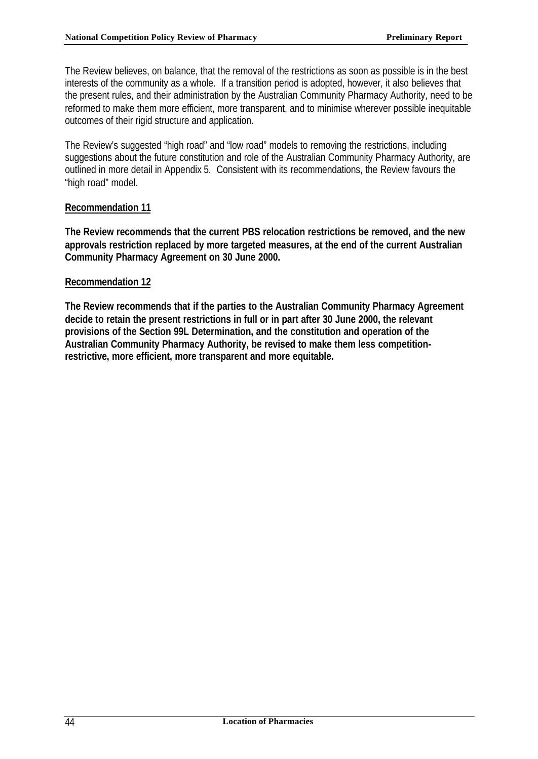The Review believes, on balance, that the removal of the restrictions as soon as possible is in the best interests of the community as a whole. If a transition period is adopted, however, it also believes that the present rules, and their administration by the Australian Community Pharmacy Authority, need to be reformed to make them more efficient, more transparent, and to minimise wherever possible inequitable outcomes of their rigid structure and application.

The Review's suggested "high road" and "low road" models to removing the restrictions, including suggestions about the future constitution and role of the Australian Community Pharmacy Authority, are outlined in more detail in Appendix 5. Consistent with its recommendations, the Review favours the "high road" model.

## **Recommendation 11**

**The Review recommends that the current PBS relocation restrictions be removed, and the new approvals restriction replaced by more targeted measures, at the end of the current Australian Community Pharmacy Agreement on 30 June 2000.**

## **Recommendation 12**

**The Review recommends that if the parties to the Australian Community Pharmacy Agreement decide to retain the present restrictions in full or in part after 30 June 2000, the relevant provisions of the Section 99L Determination, and the constitution and operation of the Australian Community Pharmacy Authority, be revised to make them less competitionrestrictive, more efficient, more transparent and more equitable.**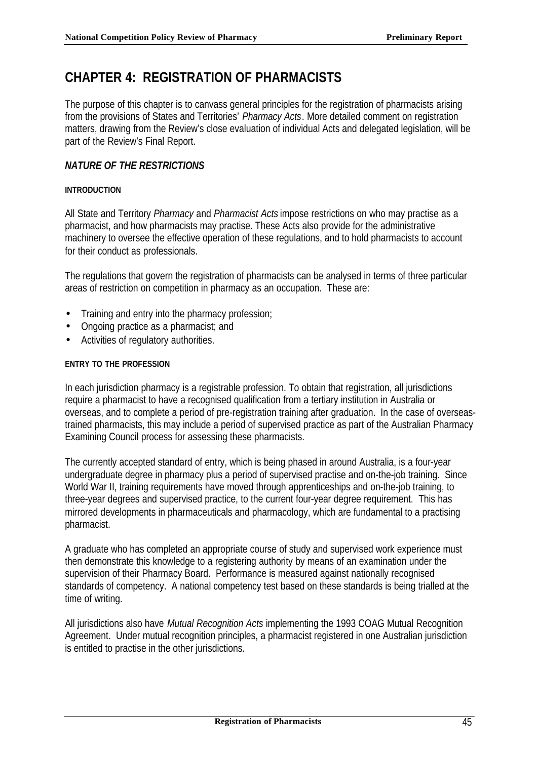# **CHAPTER 4: REGISTRATION OF PHARMACISTS**

The purpose of this chapter is to canvass general principles for the registration of pharmacists arising from the provisions of States and Territories' *Pharmacy Acts*. More detailed comment on registration matters, drawing from the Review's close evaluation of individual Acts and delegated legislation, will be part of the Review's Final Report.

# *NATURE OF THE RESTRICTIONS*

## **INTRODUCTION**

All State and Territory *Pharmacy* and *Pharmacist Acts* impose restrictions on who may practise as a pharmacist, and how pharmacists may practise. These Acts also provide for the administrative machinery to oversee the effective operation of these regulations, and to hold pharmacists to account for their conduct as professionals.

The regulations that govern the registration of pharmacists can be analysed in terms of three particular areas of restriction on competition in pharmacy as an occupation. These are:

- Training and entry into the pharmacy profession;
- Ongoing practice as a pharmacist; and
- Activities of regulatory authorities.

## **ENTRY TO THE PROFESSION**

In each jurisdiction pharmacy is a registrable profession. To obtain that registration, all jurisdictions require a pharmacist to have a recognised qualification from a tertiary institution in Australia or overseas, and to complete a period of pre-registration training after graduation. In the case of overseastrained pharmacists, this may include a period of supervised practice as part of the Australian Pharmacy Examining Council process for assessing these pharmacists.

The currently accepted standard of entry, which is being phased in around Australia, is a four-year undergraduate degree in pharmacy plus a period of supervised practise and on-the-job training. Since World War II, training requirements have moved through apprenticeships and on-the-job training, to three-year degrees and supervised practice, to the current four-year degree requirement. This has mirrored developments in pharmaceuticals and pharmacology, which are fundamental to a practising pharmacist.

A graduate who has completed an appropriate course of study and supervised work experience must then demonstrate this knowledge to a registering authority by means of an examination under the supervision of their Pharmacy Board. Performance is measured against nationally recognised standards of competency. A national competency test based on these standards is being trialled at the time of writing.

All jurisdictions also have *Mutual Recognition Acts* implementing the 1993 COAG Mutual Recognition Agreement. Under mutual recognition principles, a pharmacist registered in one Australian jurisdiction is entitled to practise in the other jurisdictions.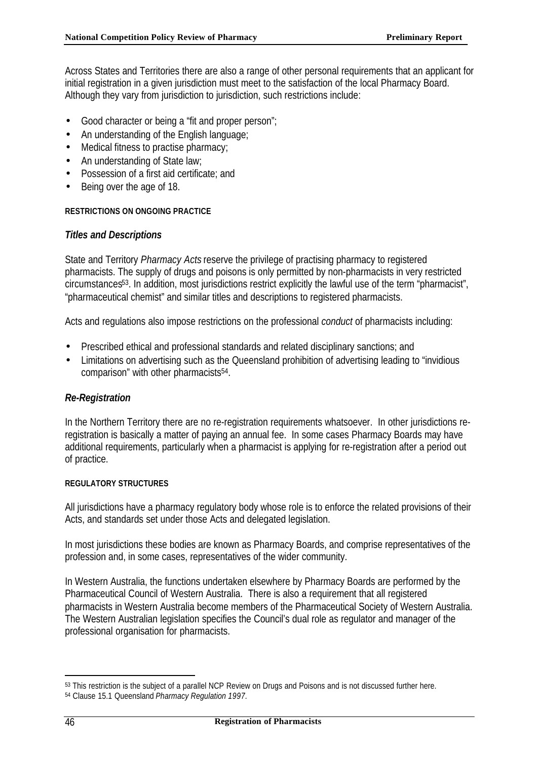Across States and Territories there are also a range of other personal requirements that an applicant for initial registration in a given jurisdiction must meet to the satisfaction of the local Pharmacy Board. Although they vary from jurisdiction to jurisdiction, such restrictions include:

- Good character or being a "fit and proper person";
- An understanding of the English language;
- Medical fitness to practise pharmacy;
- An understanding of State law;
- Possession of a first aid certificate; and
- Being over the age of 18.

## **RESTRICTIONS ON ONGOING PRACTICE**

# *Titles and Descriptions*

State and Territory *Pharmacy Acts* reserve the privilege of practising pharmacy to registered pharmacists. The supply of drugs and poisons is only permitted by non-pharmacists in very restricted circumstances53. In addition, most jurisdictions restrict explicitly the lawful use of the term "pharmacist", "pharmaceutical chemist" and similar titles and descriptions to registered pharmacists.

Acts and regulations also impose restrictions on the professional *conduct* of pharmacists including:

- Prescribed ethical and professional standards and related disciplinary sanctions; and
- Limitations on advertising such as the Queensland prohibition of advertising leading to "invidious" comparison" with other pharmacists<sup>54</sup>.

# *Re-Registration*

In the Northern Territory there are no re-registration requirements whatsoever. In other jurisdictions reregistration is basically a matter of paying an annual fee. In some cases Pharmacy Boards may have additional requirements, particularly when a pharmacist is applying for re-registration after a period out of practice.

## **REGULATORY STRUCTURES**

All jurisdictions have a pharmacy regulatory body whose role is to enforce the related provisions of their Acts, and standards set under those Acts and delegated legislation.

In most jurisdictions these bodies are known as Pharmacy Boards, and comprise representatives of the profession and, in some cases, representatives of the wider community.

In Western Australia, the functions undertaken elsewhere by Pharmacy Boards are performed by the Pharmaceutical Council of Western Australia. There is also a requirement that all registered pharmacists in Western Australia become members of the Pharmaceutical Society of Western Australia. The Western Australian legislation specifies the Council's dual role as regulator and manager of the professional organisation for pharmacists.

<sup>53</sup> This restriction is the subject of a parallel NCP Review on Drugs and Poisons and is not discussed further here. <sup>54</sup> Clause 15.1 Queensland *Pharmacy Regulation 1997.*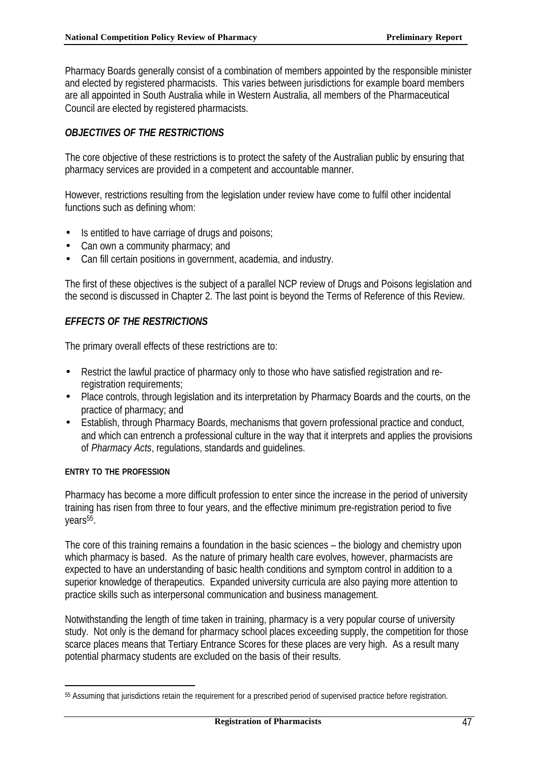Pharmacy Boards generally consist of a combination of members appointed by the responsible minister and elected by registered pharmacists. This varies between jurisdictions for example board members are all appointed in South Australia while in Western Australia, all members of the Pharmaceutical Council are elected by registered pharmacists.

# *OBJECTIVES OF THE RESTRICTIONS*

The core objective of these restrictions is to protect the safety of the Australian public by ensuring that pharmacy services are provided in a competent and accountable manner.

However, restrictions resulting from the legislation under review have come to fulfil other incidental functions such as defining whom:

- Is entitled to have carriage of drugs and poisons;
- Can own a community pharmacy; and
- Can fill certain positions in government, academia, and industry.

The first of these objectives is the subject of a parallel NCP review of Drugs and Poisons legislation and the second is discussed in Chapter 2. The last point is beyond the Terms of Reference of this Review.

# *EFFECTS OF THE RESTRICTIONS*

The primary overall effects of these restrictions are to:

- Restrict the lawful practice of pharmacy only to those who have satisfied registration and reregistration requirements;
- Place controls, through legislation and its interpretation by Pharmacy Boards and the courts, on the practice of pharmacy; and
- Establish, through Pharmacy Boards, mechanisms that govern professional practice and conduct, and which can entrench a professional culture in the way that it interprets and applies the provisions of *Pharmacy Acts*, regulations, standards and guidelines.

## **ENTRY TO THE PROFESSION**

l

Pharmacy has become a more difficult profession to enter since the increase in the period of university training has risen from three to four years, and the effective minimum pre-registration period to five years<sup>55</sup>.

The core of this training remains a foundation in the basic sciences – the biology and chemistry upon which pharmacy is based. As the nature of primary health care evolves, however, pharmacists are expected to have an understanding of basic health conditions and symptom control in addition to a superior knowledge of therapeutics. Expanded university curricula are also paying more attention to practice skills such as interpersonal communication and business management.

Notwithstanding the length of time taken in training, pharmacy is a very popular course of university study. Not only is the demand for pharmacy school places exceeding supply, the competition for those scarce places means that Tertiary Entrance Scores for these places are very high. As a result many potential pharmacy students are excluded on the basis of their results.

<sup>55</sup> Assuming that jurisdictions retain the requirement for a prescribed period of supervised practice before registration.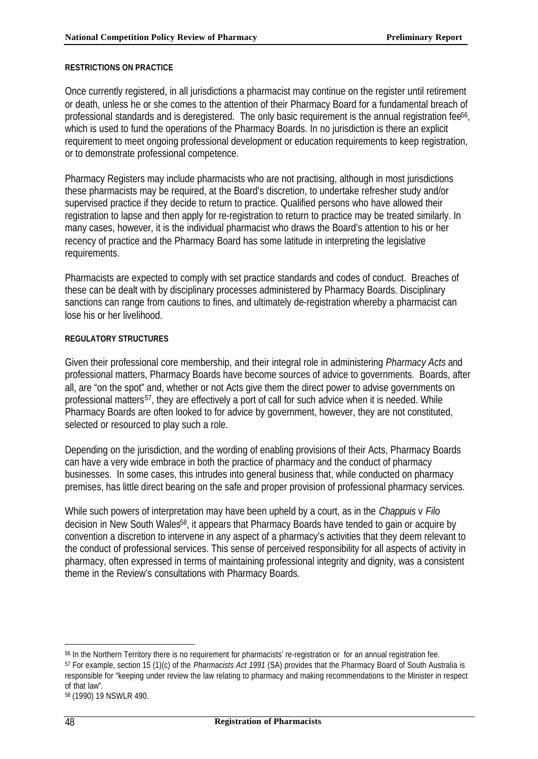#### **RESTRICTIONS ON PRACTICE**

Once currently registered, in all jurisdictions a pharmacist may continue on the register until retirement or death, unless he or she comes to the attention of their Pharmacy Board for a fundamental breach of professional standards and is deregistered. The only basic requirement is the annual registration fee<sup>56</sup>, which is used to fund the operations of the Pharmacy Boards. In no jurisdiction is there an explicit requirement to meet ongoing professional development or education requirements to keep registration, or to demonstrate professional competence.

Pharmacy Registers may include pharmacists who are not practising, although in most jurisdictions these pharmacists may be required, at the Board's discretion, to undertake refresher study and/or supervised practice if they decide to return to practice. Qualified persons who have allowed their registration to lapse and then apply for re-registration to return to practice may be treated similarly. In many cases, however, it is the individual pharmacist who draws the Board's attention to his or her recency of practice and the Pharmacy Board has some latitude in interpreting the legislative requirements.

Pharmacists are expected to comply with set practice standards and codes of conduct. Breaches of these can be dealt with by disciplinary processes administered by Pharmacy Boards. Disciplinary sanctions can range from cautions to fines, and ultimately de-registration whereby a pharmacist can lose his or her livelihood.

#### **REGULATORY STRUCTURES**

Given their professional core membership, and their integral role in administering *Pharmacy Acts* and professional matters, Pharmacy Boards have become sources of advice to governments. Boards, after all, are "on the spot" and, whether or not Acts give them the direct power to advise governments on professional matters<sup>57</sup>, they are effectively a port of call for such advice when it is needed. While Pharmacy Boards are often looked to for advice by government, however, they are not constituted, selected or resourced to play such a role.

Depending on the jurisdiction, and the wording of enabling provisions of their Acts, Pharmacy Boards can have a very wide embrace in both the practice of pharmacy and the conduct of pharmacy businesses. In some cases, this intrudes into general business that, while conducted on pharmacy premises, has little direct bearing on the safe and proper provision of professional pharmacy services.

While such powers of interpretation may have been upheld by a court, as in the *Chappuis* v *Filo* decision in New South Wales<sup>58</sup>, it appears that Pharmacy Boards have tended to gain or acquire by convention a discretion to intervene in any aspect of a pharmacy's activities that they deem relevant to the conduct of professional services. This sense of perceived responsibility for all aspects of activity in pharmacy, often expressed in terms of maintaining professional integrity and dignity, was a consistent theme in the Review's consultations with Pharmacy Boards.

<sup>56</sup> In the Northern Territory there is no requirement for pharmacists' re-registration or for an annual registration fee. <sup>57</sup> For example, section 15 (1)(c) of the *Pharmacists Act 1991* (SA) provides that the Pharmacy Board of South Australia is responsible for "keeping under review the law relating to pharmacy and making recommendations to the Minister in respect of that law".

<sup>58</sup> (1990) 19 NSWLR 490.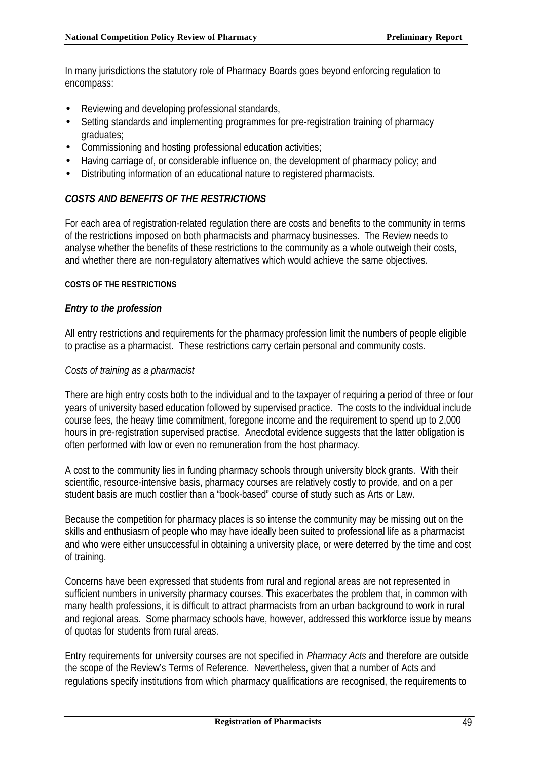In many jurisdictions the statutory role of Pharmacy Boards goes beyond enforcing regulation to encompass:

- Reviewing and developing professional standards,
- Setting standards and implementing programmes for pre-registration training of pharmacy graduates;
- Commissioning and hosting professional education activities;
- Having carriage of, or considerable influence on, the development of pharmacy policy; and
- Distributing information of an educational nature to registered pharmacists.

# *COSTS AND BENEFITS OF THE RESTRICTIONS*

For each area of registration-related regulation there are costs and benefits to the community in terms of the restrictions imposed on both pharmacists and pharmacy businesses. The Review needs to analyse whether the benefits of these restrictions to the community as a whole outweigh their costs, and whether there are non-regulatory alternatives which would achieve the same objectives.

#### **COSTS OF THE RESTRICTIONS**

## *Entry to the profession*

All entry restrictions and requirements for the pharmacy profession limit the numbers of people eligible to practise as a pharmacist. These restrictions carry certain personal and community costs.

## *Costs of training as a pharmacist*

There are high entry costs both to the individual and to the taxpayer of requiring a period of three or four years of university based education followed by supervised practice. The costs to the individual include course fees, the heavy time commitment, foregone income and the requirement to spend up to 2,000 hours in pre-registration supervised practise. Anecdotal evidence suggests that the latter obligation is often performed with low or even no remuneration from the host pharmacy.

A cost to the community lies in funding pharmacy schools through university block grants. With their scientific, resource-intensive basis, pharmacy courses are relatively costly to provide, and on a per student basis are much costlier than a "book-based" course of study such as Arts or Law.

Because the competition for pharmacy places is so intense the community may be missing out on the skills and enthusiasm of people who may have ideally been suited to professional life as a pharmacist and who were either unsuccessful in obtaining a university place, or were deterred by the time and cost of training.

Concerns have been expressed that students from rural and regional areas are not represented in sufficient numbers in university pharmacy courses. This exacerbates the problem that, in common with many health professions, it is difficult to attract pharmacists from an urban background to work in rural and regional areas. Some pharmacy schools have, however, addressed this workforce issue by means of quotas for students from rural areas.

Entry requirements for university courses are not specified in *Pharmacy Acts* and therefore are outside the scope of the Review's Terms of Reference. Nevertheless, given that a number of Acts and regulations specify institutions from which pharmacy qualifications are recognised, the requirements to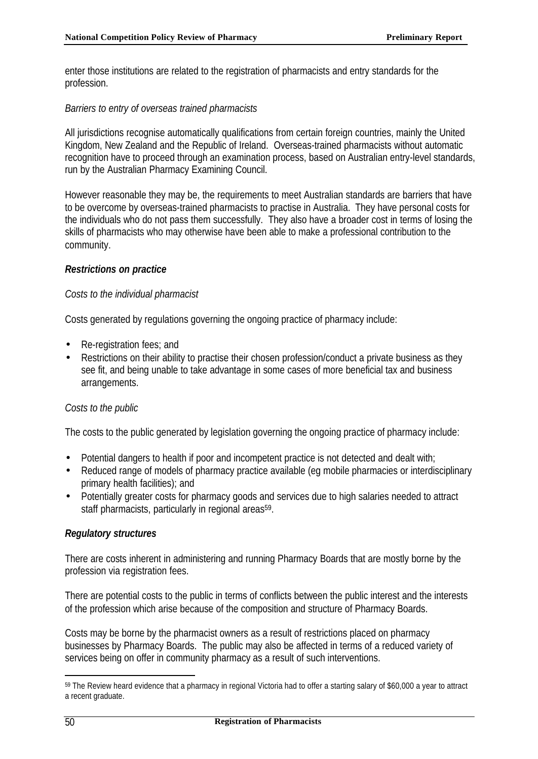enter those institutions are related to the registration of pharmacists and entry standards for the profession.

## *Barriers to entry of overseas trained pharmacists*

All jurisdictions recognise automatically qualifications from certain foreign countries, mainly the United Kingdom, New Zealand and the Republic of Ireland. Overseas-trained pharmacists without automatic recognition have to proceed through an examination process, based on Australian entry-level standards, run by the Australian Pharmacy Examining Council.

However reasonable they may be, the requirements to meet Australian standards are barriers that have to be overcome by overseas-trained pharmacists to practise in Australia. They have personal costs for the individuals who do not pass them successfully. They also have a broader cost in terms of losing the skills of pharmacists who may otherwise have been able to make a professional contribution to the community.

## *Restrictions on practice*

# *Costs to the individual pharmacist*

Costs generated by regulations governing the ongoing practice of pharmacy include:

- Re-registration fees; and
- Restrictions on their ability to practise their chosen profession/conduct a private business as they see fit, and being unable to take advantage in some cases of more beneficial tax and business arrangements.

# *Costs to the public*

The costs to the public generated by legislation governing the ongoing practice of pharmacy include:

- Potential dangers to health if poor and incompetent practice is not detected and dealt with;
- Reduced range of models of pharmacy practice available (eg mobile pharmacies or interdisciplinary primary health facilities); and
- Potentially greater costs for pharmacy goods and services due to high salaries needed to attract staff pharmacists, particularly in regional areas<sup>59</sup>.

# *Regulatory structures*

There are costs inherent in administering and running Pharmacy Boards that are mostly borne by the profession via registration fees.

There are potential costs to the public in terms of conflicts between the public interest and the interests of the profession which arise because of the composition and structure of Pharmacy Boards.

Costs may be borne by the pharmacist owners as a result of restrictions placed on pharmacy businesses by Pharmacy Boards. The public may also be affected in terms of a reduced variety of services being on offer in community pharmacy as a result of such interventions.

<sup>59</sup> The Review heard evidence that a pharmacy in regional Victoria had to offer a starting salary of \$60,000 a year to attract a recent graduate.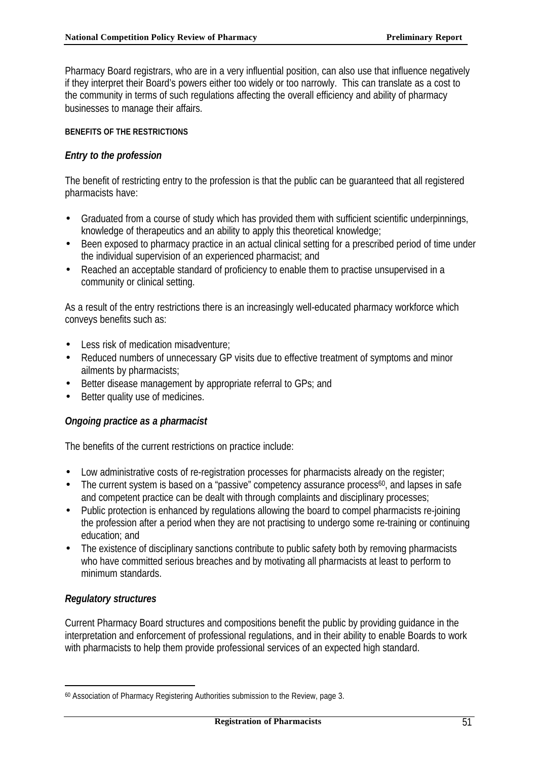Pharmacy Board registrars, who are in a very influential position, can also use that influence negatively if they interpret their Board's powers either too widely or too narrowly. This can translate as a cost to the community in terms of such regulations affecting the overall efficiency and ability of pharmacy businesses to manage their affairs.

## **BENEFITS OF THE RESTRICTIONS**

## *Entry to the profession*

The benefit of restricting entry to the profession is that the public can be guaranteed that all registered pharmacists have:

- Graduated from a course of study which has provided them with sufficient scientific underpinnings, knowledge of therapeutics and an ability to apply this theoretical knowledge;
- Been exposed to pharmacy practice in an actual clinical setting for a prescribed period of time under the individual supervision of an experienced pharmacist; and
- Reached an acceptable standard of proficiency to enable them to practise unsupervised in a community or clinical setting.

As a result of the entry restrictions there is an increasingly well-educated pharmacy workforce which conveys benefits such as:

- Less risk of medication misadventure;
- Reduced numbers of unnecessary GP visits due to effective treatment of symptoms and minor ailments by pharmacists;
- Better disease management by appropriate referral to GPs; and
- Better quality use of medicines.

# *Ongoing practice as a pharmacist*

The benefits of the current restrictions on practice include:

- Low administrative costs of re-registration processes for pharmacists already on the register;
- The current system is based on a "passive" competency assurance process<sup>60</sup>, and lapses in safe and competent practice can be dealt with through complaints and disciplinary processes;
- Public protection is enhanced by regulations allowing the board to compel pharmacists re-joining the profession after a period when they are not practising to undergo some re-training or continuing education; and
- The existence of disciplinary sanctions contribute to public safety both by removing pharmacists who have committed serious breaches and by motivating all pharmacists at least to perform to minimum standards.

# *Regulatory structures*

l

Current Pharmacy Board structures and compositions benefit the public by providing guidance in the interpretation and enforcement of professional regulations, and in their ability to enable Boards to work with pharmacists to help them provide professional services of an expected high standard.

<sup>60</sup> Association of Pharmacy Registering Authorities submission to the Review, page 3.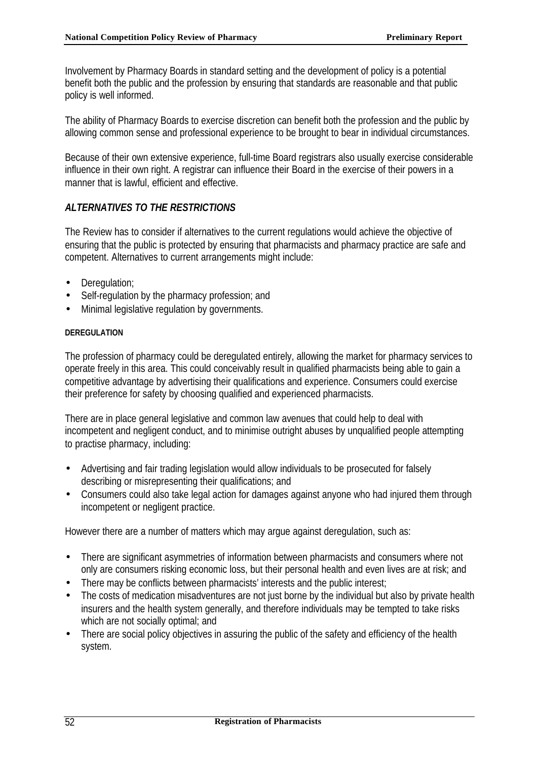Involvement by Pharmacy Boards in standard setting and the development of policy is a potential benefit both the public and the profession by ensuring that standards are reasonable and that public policy is well informed.

The ability of Pharmacy Boards to exercise discretion can benefit both the profession and the public by allowing common sense and professional experience to be brought to bear in individual circumstances.

Because of their own extensive experience, full-time Board registrars also usually exercise considerable influence in their own right. A registrar can influence their Board in the exercise of their powers in a manner that is lawful, efficient and effective.

# *ALTERNATIVES TO THE RESTRICTIONS*

The Review has to consider if alternatives to the current regulations would achieve the objective of ensuring that the public is protected by ensuring that pharmacists and pharmacy practice are safe and competent. Alternatives to current arrangements might include:

- Deregulation:
- Self-regulation by the pharmacy profession; and
- Minimal legislative regulation by governments.

## **DEREGULATION**

The profession of pharmacy could be deregulated entirely, allowing the market for pharmacy services to operate freely in this area. This could conceivably result in qualified pharmacists being able to gain a competitive advantage by advertising their qualifications and experience. Consumers could exercise their preference for safety by choosing qualified and experienced pharmacists.

There are in place general legislative and common law avenues that could help to deal with incompetent and negligent conduct, and to minimise outright abuses by unqualified people attempting to practise pharmacy, including:

- Advertising and fair trading legislation would allow individuals to be prosecuted for falsely describing or misrepresenting their qualifications; and
- Consumers could also take legal action for damages against anyone who had injured them through incompetent or negligent practice.

However there are a number of matters which may argue against deregulation, such as:

- There are significant asymmetries of information between pharmacists and consumers where not only are consumers risking economic loss, but their personal health and even lives are at risk; and
- There may be conflicts between pharmacists' interests and the public interest;
- The costs of medication misadventures are not just borne by the individual but also by private health insurers and the health system generally, and therefore individuals may be tempted to take risks which are not socially optimal; and
- There are social policy objectives in assuring the public of the safety and efficiency of the health system.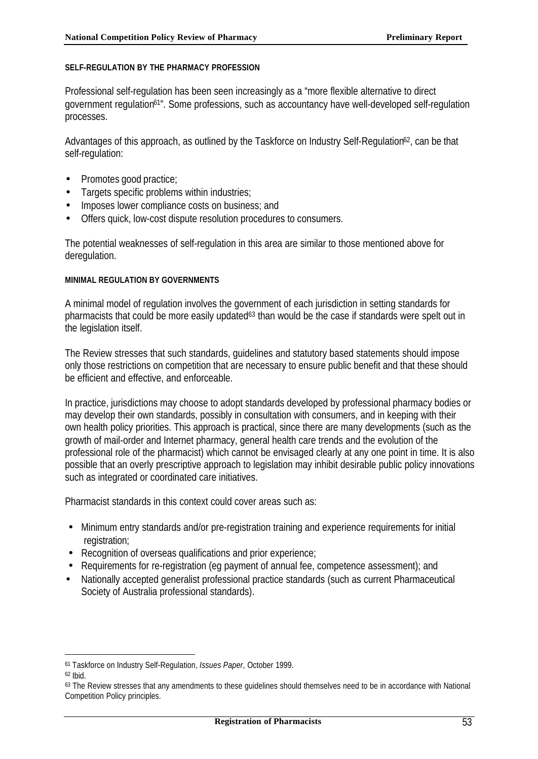#### **SELF-REGULATION BY THE PHARMACY PROFESSION**

Professional self-regulation has been seen increasingly as a "more flexible alternative to direct government regulation<sup>61"</sup>. Some professions, such as accountancy have well-developed self-regulation processes.

Advantages of this approach, as outlined by the Taskforce on Industry Self-Regulation<sup>62</sup>, can be that self-regulation:

- Promotes good practice;
- Targets specific problems within industries;
- Imposes lower compliance costs on business; and
- Offers quick, low-cost dispute resolution procedures to consumers.

The potential weaknesses of self-regulation in this area are similar to those mentioned above for deregulation.

#### **MINIMAL REGULATION BY GOVERNMENTS**

A minimal model of regulation involves the government of each jurisdiction in setting standards for pharmacists that could be more easily updated<sup>63</sup> than would be the case if standards were spelt out in the legislation itself.

The Review stresses that such standards, guidelines and statutory based statements should impose only those restrictions on competition that are necessary to ensure public benefit and that these should be efficient and effective, and enforceable.

In practice, jurisdictions may choose to adopt standards developed by professional pharmacy bodies or may develop their own standards, possibly in consultation with consumers, and in keeping with their own health policy priorities. This approach is practical, since there are many developments (such as the growth of mail-order and Internet pharmacy, general health care trends and the evolution of the professional role of the pharmacist) which cannot be envisaged clearly at any one point in time. It is also possible that an overly prescriptive approach to legislation may inhibit desirable public policy innovations such as integrated or coordinated care initiatives.

Pharmacist standards in this context could cover areas such as:

- Minimum entry standards and/or pre-registration training and experience requirements for initial registration;
- Recognition of overseas qualifications and prior experience;
- Requirements for re-registration (eg payment of annual fee, competence assessment); and
- Nationally accepted generalist professional practice standards (such as current Pharmaceutical Society of Australia professional standards).

<sup>61</sup> Taskforce on Industry Self-Regulation, *Issues Paper*, October 1999.

<sup>62</sup> Ibid.

<sup>&</sup>lt;sup>63</sup> The Review stresses that any amendments to these quidelines should themselves need to be in accordance with National Competition Policy principles.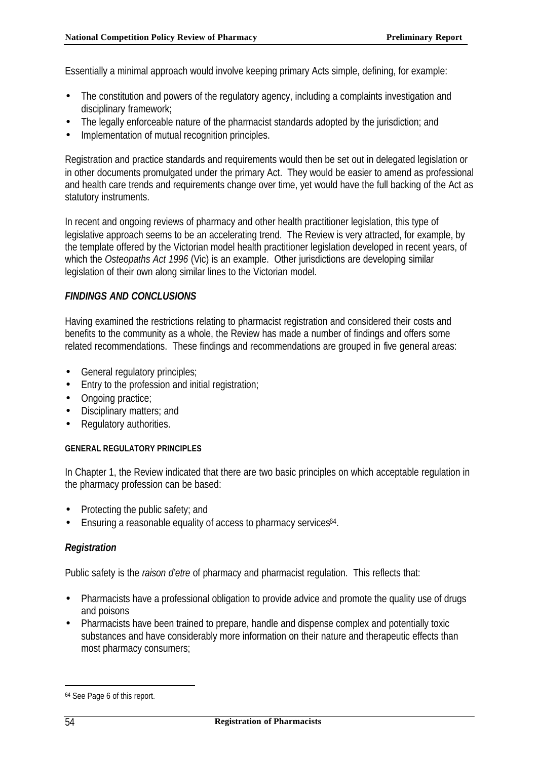Essentially a minimal approach would involve keeping primary Acts simple, defining, for example:

- The constitution and powers of the regulatory agency, including a complaints investigation and disciplinary framework;
- The legally enforceable nature of the pharmacist standards adopted by the jurisdiction; and
- Implementation of mutual recognition principles.

Registration and practice standards and requirements would then be set out in delegated legislation or in other documents promulgated under the primary Act. They would be easier to amend as professional and health care trends and requirements change over time, yet would have the full backing of the Act as statutory instruments.

In recent and ongoing reviews of pharmacy and other health practitioner legislation, this type of legislative approach seems to be an accelerating trend. The Review is very attracted, for example, by the template offered by the Victorian model health practitioner legislation developed in recent years, of which the *Osteopaths Act 1996* (Vic) is an example. Other jurisdictions are developing similar legislation of their own along similar lines to the Victorian model.

## *FINDINGS AND CONCLUSIONS*

Having examined the restrictions relating to pharmacist registration and considered their costs and benefits to the community as a whole, the Review has made a number of findings and offers some related recommendations. These findings and recommendations are grouped in five general areas:

- General regulatory principles;
- Entry to the profession and initial registration;
- Ongoing practice:
- Disciplinary matters; and
- Regulatory authorities.

## **GENERAL REGULATORY PRINCIPLES**

In Chapter 1, the Review indicated that there are two basic principles on which acceptable regulation in the pharmacy profession can be based:

- Protecting the public safety; and
- Ensuring a reasonable equality of access to pharmacy services64.

# *Registration*

Public safety is the *raison d'etre* of pharmacy and pharmacist regulation. This reflects that:

- Pharmacists have a professional obligation to provide advice and promote the quality use of drugs and poisons
- Pharmacists have been trained to prepare, handle and dispense complex and potentially toxic substances and have considerably more information on their nature and therapeutic effects than most pharmacy consumers;

<sup>64</sup> See Page 6 of this report.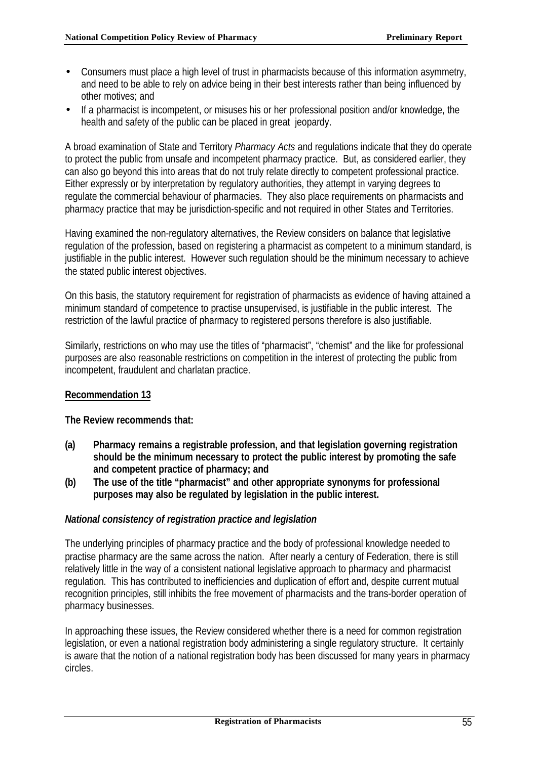- Consumers must place a high level of trust in pharmacists because of this information asymmetry, and need to be able to rely on advice being in their best interests rather than being influenced by other motives; and
- If a pharmacist is incompetent, or misuses his or her professional position and/or knowledge, the health and safety of the public can be placed in great jeopardy.

A broad examination of State and Territory *Pharmacy Acts* and regulations indicate that they do operate to protect the public from unsafe and incompetent pharmacy practice. But, as considered earlier, they can also go beyond this into areas that do not truly relate directly to competent professional practice. Either expressly or by interpretation by regulatory authorities, they attempt in varying degrees to regulate the commercial behaviour of pharmacies. They also place requirements on pharmacists and pharmacy practice that may be jurisdiction-specific and not required in other States and Territories.

Having examined the non-regulatory alternatives, the Review considers on balance that legislative regulation of the profession, based on registering a pharmacist as competent to a minimum standard, is justifiable in the public interest. However such regulation should be the minimum necessary to achieve the stated public interest objectives.

On this basis, the statutory requirement for registration of pharmacists as evidence of having attained a minimum standard of competence to practise unsupervised, is justifiable in the public interest. The restriction of the lawful practice of pharmacy to registered persons therefore is also justifiable.

Similarly, restrictions on who may use the titles of "pharmacist", "chemist" and the like for professional purposes are also reasonable restrictions on competition in the interest of protecting the public from incompetent, fraudulent and charlatan practice.

# **Recommendation 13**

## **The Review recommends that:**

- **(a) Pharmacy remains a registrable profession, and that legislation governing registration should be the minimum necessary to protect the public interest by promoting the safe and competent practice of pharmacy; and**
- **(b) The use of the title "pharmacist" and other appropriate synonyms for professional purposes may also be regulated by legislation in the public interest.**

## *National consistency of registration practice and legislation*

The underlying principles of pharmacy practice and the body of professional knowledge needed to practise pharmacy are the same across the nation. After nearly a century of Federation, there is still relatively little in the way of a consistent national legislative approach to pharmacy and pharmacist regulation. This has contributed to inefficiencies and duplication of effort and, despite current mutual recognition principles, still inhibits the free movement of pharmacists and the trans-border operation of pharmacy businesses.

In approaching these issues, the Review considered whether there is a need for common registration legislation, or even a national registration body administering a single regulatory structure. It certainly is aware that the notion of a national registration body has been discussed for many years in pharmacy circles.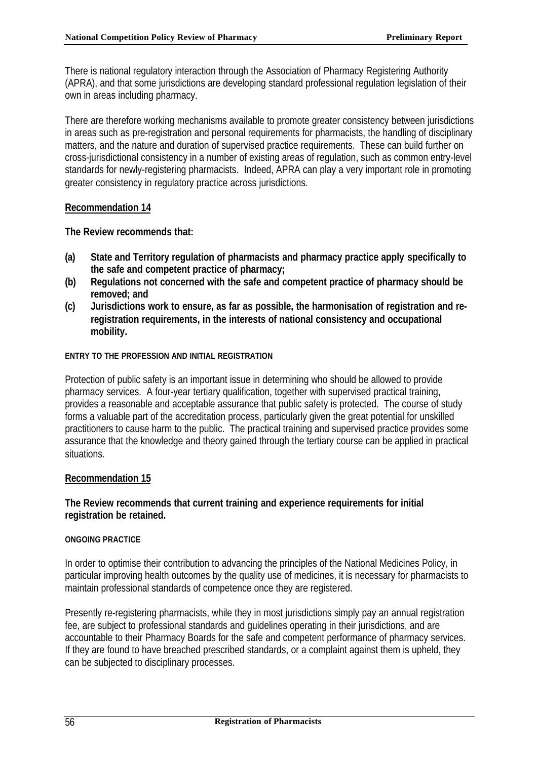There is national regulatory interaction through the Association of Pharmacy Registering Authority (APRA), and that some jurisdictions are developing standard professional regulation legislation of their own in areas including pharmacy.

There are therefore working mechanisms available to promote greater consistency between jurisdictions in areas such as pre-registration and personal requirements for pharmacists, the handling of disciplinary matters, and the nature and duration of supervised practice requirements. These can build further on cross-jurisdictional consistency in a number of existing areas of regulation, such as common entry-level standards for newly-registering pharmacists. Indeed, APRA can play a very important role in promoting greater consistency in regulatory practice across jurisdictions.

# **Recommendation 14**

**The Review recommends that:**

- **(a) State and Territory regulation of pharmacists and pharmacy practice apply specifically to the safe and competent practice of pharmacy;**
- **(b) Regulations not concerned with the safe and competent practice of pharmacy should be removed; and**
- **(c) Jurisdictions work to ensure, as far as possible, the harmonisation of registration and reregistration requirements, in the interests of national consistency and occupational mobility.**

## **ENTRY TO THE PROFESSION AND INITIAL REGISTRATION**

Protection of public safety is an important issue in determining who should be allowed to provide pharmacy services. A four-year tertiary qualification, together with supervised practical training, provides a reasonable and acceptable assurance that public safety is protected. The course of study forms a valuable part of the accreditation process, particularly given the great potential for unskilled practitioners to cause harm to the public. The practical training and supervised practice provides some assurance that the knowledge and theory gained through the tertiary course can be applied in practical situations.

## **Recommendation 15**

## **The Review recommends that current training and experience requirements for initial registration be retained.**

## **ONGOING PRACTICE**

In order to optimise their contribution to advancing the principles of the National Medicines Policy, in particular improving health outcomes by the quality use of medicines, it is necessary for pharmacists to maintain professional standards of competence once they are registered.

Presently re-registering pharmacists, while they in most jurisdictions simply pay an annual registration fee, are subject to professional standards and guidelines operating in their jurisdictions, and are accountable to their Pharmacy Boards for the safe and competent performance of pharmacy services. If they are found to have breached prescribed standards, or a complaint against them is upheld, they can be subjected to disciplinary processes.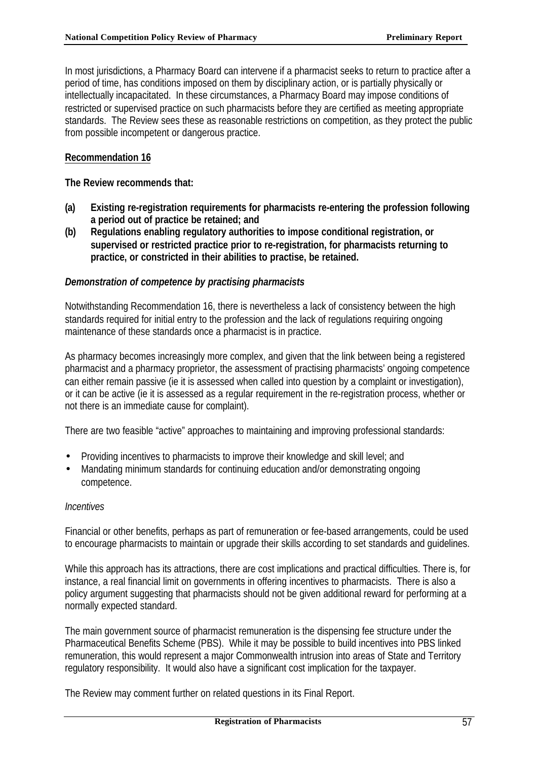In most jurisdictions, a Pharmacy Board can intervene if a pharmacist seeks to return to practice after a period of time, has conditions imposed on them by disciplinary action, or is partially physically or intellectually incapacitated. In these circumstances, a Pharmacy Board may impose conditions of restricted or supervised practice on such pharmacists before they are certified as meeting appropriate standards. The Review sees these as reasonable restrictions on competition, as they protect the public from possible incompetent or dangerous practice.

## **Recommendation 16**

#### **The Review recommends that:**

- **(a) Existing re-registration requirements for pharmacists re-entering the profession following a period out of practice be retained; and**
- **(b) Regulations enabling regulatory authorities to impose conditional registration, or supervised or restricted practice prior to re-registration, for pharmacists returning to practice, or constricted in their abilities to practise, be retained.**

## *Demonstration of competence by practising pharmacists*

Notwithstanding Recommendation 16, there is nevertheless a lack of consistency between the high standards required for initial entry to the profession and the lack of regulations requiring ongoing maintenance of these standards once a pharmacist is in practice.

As pharmacy becomes increasingly more complex, and given that the link between being a registered pharmacist and a pharmacy proprietor, the assessment of practising pharmacists' ongoing competence can either remain passive (ie it is assessed when called into question by a complaint or investigation), or it can be active (ie it is assessed as a regular requirement in the re-registration process, whether or not there is an immediate cause for complaint).

There are two feasible "active" approaches to maintaining and improving professional standards:

- Providing incentives to pharmacists to improve their knowledge and skill level; and
- Mandating minimum standards for continuing education and/or demonstrating ongoing competence.

#### *Incentives*

Financial or other benefits, perhaps as part of remuneration or fee-based arrangements, could be used to encourage pharmacists to maintain or upgrade their skills according to set standards and guidelines.

While this approach has its attractions, there are cost implications and practical difficulties. There is, for instance, a real financial limit on governments in offering incentives to pharmacists. There is also a policy argument suggesting that pharmacists should not be given additional reward for performing at a normally expected standard.

The main government source of pharmacist remuneration is the dispensing fee structure under the Pharmaceutical Benefits Scheme (PBS). While it may be possible to build incentives into PBS linked remuneration, this would represent a major Commonwealth intrusion into areas of State and Territory regulatory responsibility. It would also have a significant cost implication for the taxpayer.

The Review may comment further on related questions in its Final Report.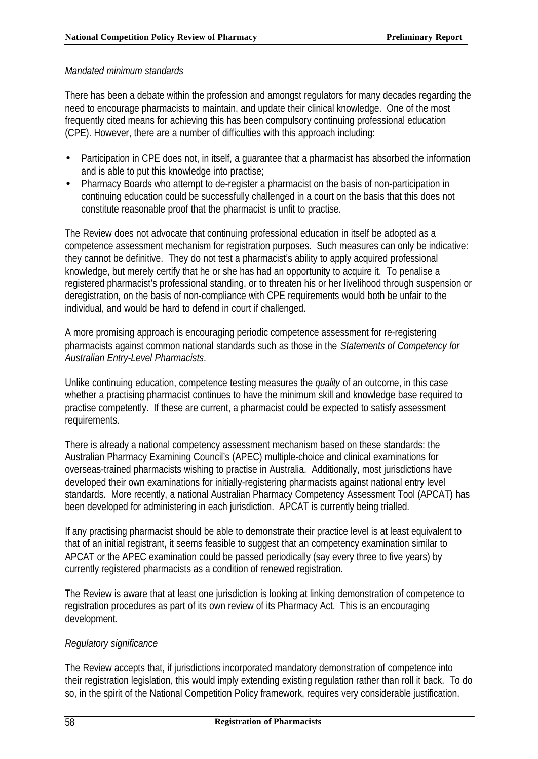## *Mandated minimum standards*

There has been a debate within the profession and amongst regulators for many decades regarding the need to encourage pharmacists to maintain, and update their clinical knowledge. One of the most frequently cited means for achieving this has been compulsory continuing professional education (CPE). However, there are a number of difficulties with this approach including:

- Participation in CPE does not, in itself, a quarantee that a pharmacist has absorbed the information and is able to put this knowledge into practise;
- Pharmacy Boards who attempt to de-register a pharmacist on the basis of non-participation in continuing education could be successfully challenged in a court on the basis that this does not constitute reasonable proof that the pharmacist is unfit to practise.

The Review does not advocate that continuing professional education in itself be adopted as a competence assessment mechanism for registration purposes. Such measures can only be indicative: they cannot be definitive. They do not test a pharmacist's ability to apply acquired professional knowledge, but merely certify that he or she has had an opportunity to acquire it. To penalise a registered pharmacist's professional standing, or to threaten his or her livelihood through suspension or deregistration, on the basis of non-compliance with CPE requirements would both be unfair to the individual, and would be hard to defend in court if challenged.

A more promising approach is encouraging periodic competence assessment for re-registering pharmacists against common national standards such as those in the *Statements of Competency for Australian Entry-Level Pharmacists*.

Unlike continuing education, competence testing measures the *quality* of an outcome, in this case whether a practising pharmacist continues to have the minimum skill and knowledge base required to practise competently. If these are current, a pharmacist could be expected to satisfy assessment requirements.

There is already a national competency assessment mechanism based on these standards: the Australian Pharmacy Examining Council's (APEC) multiple-choice and clinical examinations for overseas-trained pharmacists wishing to practise in Australia. Additionally, most jurisdictions have developed their own examinations for initially-registering pharmacists against national entry level standards. More recently, a national Australian Pharmacy Competency Assessment Tool (APCAT) has been developed for administering in each jurisdiction. APCAT is currently being trialled.

If any practising pharmacist should be able to demonstrate their practice level is at least equivalent to that of an initial registrant, it seems feasible to suggest that an competency examination similar to APCAT or the APEC examination could be passed periodically (say every three to five years) by currently registered pharmacists as a condition of renewed registration.

The Review is aware that at least one jurisdiction is looking at linking demonstration of competence to registration procedures as part of its own review of its Pharmacy Act. This is an encouraging development.

# *Regulatory significance*

The Review accepts that, if jurisdictions incorporated mandatory demonstration of competence into their registration legislation, this would imply extending existing regulation rather than roll it back. To do so, in the spirit of the National Competition Policy framework, requires very considerable justification.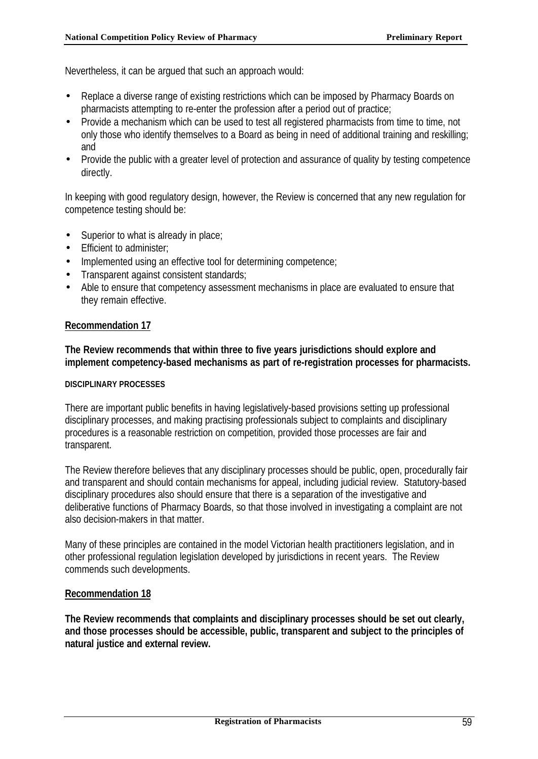Nevertheless, it can be argued that such an approach would:

- Replace a diverse range of existing restrictions which can be imposed by Pharmacy Boards on pharmacists attempting to re-enter the profession after a period out of practice;
- Provide a mechanism which can be used to test all registered pharmacists from time to time, not only those who identify themselves to a Board as being in need of additional training and reskilling; and
- Provide the public with a greater level of protection and assurance of quality by testing competence directly.

In keeping with good regulatory design, however, the Review is concerned that any new regulation for competence testing should be:

- Superior to what is already in place;
- Efficient to administer:
- Implemented using an effective tool for determining competence;
- Transparent against consistent standards;
- Able to ensure that competency assessment mechanisms in place are evaluated to ensure that they remain effective.

## **Recommendation 17**

**The Review recommends that within three to five years jurisdictions should explore and implement competency-based mechanisms as part of re-registration processes for pharmacists.**

#### **DISCIPLINARY PROCESSES**

There are important public benefits in having legislatively-based provisions setting up professional disciplinary processes, and making practising professionals subject to complaints and disciplinary procedures is a reasonable restriction on competition, provided those processes are fair and transparent.

The Review therefore believes that any disciplinary processes should be public, open, procedurally fair and transparent and should contain mechanisms for appeal, including judicial review. Statutory-based disciplinary procedures also should ensure that there is a separation of the investigative and deliberative functions of Pharmacy Boards, so that those involved in investigating a complaint are not also decision-makers in that matter.

Many of these principles are contained in the model Victorian health practitioners legislation, and in other professional regulation legislation developed by jurisdictions in recent years. The Review commends such developments.

## **Recommendation 18**

**The Review recommends that complaints and disciplinary processes should be set out clearly, and those processes should be accessible, public, transparent and subject to the principles of natural justice and external review.**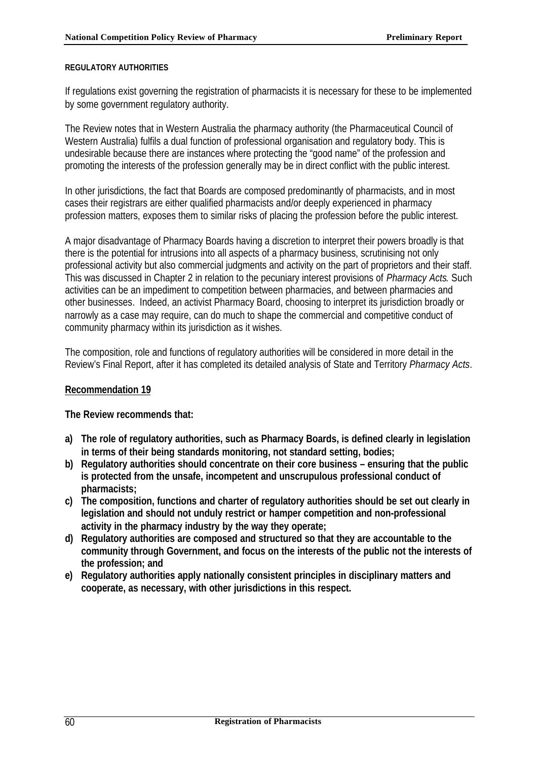#### **REGULATORY AUTHORITIES**

If regulations exist governing the registration of pharmacists it is necessary for these to be implemented by some government regulatory authority.

The Review notes that in Western Australia the pharmacy authority (the Pharmaceutical Council of Western Australia) fulfils a dual function of professional organisation and regulatory body. This is undesirable because there are instances where protecting the "good name" of the profession and promoting the interests of the profession generally may be in direct conflict with the public interest.

In other jurisdictions, the fact that Boards are composed predominantly of pharmacists, and in most cases their registrars are either qualified pharmacists and/or deeply experienced in pharmacy profession matters, exposes them to similar risks of placing the profession before the public interest.

A major disadvantage of Pharmacy Boards having a discretion to interpret their powers broadly is that there is the potential for intrusions into all aspects of a pharmacy business, scrutinising not only professional activity but also commercial judgments and activity on the part of proprietors and their staff. This was discussed in Chapter 2 in relation to the pecuniary interest provisions of *Pharmacy Acts*. Such activities can be an impediment to competition between pharmacies, and between pharmacies and other businesses. Indeed, an activist Pharmacy Board, choosing to interpret its jurisdiction broadly or narrowly as a case may require, can do much to shape the commercial and competitive conduct of community pharmacy within its jurisdiction as it wishes.

The composition, role and functions of regulatory authorities will be considered in more detail in the Review's Final Report, after it has completed its detailed analysis of State and Territory *Pharmacy Acts*.

## **Recommendation 19**

**The Review recommends that:**

- **a) The role of regulatory authorities, such as Pharmacy Boards, is defined clearly in legislation in terms of their being standards monitoring, not standard setting, bodies;**
- **b) Regulatory authorities should concentrate on their core business ensuring that the public is protected from the unsafe, incompetent and unscrupulous professional conduct of pharmacists;**
- **c) The composition, functions and charter of regulatory authorities should be set out clearly in legislation and should not unduly restrict or hamper competition and non-professional activity in the pharmacy industry by the way they operate;**
- **d) Regulatory authorities are composed and structured so that they are accountable to the community through Government, and focus on the interests of the public not the interests of the profession; and**
- **e) Regulatory authorities apply nationally consistent principles in disciplinary matters and cooperate, as necessary, with other jurisdictions in this respect.**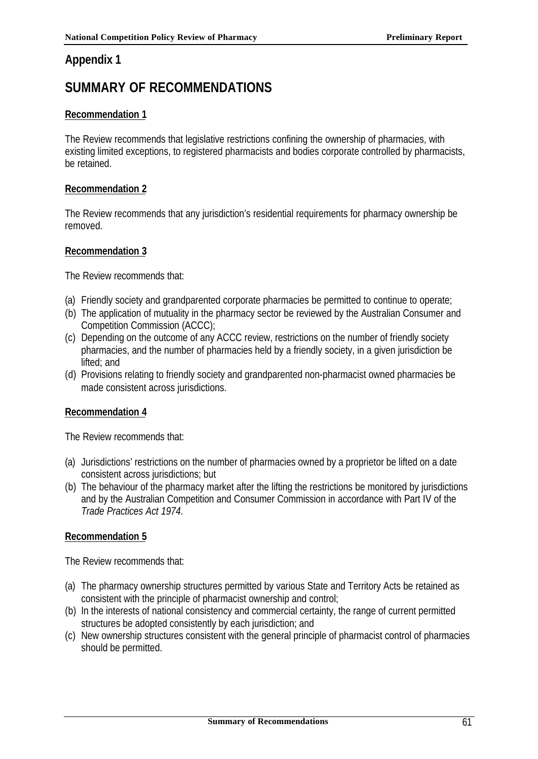# **Appendix 1**

# **SUMMARY OF RECOMMENDATIONS**

# **Recommendation 1**

The Review recommends that legislative restrictions confining the ownership of pharmacies, with existing limited exceptions, to registered pharmacists and bodies corporate controlled by pharmacists, be retained.

# **Recommendation 2**

The Review recommends that any jurisdiction's residential requirements for pharmacy ownership be removed.

## **Recommendation 3**

The Review recommends that:

- (a) Friendly society and grandparented corporate pharmacies be permitted to continue to operate;
- (b) The application of mutuality in the pharmacy sector be reviewed by the Australian Consumer and Competition Commission (ACCC);
- (c) Depending on the outcome of any ACCC review, restrictions on the number of friendly society pharmacies, and the number of pharmacies held by a friendly society, in a given jurisdiction be lifted; and
- (d) Provisions relating to friendly society and grandparented non-pharmacist owned pharmacies be made consistent across jurisdictions.

# **Recommendation 4**

The Review recommends that:

- (a) Jurisdictions' restrictions on the number of pharmacies owned by a proprietor be lifted on a date consistent across jurisdictions; but
- (b) The behaviour of the pharmacy market after the lifting the restrictions be monitored by jurisdictions and by the Australian Competition and Consumer Commission in accordance with Part IV of the *Trade Practices Act 1974*.

# **Recommendation 5**

The Review recommends that:

- (a) The pharmacy ownership structures permitted by various State and Territory Acts be retained as consistent with the principle of pharmacist ownership and control;
- (b) In the interests of national consistency and commercial certainty, the range of current permitted structures be adopted consistently by each jurisdiction; and
- (c) New ownership structures consistent with the general principle of pharmacist control of pharmacies should be permitted.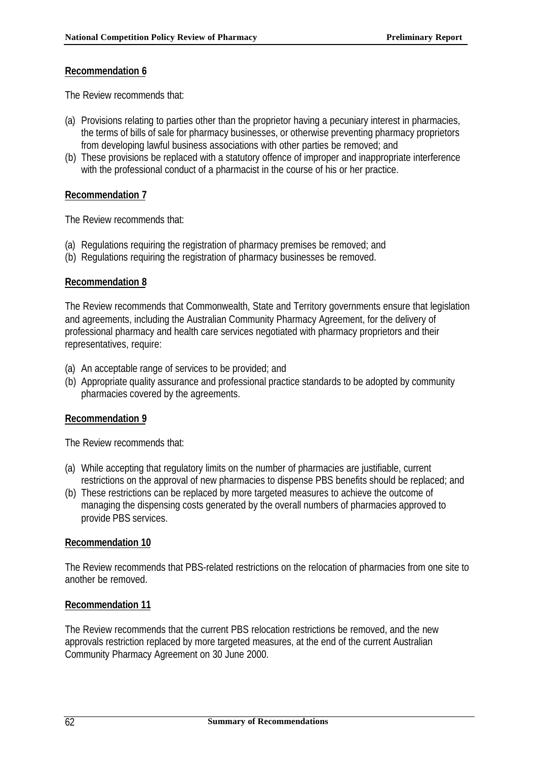The Review recommends that:

- (a) Provisions relating to parties other than the proprietor having a pecuniary interest in pharmacies, the terms of bills of sale for pharmacy businesses, or otherwise preventing pharmacy proprietors from developing lawful business associations with other parties be removed; and
- (b) These provisions be replaced with a statutory offence of improper and inappropriate interference with the professional conduct of a pharmacist in the course of his or her practice.

# **Recommendation 7**

The Review recommends that:

- (a) Regulations requiring the registration of pharmacy premises be removed; and
- (b) Regulations requiring the registration of pharmacy businesses be removed.

# **Recommendation 8**

The Review recommends that Commonwealth, State and Territory governments ensure that legislation and agreements, including the Australian Community Pharmacy Agreement, for the delivery of professional pharmacy and health care services negotiated with pharmacy proprietors and their representatives, require:

- (a) An acceptable range of services to be provided; and
- (b) Appropriate quality assurance and professional practice standards to be adopted by community pharmacies covered by the agreements.

# **Recommendation 9**

The Review recommends that:

- (a) While accepting that regulatory limits on the number of pharmacies are justifiable, current restrictions on the approval of new pharmacies to dispense PBS benefits should be replaced; and
- (b) These restrictions can be replaced by more targeted measures to achieve the outcome of managing the dispensing costs generated by the overall numbers of pharmacies approved to provide PBS services.

# **Recommendation 10**

The Review recommends that PBS-related restrictions on the relocation of pharmacies from one site to another be removed.

# **Recommendation 11**

The Review recommends that the current PBS relocation restrictions be removed, and the new approvals restriction replaced by more targeted measures, at the end of the current Australian Community Pharmacy Agreement on 30 June 2000.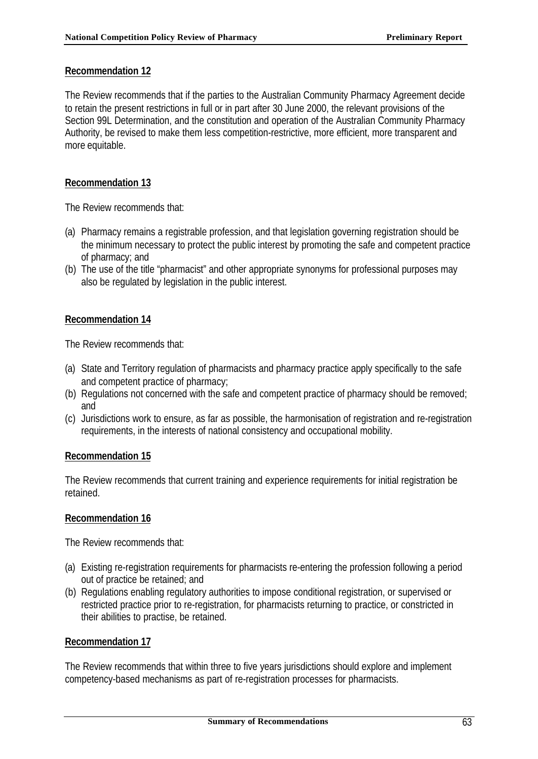The Review recommends that if the parties to the Australian Community Pharmacy Agreement decide to retain the present restrictions in full or in part after 30 June 2000, the relevant provisions of the Section 99L Determination, and the constitution and operation of the Australian Community Pharmacy Authority, be revised to make them less competition-restrictive, more efficient, more transparent and more equitable.

# **Recommendation 13**

The Review recommends that:

- (a) Pharmacy remains a registrable profession, and that legislation governing registration should be the minimum necessary to protect the public interest by promoting the safe and competent practice of pharmacy; and
- (b) The use of the title "pharmacist" and other appropriate synonyms for professional purposes may also be regulated by legislation in the public interest.

# **Recommendation 14**

The Review recommends that:

- (a) State and Territory regulation of pharmacists and pharmacy practice apply specifically to the safe and competent practice of pharmacy;
- (b) Regulations not concerned with the safe and competent practice of pharmacy should be removed; and
- (c) Jurisdictions work to ensure, as far as possible, the harmonisation of registration and re-registration requirements, in the interests of national consistency and occupational mobility.

# **Recommendation 15**

The Review recommends that current training and experience requirements for initial registration be retained.

## **Recommendation 16**

The Review recommends that:

- (a) Existing re-registration requirements for pharmacists re-entering the profession following a period out of practice be retained; and
- (b) Regulations enabling regulatory authorities to impose conditional registration, or supervised or restricted practice prior to re-registration, for pharmacists returning to practice, or constricted in their abilities to practise, be retained.

## **Recommendation 17**

The Review recommends that within three to five years jurisdictions should explore and implement competency-based mechanisms as part of re-registration processes for pharmacists.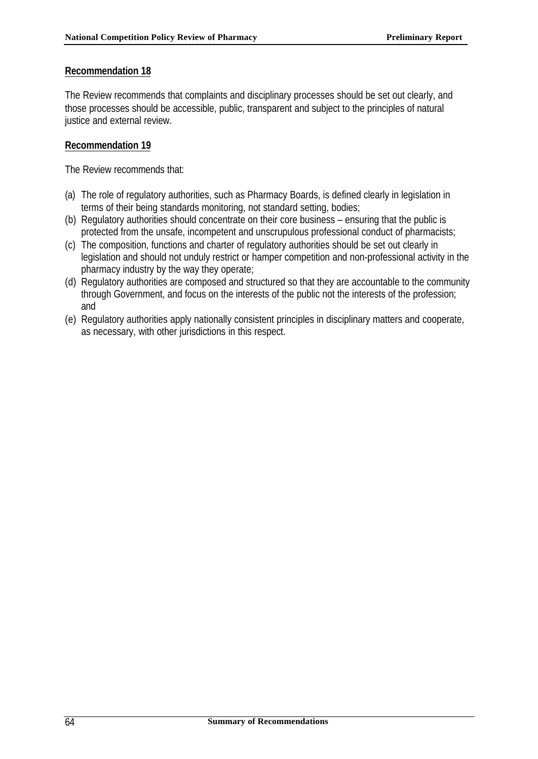The Review recommends that complaints and disciplinary processes should be set out clearly, and those processes should be accessible, public, transparent and subject to the principles of natural justice and external review.

## **Recommendation 19**

The Review recommends that:

- (a) The role of regulatory authorities, such as Pharmacy Boards, is defined clearly in legislation in terms of their being standards monitoring, not standard setting, bodies;
- (b) Regulatory authorities should concentrate on their core business ensuring that the public is protected from the unsafe, incompetent and unscrupulous professional conduct of pharmacists;
- (c) The composition, functions and charter of regulatory authorities should be set out clearly in legislation and should not unduly restrict or hamper competition and non-professional activity in the pharmacy industry by the way they operate;
- (d) Regulatory authorities are composed and structured so that they are accountable to the community through Government, and focus on the interests of the public not the interests of the profession; and
- (e) Regulatory authorities apply nationally consistent principles in disciplinary matters and cooperate, as necessary, with other jurisdictions in this respect.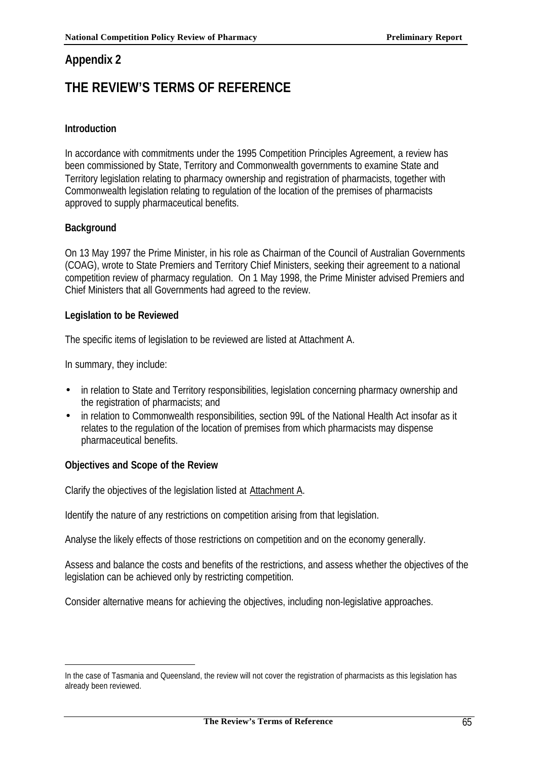# **Appendix 2**

# **THE REVIEW'S TERMS OF REFERENCE**

# **Introduction**

In accordance with commitments under the 1995 Competition Principles Agreement, a review has been commissioned by State, Territory and Commonwealth governments to examine State and Territory legislation relating to pharmacy ownership and registration of pharmacists, together with Commonwealth legislation relating to regulation of the location of the premises of pharmacists approved to supply pharmaceutical benefits.

# **Background**

On 13 May 1997 the Prime Minister, in his role as Chairman of the Council of Australian Governments (COAG), wrote to State Premiers and Territory Chief Ministers, seeking their agreement to a national competition review of pharmacy regulation. On 1 May 1998, the Prime Minister advised Premiers and Chief Ministers that all Governments had agreed to the review.

# **Legislation to be Reviewed**

The specific items of legislation to be reviewed are listed at Attachment A.

In summary, they include:

l

- in relation to State and Territory responsibilities, legislation concerning pharmacy ownership and the registration of pharmacists; and
- in relation to Commonwealth responsibilities, section 99L of the National Health Act insofar as it relates to the regulation of the location of premises from which pharmacists may dispense pharmaceutical benefits.

# **Objectives and Scope of the Review**

Clarify the objectives of the legislation listed at Attachment A.

Identify the nature of any restrictions on competition arising from that legislation.

Analyse the likely effects of those restrictions on competition and on the economy generally.

Assess and balance the costs and benefits of the restrictions, and assess whether the objectives of the legislation can be achieved only by restricting competition.

Consider alternative means for achieving the objectives, including non-legislative approaches.

In the case of Tasmania and Queensland, the review will not cover the registration of pharmacists as this legislation has already been reviewed.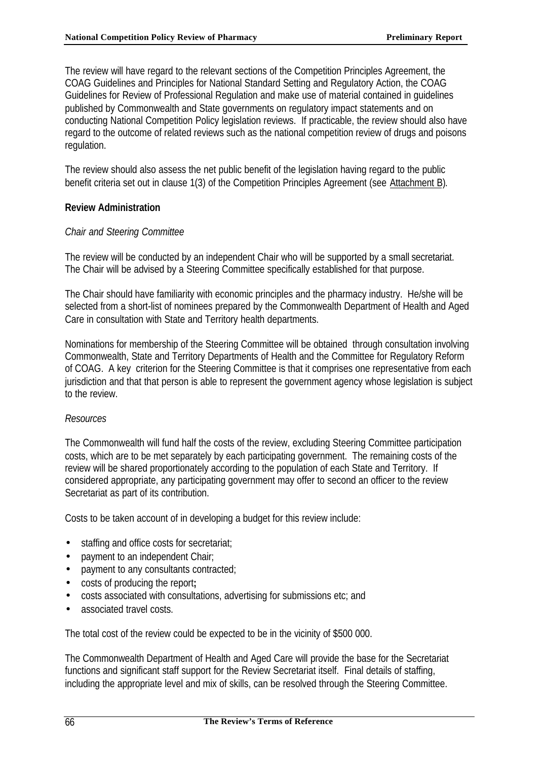The review will have regard to the relevant sections of the Competition Principles Agreement, the COAG Guidelines and Principles for National Standard Setting and Regulatory Action, the COAG Guidelines for Review of Professional Regulation and make use of material contained in guidelines published by Commonwealth and State governments on regulatory impact statements and on conducting National Competition Policy legislation reviews. If practicable, the review should also have regard to the outcome of related reviews such as the national competition review of drugs and poisons regulation.

The review should also assess the net public benefit of the legislation having regard to the public benefit criteria set out in clause 1(3) of the Competition Principles Agreement (see Attachment B).

# **Review Administration**

### *Chair and Steering Committee*

The review will be conducted by an independent Chair who will be supported by a small secretariat. The Chair will be advised by a Steering Committee specifically established for that purpose.

The Chair should have familiarity with economic principles and the pharmacy industry. He/she will be selected from a short-list of nominees prepared by the Commonwealth Department of Health and Aged Care in consultation with State and Territory health departments.

Nominations for membership of the Steering Committee will be obtained through consultation involving Commonwealth, State and Territory Departments of Health and the Committee for Regulatory Reform of COAG. A key criterion for the Steering Committee is that it comprises one representative from each jurisdiction and that that person is able to represent the government agency whose legislation is subject to the review.

### *Resources*

The Commonwealth will fund half the costs of the review, excluding Steering Committee participation costs, which are to be met separately by each participating government. The remaining costs of the review will be shared proportionately according to the population of each State and Territory. If considered appropriate, any participating government may offer to second an officer to the review Secretariat as part of its contribution.

Costs to be taken account of in developing a budget for this review include:

- staffing and office costs for secretariat;
- payment to an independent Chair;
- payment to any consultants contracted;
- costs of producing the report**;**
- costs associated with consultations, advertising for submissions etc; and
- associated travel costs.

The total cost of the review could be expected to be in the vicinity of \$500 000.

The Commonwealth Department of Health and Aged Care will provide the base for the Secretariat functions and significant staff support for the Review Secretariat itself. Final details of staffing, including the appropriate level and mix of skills, can be resolved through the Steering Committee.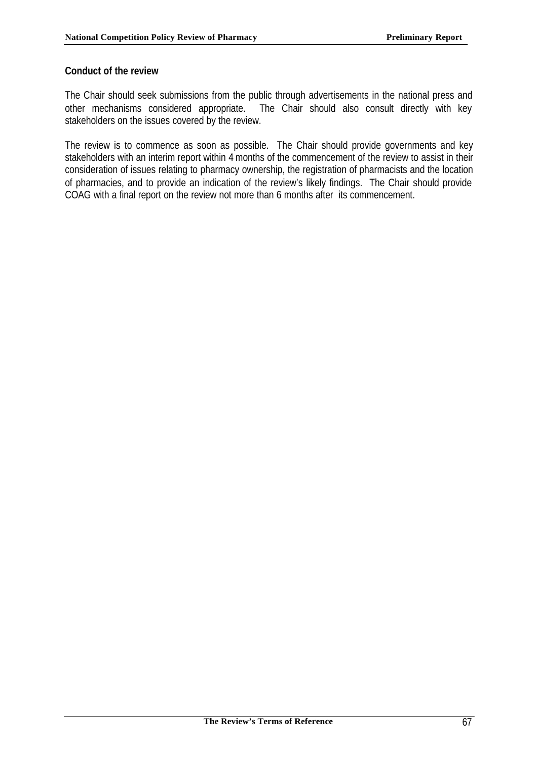### **Conduct of the review**

The Chair should seek submissions from the public through advertisements in the national press and other mechanisms considered appropriate. The Chair should also consult directly with key stakeholders on the issues covered by the review.

The review is to commence as soon as possible. The Chair should provide governments and key stakeholders with an interim report within 4 months of the commencement of the review to assist in their consideration of issues relating to pharmacy ownership, the registration of pharmacists and the location of pharmacies, and to provide an indication of the review's likely findings. The Chair should provide COAG with a final report on the review not more than 6 months after its commencement.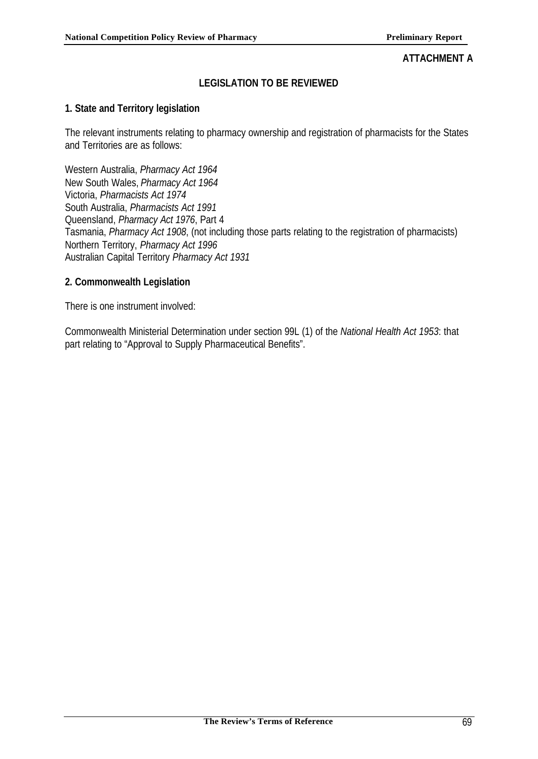### **ATTACHMENT A**

# **LEGISLATION TO BE REVIEWED**

### **1. State and Territory legislation**

The relevant instruments relating to pharmacy ownership and registration of pharmacists for the States and Territories are as follows:

Western Australia, *Pharmacy Act 1964* New South Wales, *Pharmacy Act 1964* Victoria, *Pharmacists Act 1974* South Australia, *Pharmacists Act 1991* Queensland, *Pharmacy Act 1976*, Part 4 Tasmania, *Pharmacy Act 1908*, (not including those parts relating to the registration of pharmacists) Northern Territory, *Pharmacy Act 1996* Australian Capital Territory *Pharmacy Act 1931*

### **2. Commonwealth Legislation**

There is one instrument involved:

Commonwealth Ministerial Determination under section 99L (1) of the *National Health Act 1953*: that part relating to "Approval to Supply Pharmaceutical Benefits".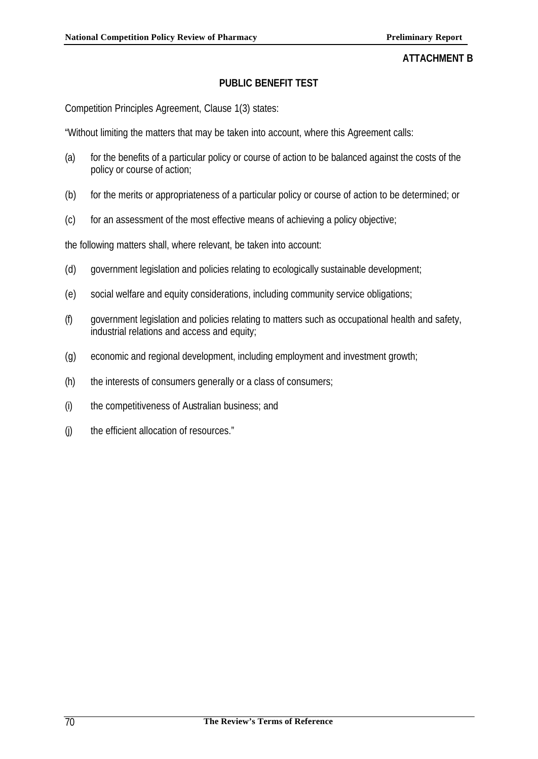### **ATTACHMENT B**

### **PUBLIC BENEFIT TEST**

Competition Principles Agreement, Clause 1(3) states:

"Without limiting the matters that may be taken into account, where this Agreement calls:

- (a) for the benefits of a particular policy or course of action to be balanced against the costs of the policy or course of action;
- (b) for the merits or appropriateness of a particular policy or course of action to be determined; or
- (c) for an assessment of the most effective means of achieving a policy objective;

the following matters shall, where relevant, be taken into account:

- (d) government legislation and policies relating to ecologically sustainable development;
- (e) social welfare and equity considerations, including community service obligations;
- (f) government legislation and policies relating to matters such as occupational health and safety, industrial relations and access and equity;
- (g) economic and regional development, including employment and investment growth;
- (h) the interests of consumers generally or a class of consumers;
- (i) the competitiveness of Australian business; and
- (j) the efficient allocation of resources."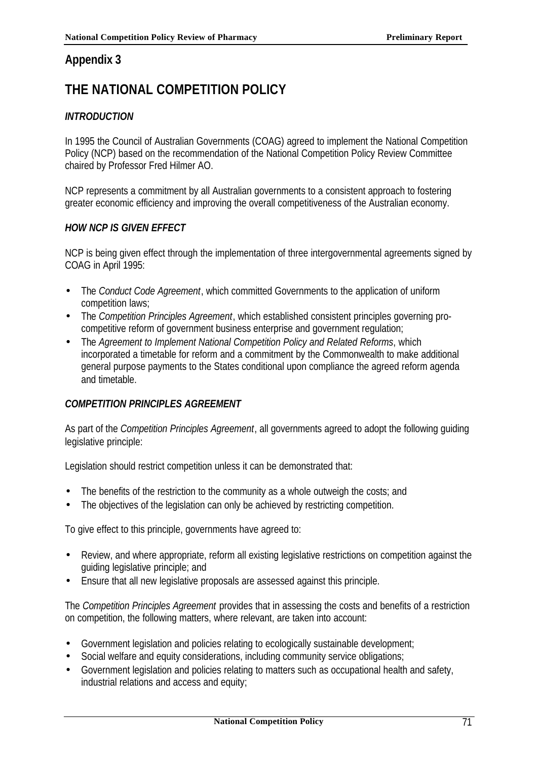# **Appendix 3**

# **THE NATIONAL COMPETITION POLICY**

# *INTRODUCTION*

In 1995 the Council of Australian Governments (COAG) agreed to implement the National Competition Policy (NCP) based on the recommendation of the National Competition Policy Review Committee chaired by Professor Fred Hilmer AO.

NCP represents a commitment by all Australian governments to a consistent approach to fostering greater economic efficiency and improving the overall competitiveness of the Australian economy.

### *HOW NCP IS GIVEN EFFECT*

NCP is being given effect through the implementation of three intergovernmental agreements signed by COAG in April 1995:

- The *Conduct Code Agreement*, which committed Governments to the application of uniform competition laws;
- The *Competition Principles Agreement*, which established consistent principles governing procompetitive reform of government business enterprise and government regulation;
- The *Agreement to Implement National Competition Policy and Related Reforms*, which incorporated a timetable for reform and a commitment by the Commonwealth to make additional general purpose payments to the States conditional upon compliance the agreed reform agenda and timetable.

### *COMPETITION PRINCIPLES AGREEMENT*

As part of the *Competition Principles Agreement*, all governments agreed to adopt the following guiding legislative principle:

Legislation should restrict competition unless it can be demonstrated that:

- The benefits of the restriction to the community as a whole outweigh the costs; and
- The objectives of the legislation can only be achieved by restricting competition.

To give effect to this principle, governments have agreed to:

- Review, and where appropriate, reform all existing legislative restrictions on competition against the guiding legislative principle; and
- Ensure that all new legislative proposals are assessed against this principle.

The *Competition Principles Agreement* provides that in assessing the costs and benefits of a restriction on competition, the following matters, where relevant, are taken into account:

- Government legislation and policies relating to ecologically sustainable development;
- Social welfare and equity considerations, including community service obligations;
- Government legislation and policies relating to matters such as occupational health and safety, industrial relations and access and equity;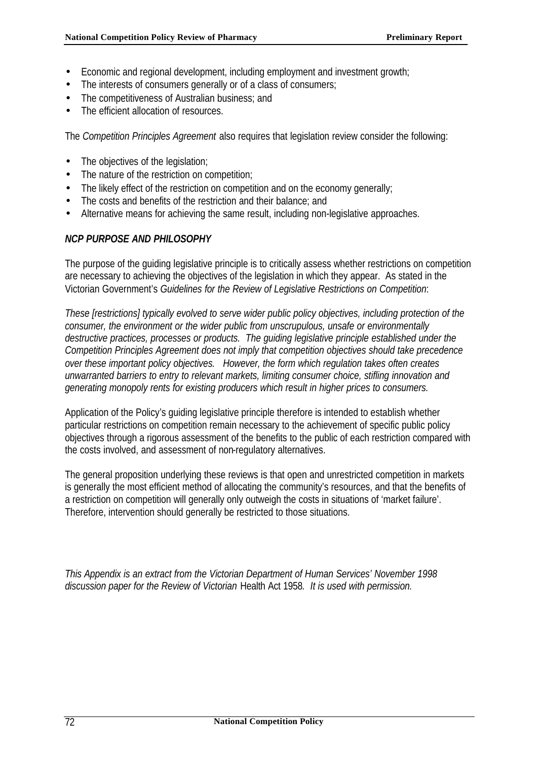- Economic and regional development, including employment and investment growth;
- The interests of consumers generally or of a class of consumers;
- The competitiveness of Australian business; and
- The efficient allocation of resources.

The *Competition Principles Agreement* also requires that legislation review consider the following:

- The objectives of the legislation;
- The nature of the restriction on competition;
- The likely effect of the restriction on competition and on the economy generally;
- The costs and benefits of the restriction and their balance; and
- Alternative means for achieving the same result, including non-legislative approaches.

### *NCP PURPOSE AND PHILOSOPHY*

The purpose of the guiding legislative principle is to critically assess whether restrictions on competition are necessary to achieving the objectives of the legislation in which they appear. As stated in the Victorian Government's *Guidelines for the Review of Legislative Restrictions on Competition*:

*These [restrictions] typically evolved to serve wider public policy objectives, including protection of the consumer, the environment or the wider public from unscrupulous, unsafe or environmentally destructive practices, processes or products. The guiding legislative principle established under the Competition Principles Agreement does not imply that competition objectives should take precedence over these important policy objectives. However, the form which regulation takes often creates unwarranted barriers to entry to relevant markets, limiting consumer choice, stifling innovation and generating monopoly rents for existing producers which result in higher prices to consumers.*

Application of the Policy's guiding legislative principle therefore is intended to establish whether particular restrictions on competition remain necessary to the achievement of specific public policy objectives through a rigorous assessment of the benefits to the public of each restriction compared with the costs involved, and assessment of non-regulatory alternatives.

The general proposition underlying these reviews is that open and unrestricted competition in markets is generally the most efficient method of allocating the community's resources, and that the benefits of a restriction on competition will generally only outweigh the costs in situations of 'market failure'. Therefore, intervention should generally be restricted to those situations.

*This Appendix is an extract from the Victorian Department of Human Services' November 1998 discussion paper for the Review of Victorian* Health Act 1958*. It is used with permission.*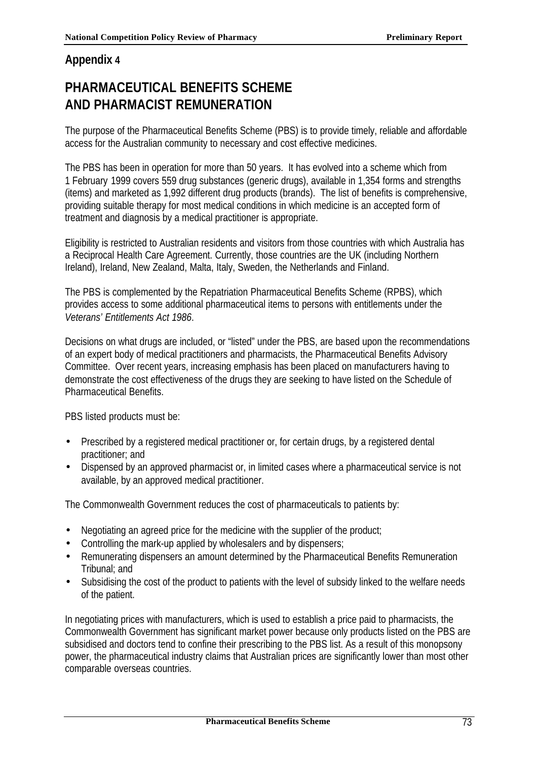# **Appendix 4**

# **PHARMACEUTICAL BENEFITS SCHEME AND PHARMACIST REMUNERATION**

The purpose of the Pharmaceutical Benefits Scheme (PBS) is to provide timely, reliable and affordable access for the Australian community to necessary and cost effective medicines.

The PBS has been in operation for more than 50 years. It has evolved into a scheme which from 1 February 1999 covers 559 drug substances (generic drugs), available in 1,354 forms and strengths (items) and marketed as 1,992 different drug products (brands). The list of benefits is comprehensive, providing suitable therapy for most medical conditions in which medicine is an accepted form of treatment and diagnosis by a medical practitioner is appropriate.

Eligibility is restricted to Australian residents and visitors from those countries with which Australia has a Reciprocal Health Care Agreement. Currently, those countries are the UK (including Northern Ireland), Ireland, New Zealand, Malta, Italy, Sweden, the Netherlands and Finland.

The PBS is complemented by the Repatriation Pharmaceutical Benefits Scheme (RPBS), which provides access to some additional pharmaceutical items to persons with entitlements under the *Veterans' Entitlements Act 1986*.

Decisions on what drugs are included, or "listed" under the PBS, are based upon the recommendations of an expert body of medical practitioners and pharmacists, the Pharmaceutical Benefits Advisory Committee. Over recent years, increasing emphasis has been placed on manufacturers having to demonstrate the cost effectiveness of the drugs they are seeking to have listed on the Schedule of Pharmaceutical Benefits.

PBS listed products must be:

- Prescribed by a registered medical practitioner or, for certain drugs, by a registered dental practitioner; and
- Dispensed by an approved pharmacist or, in limited cases where a pharmaceutical service is not available, by an approved medical practitioner.

The Commonwealth Government reduces the cost of pharmaceuticals to patients by:

- Negotiating an agreed price for the medicine with the supplier of the product;
- Controlling the mark-up applied by wholesalers and by dispensers;
- Remunerating dispensers an amount determined by the Pharmaceutical Benefits Remuneration Tribunal; and
- Subsidising the cost of the product to patients with the level of subsidy linked to the welfare needs of the patient.

In negotiating prices with manufacturers, which is used to establish a price paid to pharmacists, the Commonwealth Government has significant market power because only products listed on the PBS are subsidised and doctors tend to confine their prescribing to the PBS list. As a result of this monopsony power, the pharmaceutical industry claims that Australian prices are significantly lower than most other comparable overseas countries.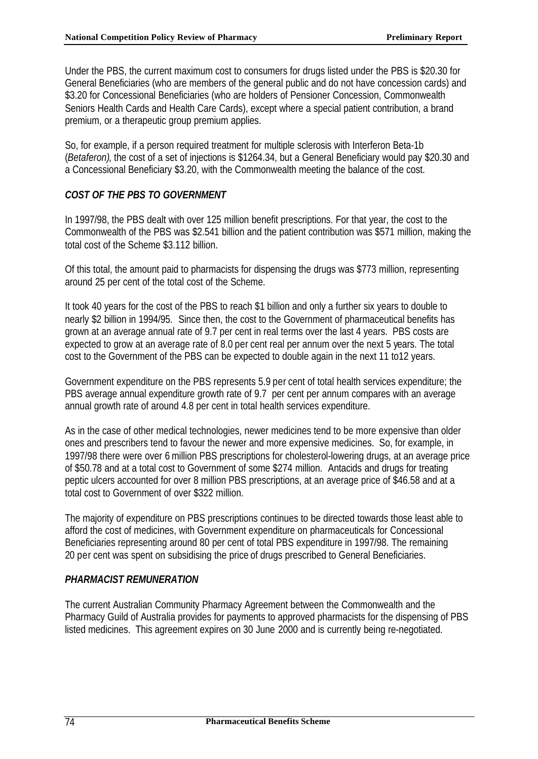Under the PBS, the current maximum cost to consumers for drugs listed under the PBS is \$20.30 for General Beneficiaries (who are members of the general public and do not have concession cards) and \$3.20 for Concessional Beneficiaries (who are holders of Pensioner Concession, Commonwealth Seniors Health Cards and Health Care Cards), except where a special patient contribution, a brand premium, or a therapeutic group premium applies.

So, for example, if a person required treatment for multiple sclerosis with Interferon Beta-1b (*Betaferon)*, the cost of a set of injections is \$1264.34, but a General Beneficiary would pay \$20.30 and a Concessional Beneficiary \$3.20, with the Commonwealth meeting the balance of the cost.

# *COST OF THE PBS TO GOVERNMENT*

In 1997/98, the PBS dealt with over 125 million benefit prescriptions. For that year, the cost to the Commonwealth of the PBS was \$2.541 billion and the patient contribution was \$571 million, making the total cost of the Scheme \$3.112 billion.

Of this total, the amount paid to pharmacists for dispensing the drugs was \$773 million, representing around 25 per cent of the total cost of the Scheme.

It took 40 years for the cost of the PBS to reach \$1 billion and only a further six years to double to nearly \$2 billion in 1994/95. Since then, the cost to the Government of pharmaceutical benefits has grown at an average annual rate of 9.7 per cent in real terms over the last 4 years. PBS costs are expected to grow at an average rate of 8.0 per cent real per annum over the next 5 years. The total cost to the Government of the PBS can be expected to double again in the next 11 to12 years.

Government expenditure on the PBS represents 5.9 per cent of total health services expenditure; the PBS average annual expenditure growth rate of 9.7 per cent per annum compares with an average annual growth rate of around 4.8 per cent in total health services expenditure.

As in the case of other medical technologies, newer medicines tend to be more expensive than older ones and prescribers tend to favour the newer and more expensive medicines. So, for example, in 1997/98 there were over 6 million PBS prescriptions for cholesterol-lowering drugs, at an average price of \$50.78 and at a total cost to Government of some \$274 million. Antacids and drugs for treating peptic ulcers accounted for over 8 million PBS prescriptions, at an average price of \$46.58 and at a total cost to Government of over \$322 million.

The majority of expenditure on PBS prescriptions continues to be directed towards those least able to afford the cost of medicines, with Government expenditure on pharmaceuticals for Concessional Beneficiaries representing around 80 per cent of total PBS expenditure in 1997/98. The remaining 20 per cent was spent on subsidising the price of drugs prescribed to General Beneficiaries.

### *PHARMACIST REMUNERATION*

The current Australian Community Pharmacy Agreement between the Commonwealth and the Pharmacy Guild of Australia provides for payments to approved pharmacists for the dispensing of PBS listed medicines. This agreement expires on 30 June 2000 and is currently being re-negotiated.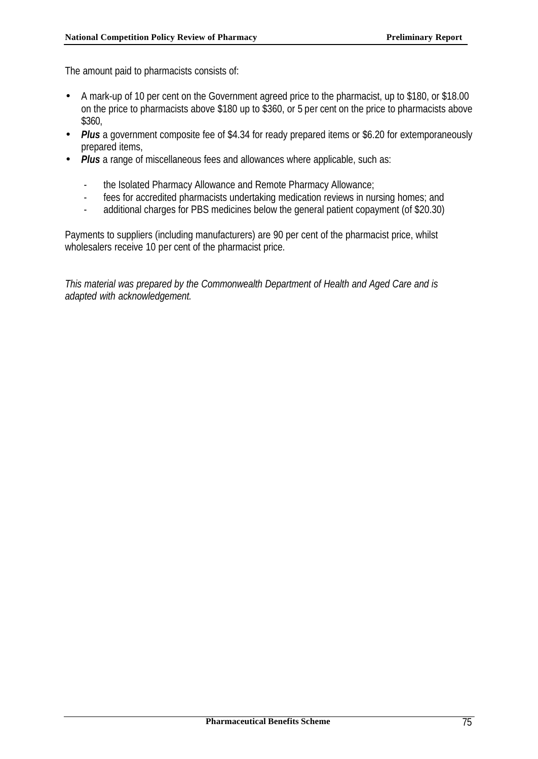The amount paid to pharmacists consists of:

- A mark-up of 10 per cent on the Government agreed price to the pharmacist, up to \$180, or \$18.00 on the price to pharmacists above \$180 up to \$360, or 5 per cent on the price to pharmacists above \$360,
- *Plus* a government composite fee of \$4.34 for ready prepared items or \$6.20 for extemporaneously prepared items,
- **Plus** a range of miscellaneous fees and allowances where applicable, such as:
	- the Isolated Pharmacy Allowance and Remote Pharmacy Allowance;
	- fees for accredited pharmacists undertaking medication reviews in nursing homes; and
	- additional charges for PBS medicines below the general patient copayment (of \$20.30)

Payments to suppliers (including manufacturers) are 90 per cent of the pharmacist price, whilst wholesalers receive 10 per cent of the pharmacist price.

*This material was prepared by the Commonwealth Department of Health and Aged Care and is adapted with acknowledgement.*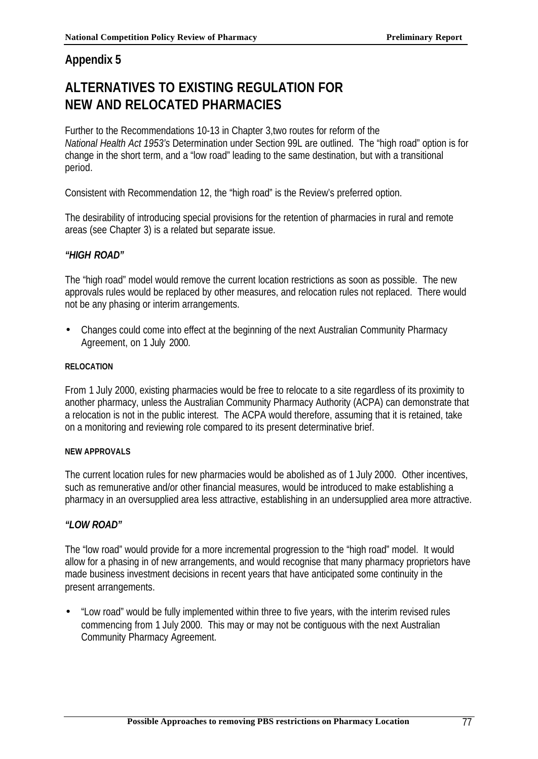# **Appendix 5**

# **ALTERNATIVES TO EXISTING REGULATION FOR NEW AND RELOCATED PHARMACIES**

Further to the Recommendations 10-13 in Chapter 3,two routes for reform of the *National Health Act 1953's* Determination under Section 99L are outlined. The "high road" option is for change in the short term, and a "low road" leading to the same destination, but with a transitional period.

Consistent with Recommendation 12, the "high road" is the Review's preferred option.

The desirability of introducing special provisions for the retention of pharmacies in rural and remote areas (see Chapter 3) is a related but separate issue.

### *"HIGH ROAD"*

The "high road" model would remove the current location restrictions as soon as possible. The new approvals rules would be replaced by other measures, and relocation rules not replaced. There would not be any phasing or interim arrangements.

• Changes could come into effect at the beginning of the next Australian Community Pharmacy Agreement, on 1 July 2000.

### **RELOCATION**

From 1 July 2000, existing pharmacies would be free to relocate to a site regardless of its proximity to another pharmacy, unless the Australian Community Pharmacy Authority (ACPA) can demonstrate that a relocation is not in the public interest. The ACPA would therefore, assuming that it is retained, take on a monitoring and reviewing role compared to its present determinative brief.

### **NEW APPROVALS**

The current location rules for new pharmacies would be abolished as of 1 July 2000. Other incentives, such as remunerative and/or other financial measures, would be introduced to make establishing a pharmacy in an oversupplied area less attractive, establishing in an undersupplied area more attractive.

### *"LOW ROAD"*

The "low road" would provide for a more incremental progression to the "high road" model. It would allow for a phasing in of new arrangements, and would recognise that many pharmacy proprietors have made business investment decisions in recent years that have anticipated some continuity in the present arrangements.

• "Low road" would be fully implemented within three to five years, with the interim revised rules commencing from 1 July 2000. This may or may not be contiguous with the next Australian Community Pharmacy Agreement.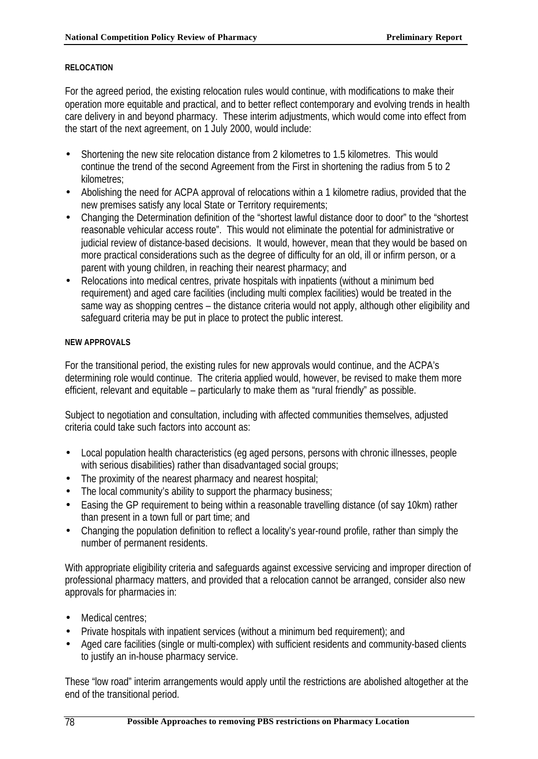### **RELOCATION**

For the agreed period, the existing relocation rules would continue, with modifications to make their operation more equitable and practical, and to better reflect contemporary and evolving trends in health care delivery in and beyond pharmacy. These interim adjustments, which would come into effect from the start of the next agreement, on 1 July 2000, would include:

- Shortening the new site relocation distance from 2 kilometres to 1.5 kilometres. This would continue the trend of the second Agreement from the First in shortening the radius from 5 to 2 kilometres;
- Abolishing the need for ACPA approval of relocations within a 1 kilometre radius, provided that the new premises satisfy any local State or Territory requirements;
- Changing the Determination definition of the "shortest lawful distance door to door" to the "shortest reasonable vehicular access route". This would not eliminate the potential for administrative or judicial review of distance-based decisions. It would, however, mean that they would be based on more practical considerations such as the degree of difficulty for an old, ill or infirm person, or a parent with young children, in reaching their nearest pharmacy; and
- Relocations into medical centres, private hospitals with inpatients (without a minimum bed requirement) and aged care facilities (including multi complex facilities) would be treated in the same way as shopping centres – the distance criteria would not apply, although other eligibility and safeguard criteria may be put in place to protect the public interest.

### **NEW APPROVALS**

For the transitional period, the existing rules for new approvals would continue, and the ACPA's determining role would continue. The criteria applied would, however, be revised to make them more efficient, relevant and equitable – particularly to make them as "rural friendly" as possible.

Subject to negotiation and consultation, including with affected communities themselves, adjusted criteria could take such factors into account as:

- Local population health characteristics (eg aged persons, persons with chronic illnesses, people with serious disabilities) rather than disadvantaged social groups;
- The proximity of the nearest pharmacy and nearest hospital;
- The local community's ability to support the pharmacy business;
- Easing the GP requirement to being within a reasonable travelling distance (of say 10km) rather than present in a town full or part time; and
- Changing the population definition to reflect a locality's year-round profile, rather than simply the number of permanent residents.

With appropriate eligibility criteria and safeguards against excessive servicing and improper direction of professional pharmacy matters, and provided that a relocation cannot be arranged, consider also new approvals for pharmacies in:

- Medical centres:
- Private hospitals with inpatient services (without a minimum bed requirement); and
- Aged care facilities (single or multi-complex) with sufficient residents and community-based clients to justify an in-house pharmacy service.

These "low road" interim arrangements would apply until the restrictions are abolished altogether at the end of the transitional period.